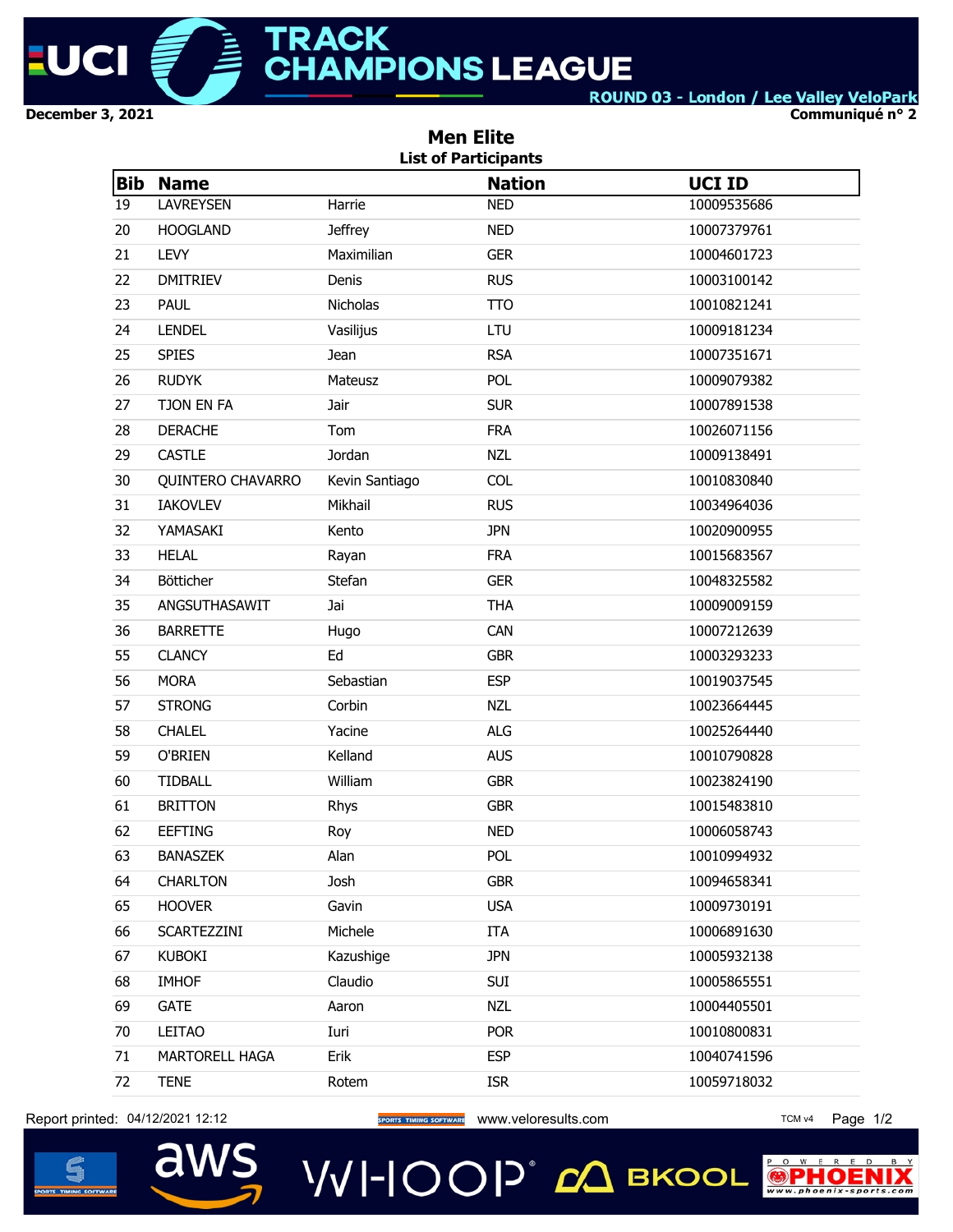

**Communiqué n° 2**

|            | <b>Men Elite</b><br><b>List of Participants</b> |                |               |               |  |  |  |  |  |  |
|------------|-------------------------------------------------|----------------|---------------|---------------|--|--|--|--|--|--|
| <b>Bib</b> | <b>Name</b>                                     |                | <b>Nation</b> | <b>UCI ID</b> |  |  |  |  |  |  |
| 19         | <b>LAVREYSEN</b>                                | Harrie         | <b>NED</b>    | 10009535686   |  |  |  |  |  |  |
| 20         | <b>HOOGLAND</b>                                 | <b>Jeffrey</b> | <b>NED</b>    | 10007379761   |  |  |  |  |  |  |
| 21         | <b>LEVY</b>                                     | Maximilian     | <b>GER</b>    | 10004601723   |  |  |  |  |  |  |
| 22         | <b>DMITRIEV</b>                                 | Denis          | <b>RUS</b>    | 10003100142   |  |  |  |  |  |  |
| 23         | <b>PAUL</b>                                     | Nicholas       | <b>TTO</b>    | 10010821241   |  |  |  |  |  |  |
| 24         | <b>LENDEL</b>                                   | Vasilijus      | LTU           | 10009181234   |  |  |  |  |  |  |
| 25         | <b>SPIES</b>                                    | <b>Jean</b>    | <b>RSA</b>    | 10007351671   |  |  |  |  |  |  |
| 26         | <b>RUDYK</b>                                    | Mateusz        | POL           | 10009079382   |  |  |  |  |  |  |
| 27         | TJON EN FA                                      | Jair           | <b>SUR</b>    | 10007891538   |  |  |  |  |  |  |
| 28         | <b>DERACHE</b>                                  | Tom            | <b>FRA</b>    | 10026071156   |  |  |  |  |  |  |
| 29         | <b>CASTLE</b>                                   | Jordan         | <b>NZL</b>    | 10009138491   |  |  |  |  |  |  |
| 30         | <b>QUINTERO CHAVARRO</b>                        | Kevin Santiago | <b>COL</b>    | 10010830840   |  |  |  |  |  |  |
| 31         | <b>IAKOVLEV</b>                                 | Mikhail        | <b>RUS</b>    | 10034964036   |  |  |  |  |  |  |
| 32         | YAMASAKI                                        | Kento          | <b>JPN</b>    | 10020900955   |  |  |  |  |  |  |
| 33         | <b>HELAL</b>                                    | Rayan          | <b>FRA</b>    | 10015683567   |  |  |  |  |  |  |
| 34         | <b>Bötticher</b>                                | Stefan         | <b>GER</b>    | 10048325582   |  |  |  |  |  |  |
| 35         | ANGSUTHASAWIT                                   | Jai            | <b>THA</b>    | 10009009159   |  |  |  |  |  |  |
| 36         | <b>BARRETTE</b>                                 | Hugo           | CAN           | 10007212639   |  |  |  |  |  |  |
| 55         | <b>CLANCY</b>                                   | Ed             | <b>GBR</b>    | 10003293233   |  |  |  |  |  |  |
| 56         | <b>MORA</b>                                     | Sebastian      | <b>ESP</b>    | 10019037545   |  |  |  |  |  |  |
| 57         | <b>STRONG</b>                                   | Corbin         | <b>NZL</b>    | 10023664445   |  |  |  |  |  |  |
| 58         | <b>CHALEL</b>                                   | Yacine         | <b>ALG</b>    | 10025264440   |  |  |  |  |  |  |
| 59         | O'BRIEN                                         | Kelland        | <b>AUS</b>    | 10010790828   |  |  |  |  |  |  |
| 60         | <b>TIDBALL</b>                                  | William        | <b>GBR</b>    | 10023824190   |  |  |  |  |  |  |
| 61         | <b>BRITTON</b>                                  | Rhys           | <b>GBR</b>    | 10015483810   |  |  |  |  |  |  |
| 62         | EEFTING                                         | Roy            | <b>NED</b>    | 10006058743   |  |  |  |  |  |  |
| 63         | <b>BANASZEK</b>                                 | Alan           | POL           | 10010994932   |  |  |  |  |  |  |
| 64         | <b>CHARLTON</b>                                 | Josh           | <b>GBR</b>    | 10094658341   |  |  |  |  |  |  |
| 65         | <b>HOOVER</b>                                   | Gavin          | <b>USA</b>    | 10009730191   |  |  |  |  |  |  |
| 66         | SCARTEZZINI                                     | Michele        | ITA           | 10006891630   |  |  |  |  |  |  |
| 67         | <b>KUBOKI</b>                                   | Kazushige      | <b>JPN</b>    | 10005932138   |  |  |  |  |  |  |
| 68         | <b>IMHOF</b>                                    | Claudio        | SUI           | 10005865551   |  |  |  |  |  |  |
| 69         | <b>GATE</b>                                     | Aaron          | <b>NZL</b>    | 10004405501   |  |  |  |  |  |  |
| 70         | LEITAO                                          | Iuri           | <b>POR</b>    | 10010800831   |  |  |  |  |  |  |
| 71         | MARTORELL HAGA                                  | Erik           | <b>ESP</b>    | 10040741596   |  |  |  |  |  |  |
| 72         | <b>TENE</b>                                     | Rotem          | <b>ISR</b>    | 10059718032   |  |  |  |  |  |  |
|            |                                                 |                |               |               |  |  |  |  |  |  |

Report printed: 04/12/2021 12:12 **Web Access 2016 TOM VALUAT ACCESS** WWW.veloresults.com TCM v4 Page 1/2

aws





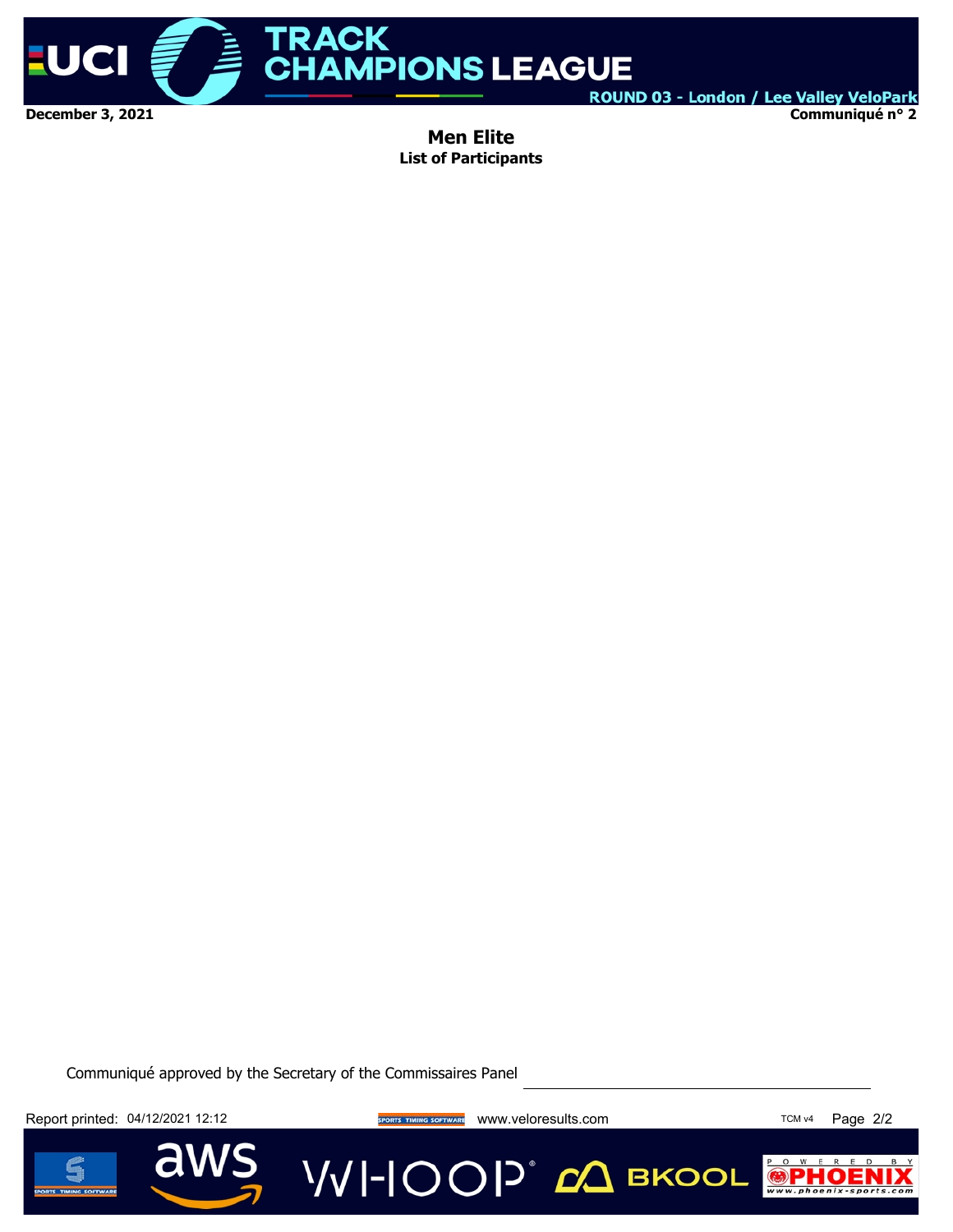

ROUND 03 - London / Lee Valley VeloPark **Communiqué n° 2**

**Men Elite List of Participants**

Communiqué approved by the Secretary of the Commissaires Panel

Report printed: 04/12/2021 12:12 **We are also a sports thanks sortware** www.veloresults.com TCM v4 Page 2/2

**VVI-IOOP** ДВКООL



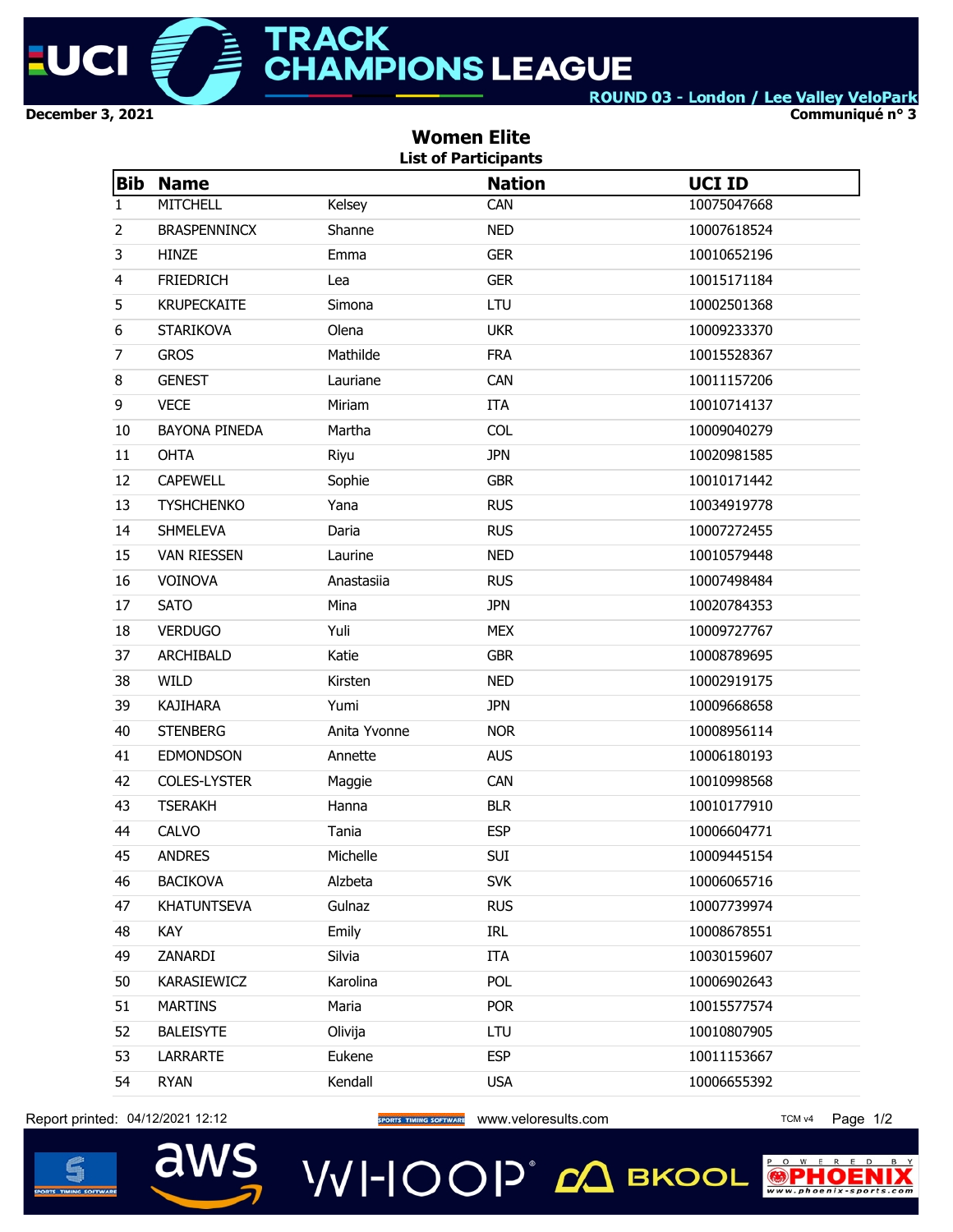

**Communiqué n° 3**

|                | <b>Women Elite</b><br><b>List of Participants</b> |              |               |               |  |  |  |  |  |  |
|----------------|---------------------------------------------------|--------------|---------------|---------------|--|--|--|--|--|--|
| <b>Bib</b>     | <b>Name</b>                                       |              | <b>Nation</b> | <b>UCI ID</b> |  |  |  |  |  |  |
| 1              | <b>MITCHELL</b>                                   | Kelsey       | CAN           | 10075047668   |  |  |  |  |  |  |
| $\overline{2}$ | <b>BRASPENNINCX</b>                               | Shanne       | <b>NED</b>    | 10007618524   |  |  |  |  |  |  |
| 3              | <b>HINZE</b>                                      | Emma         | <b>GER</b>    | 10010652196   |  |  |  |  |  |  |
| $\overline{4}$ | <b>FRIEDRICH</b>                                  | Lea          | <b>GER</b>    | 10015171184   |  |  |  |  |  |  |
| 5              | <b>KRUPECKAITE</b>                                | Simona       | LTU           | 10002501368   |  |  |  |  |  |  |
| 6              | <b>STARIKOVA</b>                                  | Olena        | <b>UKR</b>    | 10009233370   |  |  |  |  |  |  |
| $\overline{7}$ | <b>GROS</b>                                       | Mathilde     | <b>FRA</b>    | 10015528367   |  |  |  |  |  |  |
| 8              | <b>GENEST</b>                                     | Lauriane     | CAN           | 10011157206   |  |  |  |  |  |  |
| 9              | <b>VECE</b>                                       | Miriam       | <b>ITA</b>    | 10010714137   |  |  |  |  |  |  |
| 10             | <b>BAYONA PINEDA</b>                              | Martha       | <b>COL</b>    | 10009040279   |  |  |  |  |  |  |
| 11             | <b>OHTA</b>                                       | Riyu         | <b>JPN</b>    | 10020981585   |  |  |  |  |  |  |
| 12             | <b>CAPEWELL</b>                                   | Sophie       | <b>GBR</b>    | 10010171442   |  |  |  |  |  |  |
| 13             | <b>TYSHCHENKO</b>                                 | Yana         | <b>RUS</b>    | 10034919778   |  |  |  |  |  |  |
| 14             | <b>SHMELEVA</b>                                   | Daria        | <b>RUS</b>    | 10007272455   |  |  |  |  |  |  |
| 15             | <b>VAN RIESSEN</b>                                | Laurine      | <b>NED</b>    | 10010579448   |  |  |  |  |  |  |
| 16             | VOINOVA                                           | Anastasiia   | <b>RUS</b>    | 10007498484   |  |  |  |  |  |  |
| 17             | <b>SATO</b>                                       | Mina         | <b>JPN</b>    | 10020784353   |  |  |  |  |  |  |
| 18             | <b>VERDUGO</b>                                    | Yuli         | <b>MEX</b>    | 10009727767   |  |  |  |  |  |  |
| 37             | ARCHIBALD                                         | Katie        | <b>GBR</b>    | 10008789695   |  |  |  |  |  |  |
| 38             | <b>WILD</b>                                       | Kirsten      | <b>NED</b>    | 10002919175   |  |  |  |  |  |  |
| 39             | <b>KAJIHARA</b>                                   | Yumi         | <b>JPN</b>    | 10009668658   |  |  |  |  |  |  |
| 40             | <b>STENBERG</b>                                   | Anita Yvonne | <b>NOR</b>    | 10008956114   |  |  |  |  |  |  |
| 41             | <b>EDMONDSON</b>                                  | Annette      | <b>AUS</b>    | 10006180193   |  |  |  |  |  |  |
| 42             | COLES-LYSTER                                      | Maggie       | CAN           | 10010998568   |  |  |  |  |  |  |
| 43             | <b>TSERAKH</b>                                    | Hanna        | <b>BLR</b>    | 10010177910   |  |  |  |  |  |  |
| 44             | CALVO                                             | Tania        | <b>ESP</b>    | 10006604771   |  |  |  |  |  |  |
| 45             | <b>ANDRES</b>                                     | Michelle     | SUI           | 10009445154   |  |  |  |  |  |  |
| 46             | <b>BACIKOVA</b>                                   | Alzbeta      | <b>SVK</b>    | 10006065716   |  |  |  |  |  |  |
| 47             | <b>KHATUNTSEVA</b>                                | Gulnaz       | <b>RUS</b>    | 10007739974   |  |  |  |  |  |  |
| 48             | KAY                                               | Emily        | IRL           | 10008678551   |  |  |  |  |  |  |
| 49             | ZANARDI                                           | Silvia       | <b>ITA</b>    | 10030159607   |  |  |  |  |  |  |
| 50             | KARASIEWICZ                                       | Karolina     | <b>POL</b>    | 10006902643   |  |  |  |  |  |  |
| 51             | <b>MARTINS</b>                                    | Maria        | <b>POR</b>    | 10015577574   |  |  |  |  |  |  |
| 52             | <b>BALEISYTE</b>                                  | Olivija      | LTU           | 10010807905   |  |  |  |  |  |  |
| 53             | <b>LARRARTE</b>                                   | Eukene       | <b>ESP</b>    | 10011153667   |  |  |  |  |  |  |
| 54             | <b>RYAN</b>                                       | Kendall      | <b>USA</b>    | 10006655392   |  |  |  |  |  |  |

Report printed: 04/12/2021 12:12 **Web Access 2016 TOM VALUAT ACCESS** WWW.veloresults.com TCM v4 Page 1/2





PO W E R  $\bigcirc$  P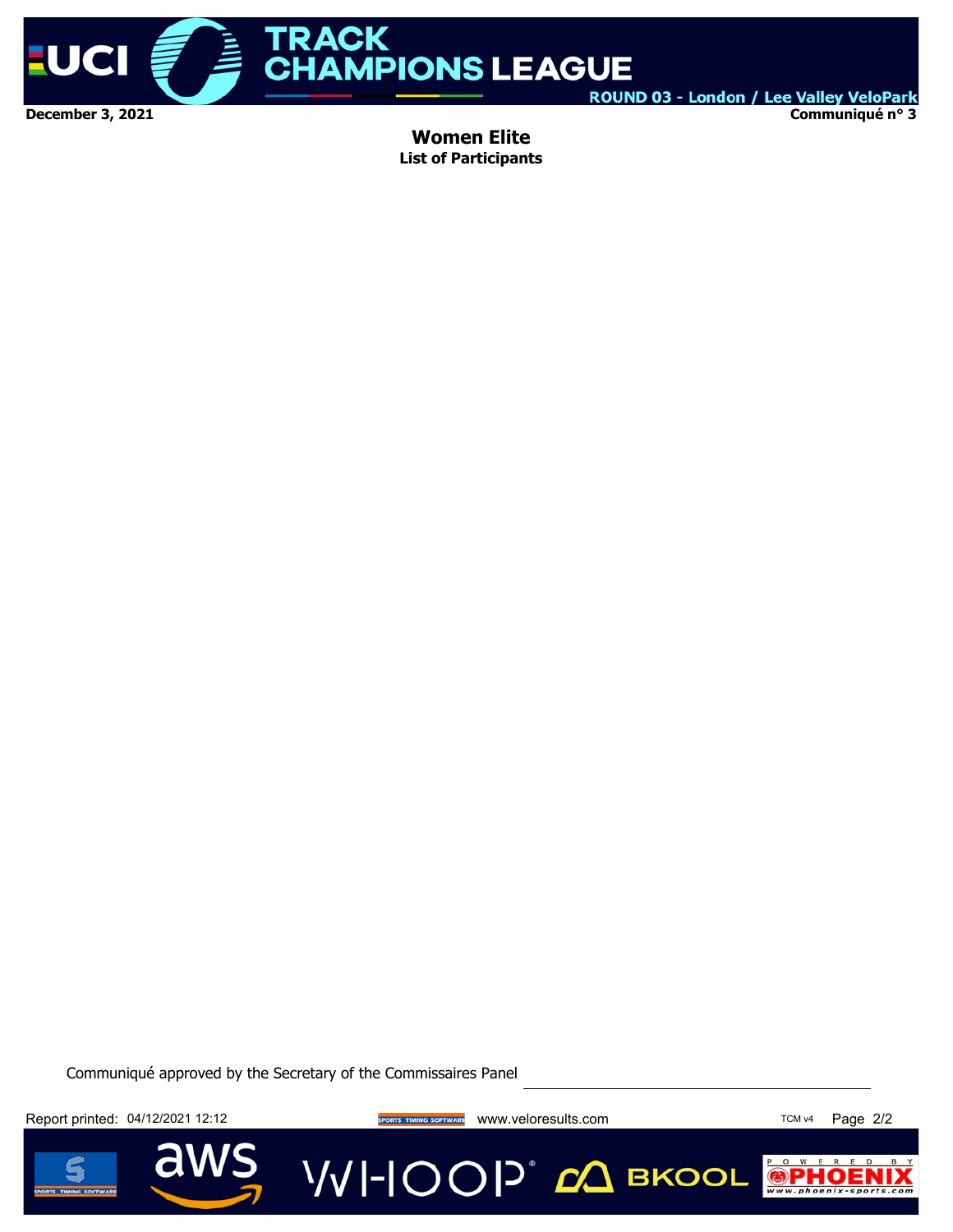

**Communiqué n° 3**

**Women Elite List of Participants**

Communiqué approved by the Secretary of the Commissaires Panel

Report printed: 04/12/2021 12:12 **We are also a sports thanks sortware** www.veloresults.com TCM v4 Page 2/2

**VVI-IOOP** 20 BKOOL



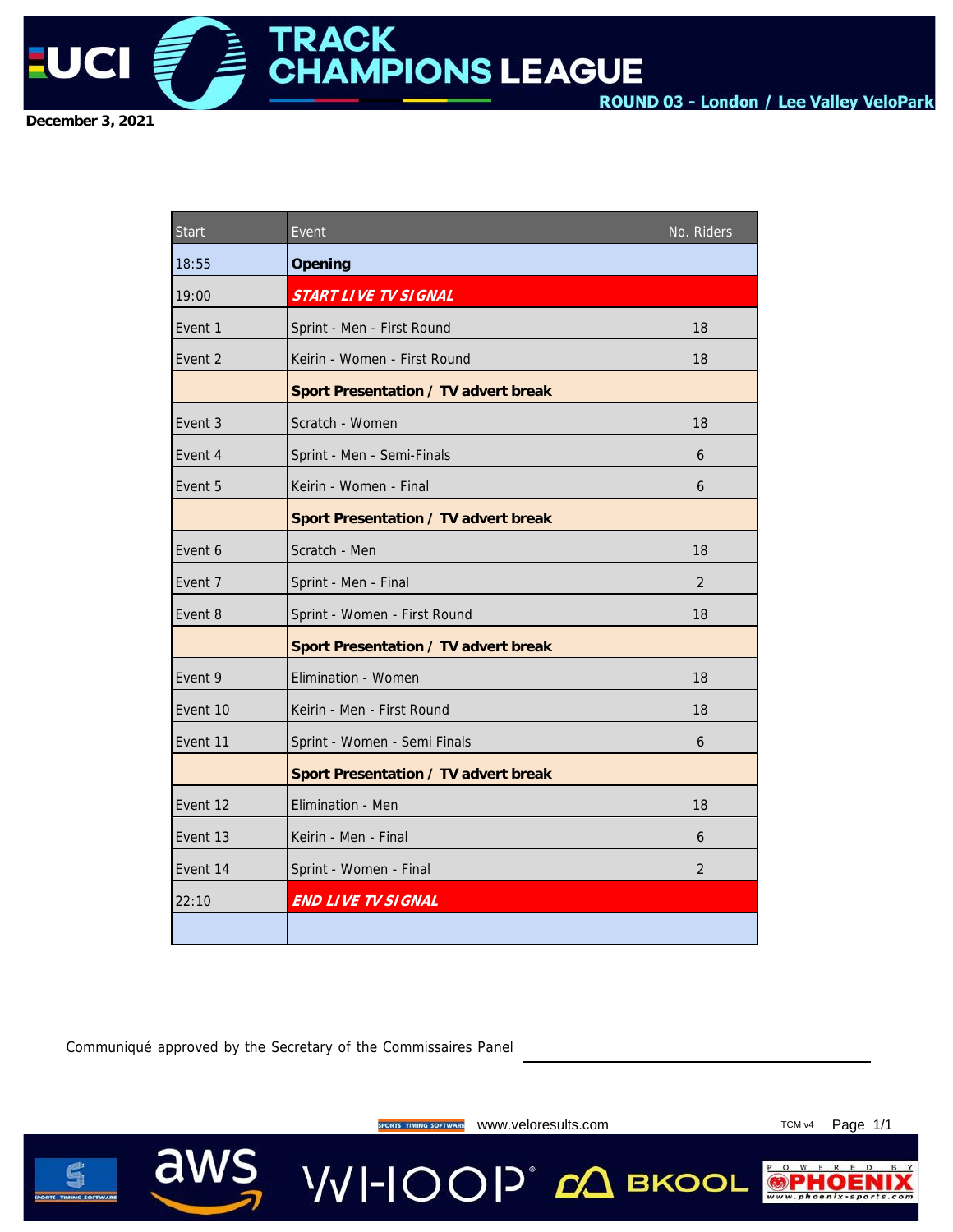

| Start    | Event                                | No. Riders     |
|----------|--------------------------------------|----------------|
| 18:55    | Opening                              |                |
| 19:00    | START LIVE TV SIGNAL                 |                |
| Event 1  | Sprint - Men - First Round           | 18             |
| Event 2  | Keirin - Women - First Round         | 18             |
|          | Sport Presentation / TV advert break |                |
| Event 3  | Scratch - Women                      | 18             |
| Event 4  | Sprint - Men - Semi-Finals           | 6              |
| Event 5  | Keirin - Women - Final               | 6              |
|          | Sport Presentation / TV advert break |                |
| Event 6  | Scratch - Men                        | 18             |
| Event 7  | Sprint - Men - Final                 | $\overline{2}$ |
| Event 8  | Sprint - Women - First Round         | 18             |
|          | Sport Presentation / TV advert break |                |
| Event 9  | Elimination - Women                  | 18             |
| Event 10 | Keirin - Men - First Round           | 18             |
| Event 11 | Sprint - Women - Semi Finals         | 6              |
|          | Sport Presentation / TV advert break |                |
| Event 12 | Elimination - Men                    | 18             |
| Event 13 | Keirin - Men - Final                 | 6              |
| Event 14 | Sprint - Women - Final               | $\mathfrak{D}$ |
| 22:10    | END LIVE TV SIGNAL                   |                |
|          |                                      |                |

Communiqué approved by the Secretary of the Commissaires Panel

aws



SPORTS TIMING SOFTWARE WWW.Veloresults.com **TCM** v4 Page 1/1

**VVI-IOOP** ДВКООL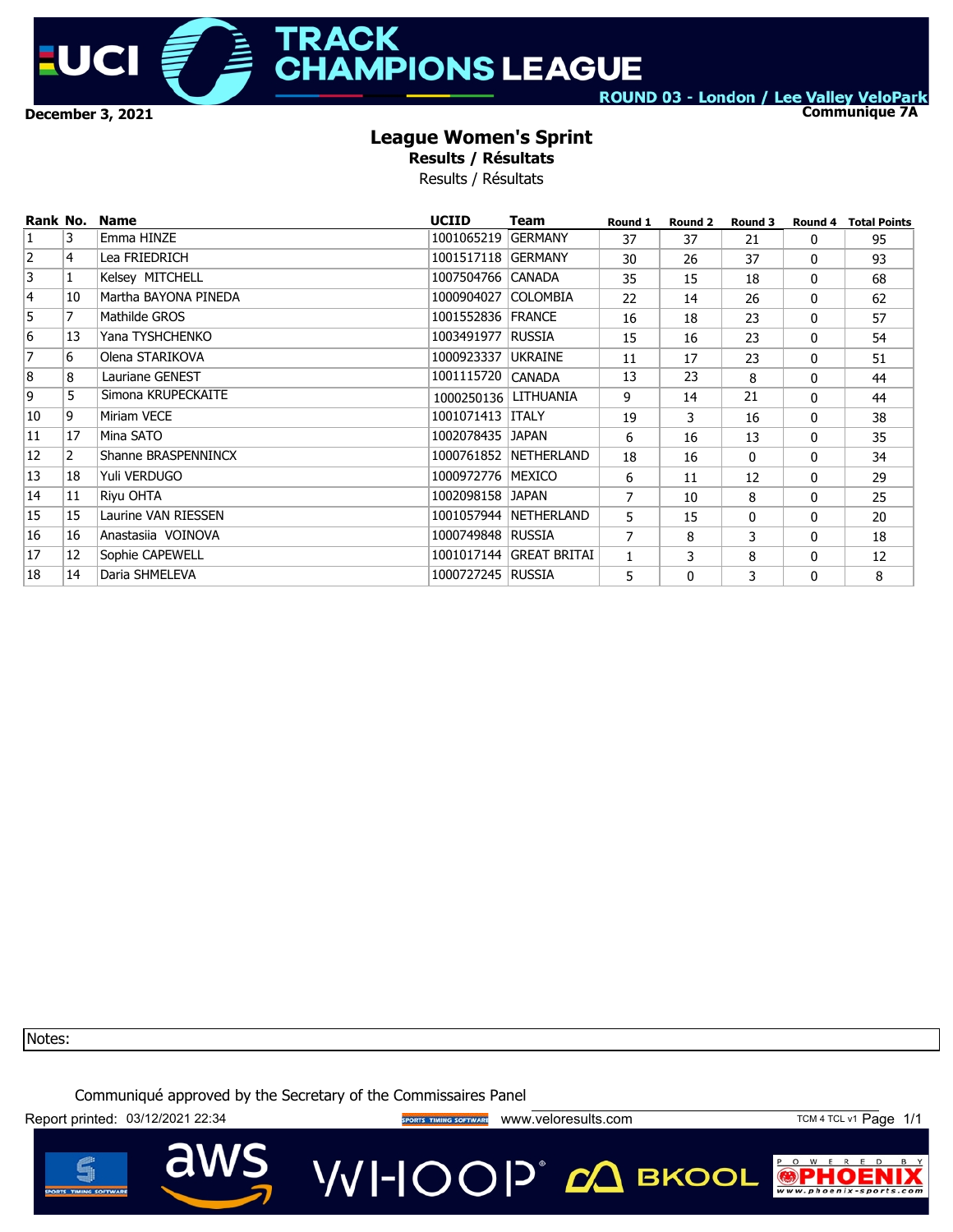

# **TRACK HAMPIONS LEAGUE**

ROUND 03 - London / Lee Valley VeloPark

**Communique 7A**

### **League Women's Sprint**

**Results / Résultats**

Results / Résultats

| Rank No.       |                | <b>Name</b>          | <b>UCIID</b>           | Team                    | Round 1        | Round <sub>2</sub> | Round 3  |   | <b>Round 4 Total Points</b> |
|----------------|----------------|----------------------|------------------------|-------------------------|----------------|--------------------|----------|---|-----------------------------|
| 1              | 3              | Emma HINZE           | 1001065219             | <b>GERMANY</b>          | 37             | 37                 | 21       | 0 | 95                          |
| $\overline{2}$ | 4              | Lea FRIEDRICH        | 1001517118 GERMANY     |                         | 30             | 26                 | 37       | 0 | 93                          |
| 3              |                | Kelsey MITCHELL      | 1007504766 CANADA      |                         | 35             | 15                 | 18       | 0 | 68                          |
| 4              | 10             | Martha BAYONA PINEDA | 1000904027             | <b>COLOMBIA</b>         | 22             | 14                 | 26       | 0 | 62                          |
| 5              | 7              | Mathilde GROS        | 1001552836 FRANCE      |                         | 16             | 18                 | 23       | 0 | 57                          |
| 6              | 13             | Yana TYSHCHENKO      | 1003491977 RUSSIA      |                         | 15             | 16                 | 23       | 0 | 54                          |
| $\overline{7}$ | 6              | Olena STARIKOVA      | 1000923337             | <b>UKRAINE</b>          | 11             | 17                 | 23       | 0 | 51                          |
| 8              | 8              | Lauriane GENEST      | 1001115720             | <b>CANADA</b>           | 13             | 23                 | 8        | 0 | 44                          |
| 9              | 5              | Simona KRUPECKAITE   | 1000250136   LITHUANIA |                         | 9              | 14                 | 21       | 0 | 44                          |
| 10             | 9              | Miriam VECE          | 1001071413 ITALY       |                         | 19             | 3                  | 16       | 0 | 38                          |
| 11             | 17             | Mina SATO            | 1002078435 JAPAN       |                         | 6              | 16                 | 13       | 0 | 35                          |
| 12             | $\overline{2}$ | Shanne BRASPENNINCX  |                        | 1000761852 NETHERLAND   | 18             | 16                 | $\Omega$ | 0 | 34                          |
| 13             | 18             | Yuli VERDUGO         | 1000972776   MEXICO    |                         | 6              | 11                 | 12       | 0 | 29                          |
| 14             | 11             | Riyu OHTA            | 1002098158 JAPAN       |                         | 7              | 10                 | 8        | 0 | 25                          |
| 15             | 15             | Laurine VAN RIESSEN  |                        | 1001057944 NETHERLAND   | 5              | 15                 | 0        | 0 | 20                          |
| 16             | 16             | Anastasiia VOINOVA   | 1000749848 RUSSIA      |                         | $\overline{7}$ | 8                  | 3        | 0 | 18                          |
| 17             | 12             | Sophie CAPEWELL      |                        | 1001017144 GREAT BRITAI | 1              | 3                  | 8        | 0 | 12                          |
| 18             | 14             | Daria SHMELEVA       | 1000727245 RUSSIA      |                         | 5              | $\mathbf{0}$       | 3        | 0 | 8                           |

Notes:

Communiqué approved by the Secretary of the Commissaires Panel

Report printed: 03/12/2021 22:34 external and the sports manus sorrward www.veloresults.com TCM 4 TCL v1 Page 1/1



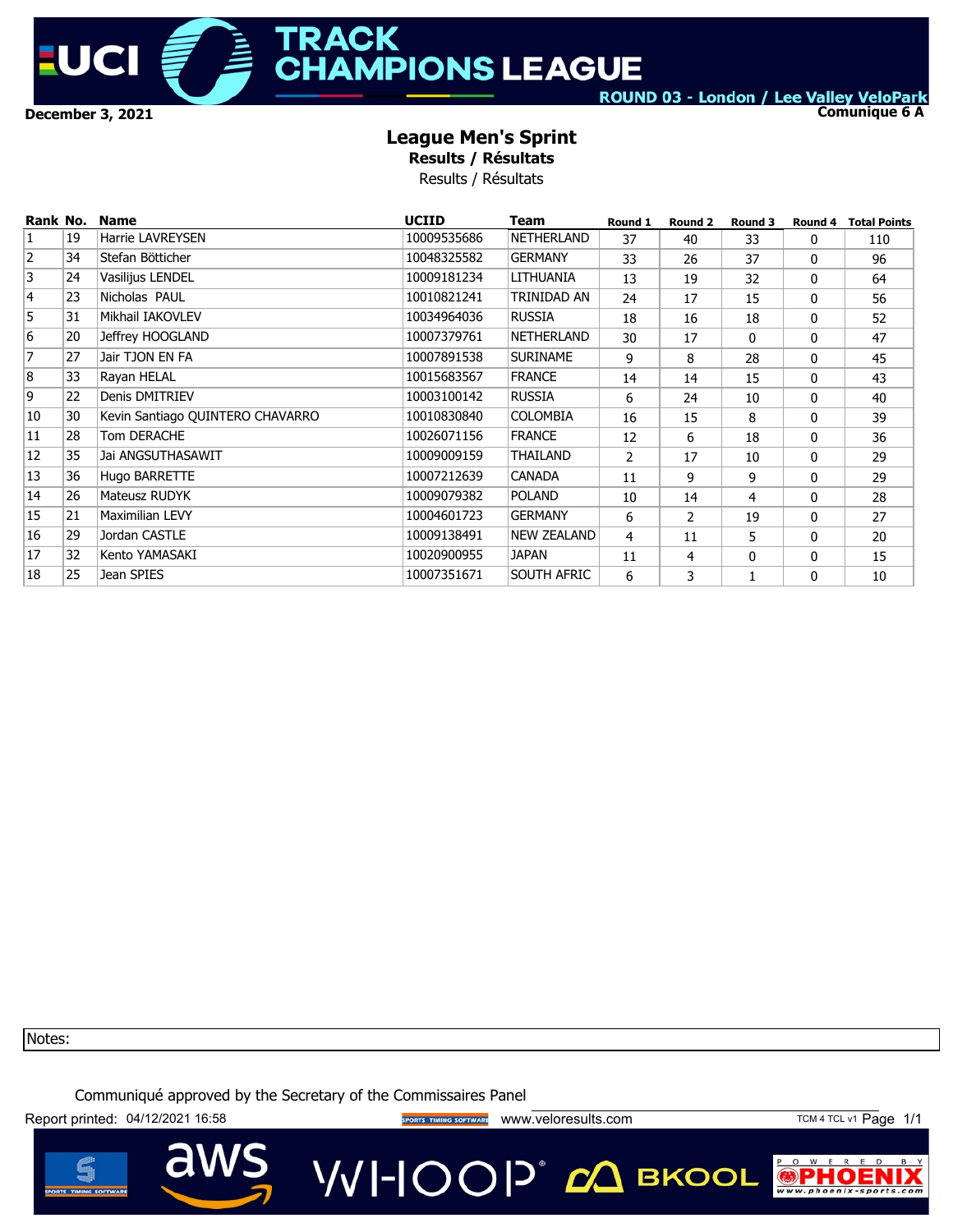

# **TRACK HAMPIONS LEAGUE**

ROUND 03 - London / Lee Valley VeloPark

**Comunique 6 A**

### **League Men's Sprint**

**Results / Résultats**

Results / Résultats

| Rank No.       |    | <b>Name</b>                      | <b>UCIID</b> | Team               | Round 1        | Round 2        | Round 3      | Round 4 | <b>Total Points</b> |
|----------------|----|----------------------------------|--------------|--------------------|----------------|----------------|--------------|---------|---------------------|
| $\overline{1}$ | 19 | <b>Harrie LAVREYSEN</b>          | 10009535686  | <b>NETHERLAND</b>  | 37             | 40             | 33           | 0       | 110                 |
| $\overline{2}$ | 34 | Stefan Bötticher                 | 10048325582  | <b>GERMANY</b>     | 33             | 26             | 37           | 0       | 96                  |
| 3              | 24 | Vasilijus LENDEL                 | 10009181234  | LITHUANIA          | 13             | 19             | 32           | 0       | 64                  |
| $\overline{4}$ | 23 | Nicholas PAUL                    | 10010821241  | TRINIDAD AN        | 24             | 17             | 15           | 0       | 56                  |
| '5             | 31 | Mikhail IAKOVLEV                 | 10034964036  | <b>RUSSIA</b>      | 18             | 16             | 18           | 0       | 52                  |
| 6              | 20 | Jeffrey HOOGLAND                 | 10007379761  | NETHERLAND         | 30             | 17             | $\Omega$     | 0       | 47                  |
| 7              | 27 | Jair TJON EN FA                  | 10007891538  | <b>SURINAME</b>    | 9              | 8              | 28           | 0       | 45                  |
| 8              | 33 | Rayan HELAL                      | 10015683567  | <b>FRANCE</b>      | 14             | 14             | 15           | 0       | 43                  |
| 9              | 22 | Denis DMITRIEV                   | 10003100142  | <b>RUSSIA</b>      | 6              | 24             | 10           | 0       | 40                  |
| 10             | 30 | Kevin Santiago QUINTERO CHAVARRO | 10010830840  | <b>COLOMBIA</b>    | 16             | 15             | 8            | 0       | 39                  |
| 11             | 28 | Tom DERACHE                      | 10026071156  | <b>FRANCE</b>      | 12             | 6              | 18           | 0       | 36                  |
| 12             | 35 | Jai ANGSUTHASAWIT                | 10009009159  | THAILAND           | $\overline{2}$ | 17             | 10           | 0       | 29                  |
| 13             | 36 | Hugo BARRETTE                    | 10007212639  | <b>CANADA</b>      | 11             | 9              | 9            | 0       | 29                  |
| 14             | 26 | Mateusz RUDYK                    | 10009079382  | <b>POLAND</b>      | 10             | 14             | 4            | 0       | 28                  |
| 15             | 21 | Maximilian LEVY                  | 10004601723  | <b>GERMANY</b>     | 6              | $\overline{2}$ | 19           | 0       | 27                  |
| 16             | 29 | Jordan CASTLE                    | 10009138491  | <b>NEW ZEALAND</b> | 4              | 11             | 5            | 0       | 20                  |
| 17             | 32 | Kento YAMASAKI                   | 10020900955  | <b>JAPAN</b>       | 11             | 4              | $\mathbf{0}$ | 0       | 15                  |
| 18             | 25 | Jean SPIES                       | 10007351671  | SOUTH AFRIC        | 6              | 3              |              | 0       | 10                  |

Notes:

Communiqué approved by the Secretary of the Commissaires Panel

Report printed: 04/12/2021 16:58 external sports TIMING SOFTWARE WWW.Veloresults.com TCM 4 TCL v1 Page 1/1

a



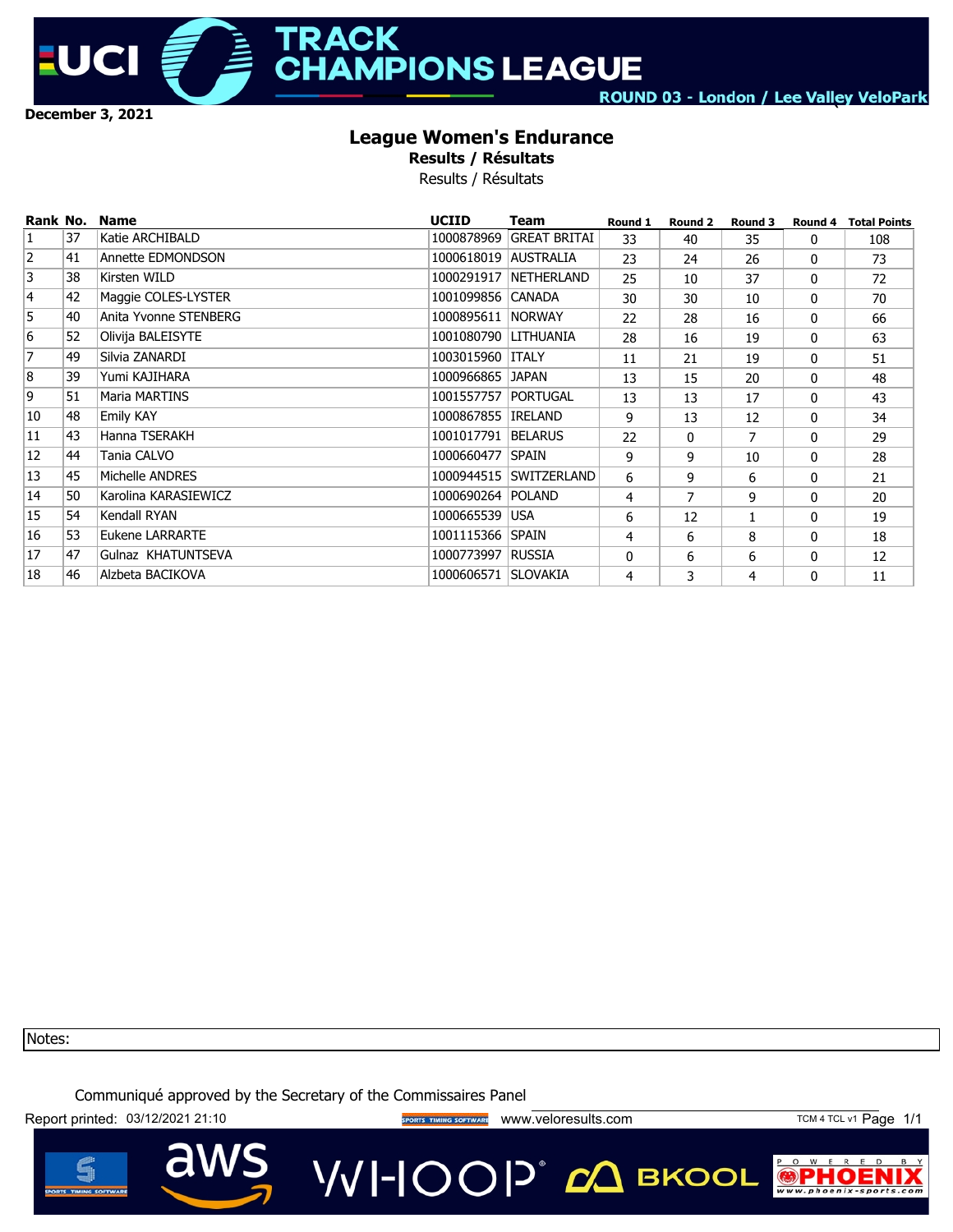

**TRACK AMPIONS LEAGUE** 

ROUND 03 - London / Lee Valley VeloPark

**`**

## **League Women's Endurance**

**Results / Résultats**

Results / Résultats

| Rank No.       |    | <b>Name</b>           | <b>UCIID</b>         | Team                   | Round 1 | Round 2  | Round 3 |   | <b>Round 4 Total Points</b> |
|----------------|----|-----------------------|----------------------|------------------------|---------|----------|---------|---|-----------------------------|
| $\overline{1}$ | 37 | Katie ARCHIBALD       | 1000878969           | <b>GREAT BRITAI</b>    | 33      | 40       | 35      | 0 | 108                         |
| $\overline{2}$ | 41 | Annette EDMONDSON     | 1000618019 AUSTRALIA |                        | 23      | 24       | 26      | 0 | 73                          |
| 3              | 38 | Kirsten WILD          |                      | 1000291917 NETHERLAND  | 25      | 10       | 37      | 0 | 72                          |
| $\overline{4}$ | 42 | Maggie COLES-LYSTER   | 1001099856 CANADA    |                        | 30      | 30       | 10      | 0 | 70                          |
| 5              | 40 | Anita Yvonne STENBERG | 1000895611  NORWAY   |                        | 22      | 28       | 16      | 0 | 66                          |
| 6              | 52 | Olivija BALEISYTE     | 1001080790 LITHUANIA |                        | 28      | 16       | 19      | 0 | 63                          |
| 7              | 49 | Silvia ZANARDI        | 1003015960 ITTALY    |                        | 11      | 21       | 19      | 0 | 51                          |
| 8              | 39 | Yumi KAJIHARA         | 1000966865 JAPAN     |                        | 13      | 15       | 20      | 0 | 48                          |
| 9              | 51 | Maria MARTINS         | 1001557757 PORTUGAL  |                        | 13      | 13       | 17      | 0 | 43                          |
| 10             | 48 | <b>Emily KAY</b>      | 1000867855 IRELAND   |                        | 9       | 13       | 12      | 0 | 34                          |
| 11             | 43 | Hanna TSERAKH         | 1001017791           | <b>BELARUS</b>         | 22      | $\Omega$ | 7       | 0 | 29                          |
| 12             | 44 | Tania CALVO           | 1000660477 SPAIN     |                        | 9       | 9        | 10      | 0 | 28                          |
| 13             | 45 | Michelle ANDRES       |                      | 1000944515 SWITZERLAND | 6       | 9        | 6       | 0 | 21                          |
| 14             | 50 | Karolina KARASIEWICZ  | 1000690264 POLAND    |                        | 4       | 7        | 9       | 0 | 20                          |
| 15             | 54 | Kendall RYAN          | 1000665539           | <b>USA</b>             | 6       | 12       |         | 0 | 19                          |
| 16             | 53 | Eukene LARRARTE       | 1001115366 SPAIN     |                        | 4       | 6        | 8       | 0 | 18                          |
| 17             | 47 | Gulnaz KHATUNTSEVA    | 1000773997 RUSSIA    |                        | 0       | 6        | 6       | 0 | 12                          |
| 18             | 46 | Alzbeta BACIKOVA      | 1000606571 SLOVAKIA  |                        | 4       | 3        | 4       | 0 | 11                          |

Notes:

Communiqué approved by the Secretary of the Commissaires Panel

Report printed: 03/12/2021 21:10 **Way of the COVID-SPORTS TIMING SOFTWARE** WWW.Veloresults.com TCM 4 TCL v1 Page 1/1

a



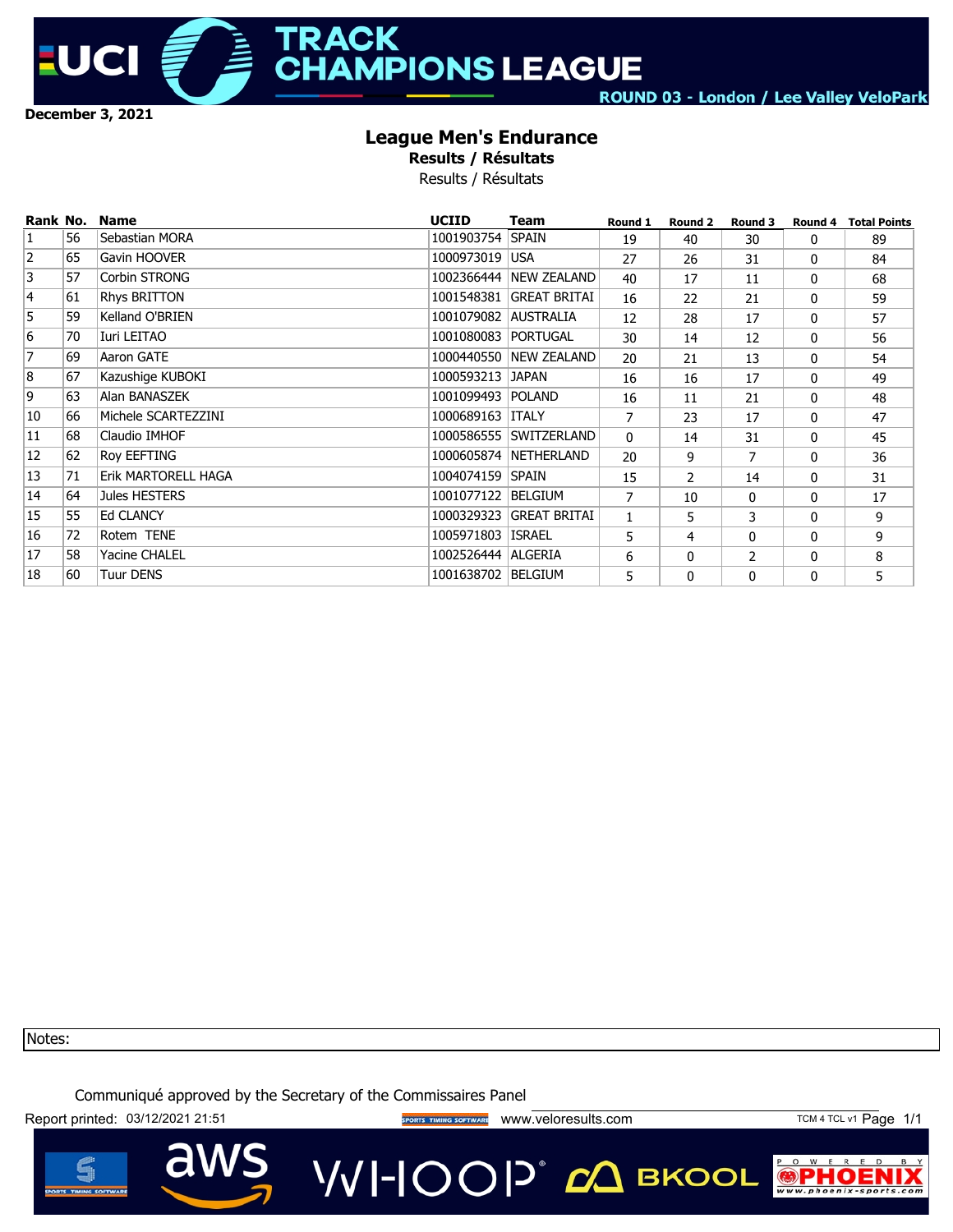

**TRACK HAMPIONS LEAGUE** 

ROUND 03 - London / Lee Valley VeloPark

## **League Men's Endurance**

**Results / Résultats**

Results / Résultats

| Rank No.       |    | <b>Name</b>         | <b>UCIID</b>         | Team                    | Round 1        | Round 2        | Round 3        | Round 4 | <b>Total Points</b> |
|----------------|----|---------------------|----------------------|-------------------------|----------------|----------------|----------------|---------|---------------------|
| $\overline{1}$ | 56 | Sebastian MORA      | 1001903754           | <b>SPAIN</b>            | 19             | 40             | 30             | 0       | 89                  |
| $\overline{2}$ | 65 | Gavin HOOVER        | 1000973019           | <b>USA</b>              | 27             | 26             | 31             | 0       | 84                  |
| 3              | 57 | Corbin STRONG       |                      | 1002366444 NEW ZEALAND  | 40             | 17             | 11             | 0       | 68                  |
| 4              | 61 | Rhys BRITTON        |                      | 1001548381 GREAT BRITAI | 16             | 22             | 21             | 0       | 59                  |
| 5              | 59 | Kelland O'BRIEN     | 1001079082 AUSTRALIA |                         | 12             | 28             | 17             | 0       | 57                  |
| 6              | 70 | Iuri LEITAO         | 1001080083 PORTUGAL  |                         | 30             | 14             | 12             | 0       | 56                  |
| 7              | 69 | Aaron GATE          |                      | 1000440550 NEW ZEALAND  | 20             | 21             | 13             | 0       | 54                  |
| 8              | 67 | Kazushige KUBOKI    | 1000593213           | <b>JAPAN</b>            | 16             | 16             | 17             | 0       | 49                  |
| 9              | 63 | Alan BANASZEK       | 1001099493 POLAND    |                         | 16             | 11             | 21             | 0       | 48                  |
| 10             | 66 | Michele SCARTEZZINI | 1000689163 TTALY     |                         | $\overline{7}$ | 23             | 17             | 0       | 47                  |
| 11             | 68 | Claudio IMHOF       |                      | 1000586555 SWITZERLAND  | $\Omega$       | 14             | 31             | 0       | 45                  |
| 12             | 62 | <b>Roy EEFTING</b>  |                      | 1000605874 NETHERLAND   | 20             | 9              | 7              | 0       | 36                  |
| 13             | 71 | Erik MARTORELL HAGA | 1004074159 SPAIN     |                         | 15             | $\overline{2}$ | 14             | 0       | 31                  |
| 14             | 64 | Jules HESTERS       | 1001077122 BELGIUM   |                         | $\overline{7}$ | 10             | $\mathbf{0}$   | 0       | 17                  |
| 15             | 55 | <b>Ed CLANCY</b>    |                      | 1000329323 GREAT BRITAI | $\mathbf{1}$   | 5              | 3              | 0       | 9                   |
| 16             | 72 | Rotem TENE          | 1005971803 ISRAEL    |                         | 5              | 4              | $\mathbf{0}$   | 0       | 9                   |
| 17             | 58 | Yacine CHALEL       | 1002526444 ALGERIA   |                         | 6              | $\Omega$       | $\overline{2}$ | 0       | 8                   |
| 18             | 60 | <b>Tuur DENS</b>    | 1001638702 BELGIUM   |                         | 5              | $\Omega$       | 0              | 0       | 5                   |

Notes:

Communiqué approved by the Secretary of the Commissaires Panel

Report printed: 03/12/2021 21:51 **With State of TAMING SOFTWARE** WWW.Veloresults.com TCM 4 TCL v1 Page 1/1

a



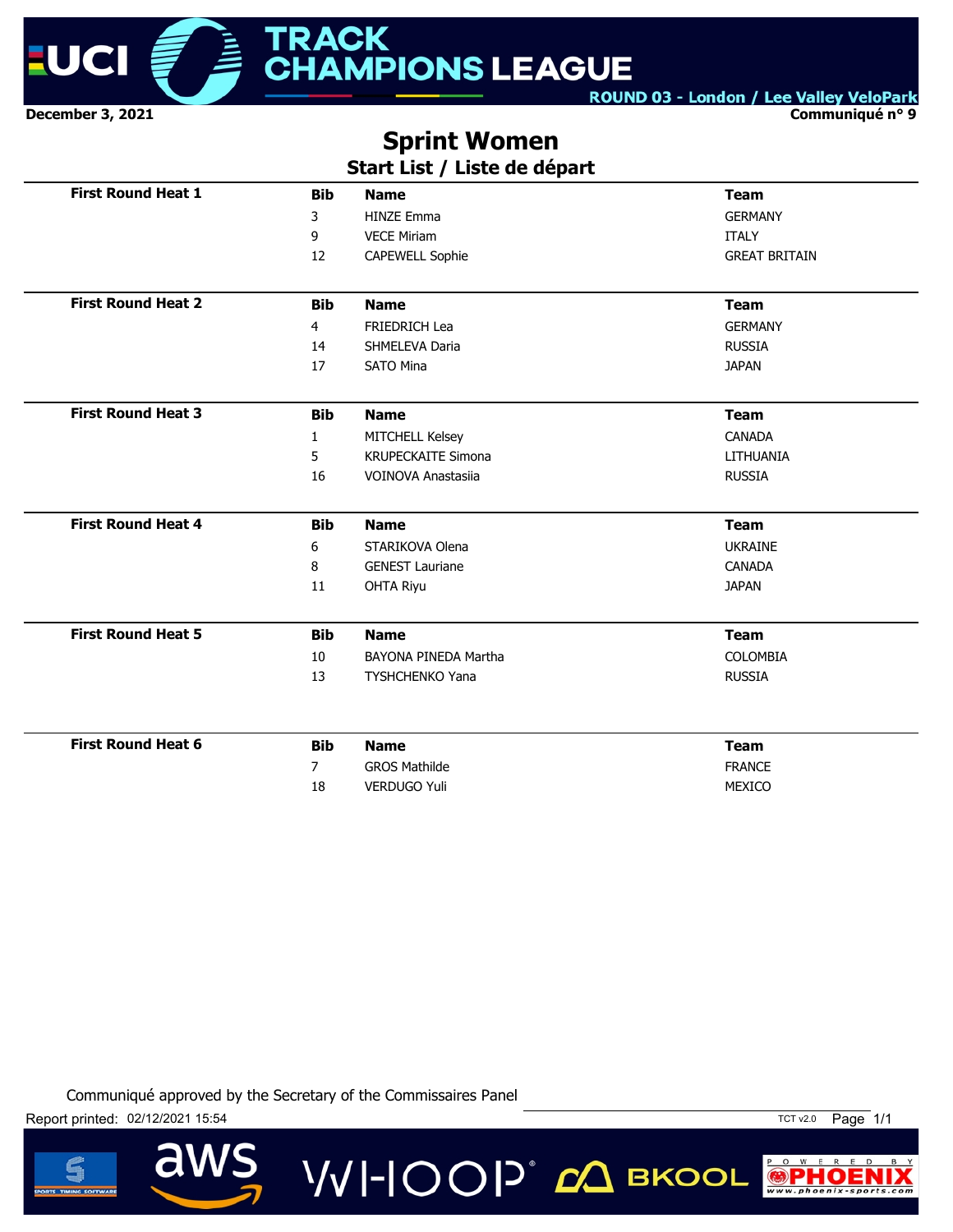

**Communiqué n° 9**

# **Sprint Women**

# **Start List / Liste de départ**

| <b>First Round Heat 1</b> | <b>Bib</b>     | <b>Name</b>               | <b>Team</b>          |
|---------------------------|----------------|---------------------------|----------------------|
|                           | 3              | <b>HINZE Emma</b>         | <b>GERMANY</b>       |
|                           | 9              | <b>VECE Miriam</b>        | <b>ITALY</b>         |
|                           | 12             | <b>CAPEWELL Sophie</b>    | <b>GREAT BRITAIN</b> |
| <b>First Round Heat 2</b> | <b>Bib</b>     | <b>Name</b>               | <b>Team</b>          |
|                           | 4              | FRIEDRICH Lea             | <b>GERMANY</b>       |
|                           | 14             | SHMELEVA Daria            | <b>RUSSIA</b>        |
|                           | 17             | <b>SATO Mina</b>          | <b>JAPAN</b>         |
| <b>First Round Heat 3</b> | <b>Bib</b>     | <b>Name</b>               | <b>Team</b>          |
|                           | $\mathbf{1}$   | MITCHELL Kelsey           | <b>CANADA</b>        |
|                           | 5              | <b>KRUPECKAITE Simona</b> | LITHUANIA            |
|                           | 16             | <b>VOINOVA Anastasija</b> | <b>RUSSIA</b>        |
|                           |                |                           |                      |
| <b>First Round Heat 4</b> | <b>Bib</b>     | <b>Name</b>               | <b>Team</b>          |
|                           | 6              | STARIKOVA Olena           | <b>UKRAINE</b>       |
|                           | 8              | <b>GENEST Lauriane</b>    | <b>CANADA</b>        |
|                           | 11             | <b>OHTA Riyu</b>          | <b>JAPAN</b>         |
| <b>First Round Heat 5</b> | <b>Bib</b>     | <b>Name</b>               | <b>Team</b>          |
|                           | 10             | BAYONA PINEDA Martha      | <b>COLOMBIA</b>      |
|                           | 13             | <b>TYSHCHENKO Yana</b>    | <b>RUSSIA</b>        |
|                           |                |                           |                      |
| <b>First Round Heat 6</b> | <b>Bib</b>     | <b>Name</b>               | <b>Team</b>          |
|                           |                |                           |                      |
|                           | $\overline{7}$ | <b>GROS Mathilde</b>      | <b>FRANCE</b>        |

VVI-IOOP® *d*Q вкооц

Communiqué approved by the Secretary of the Commissaires Panel





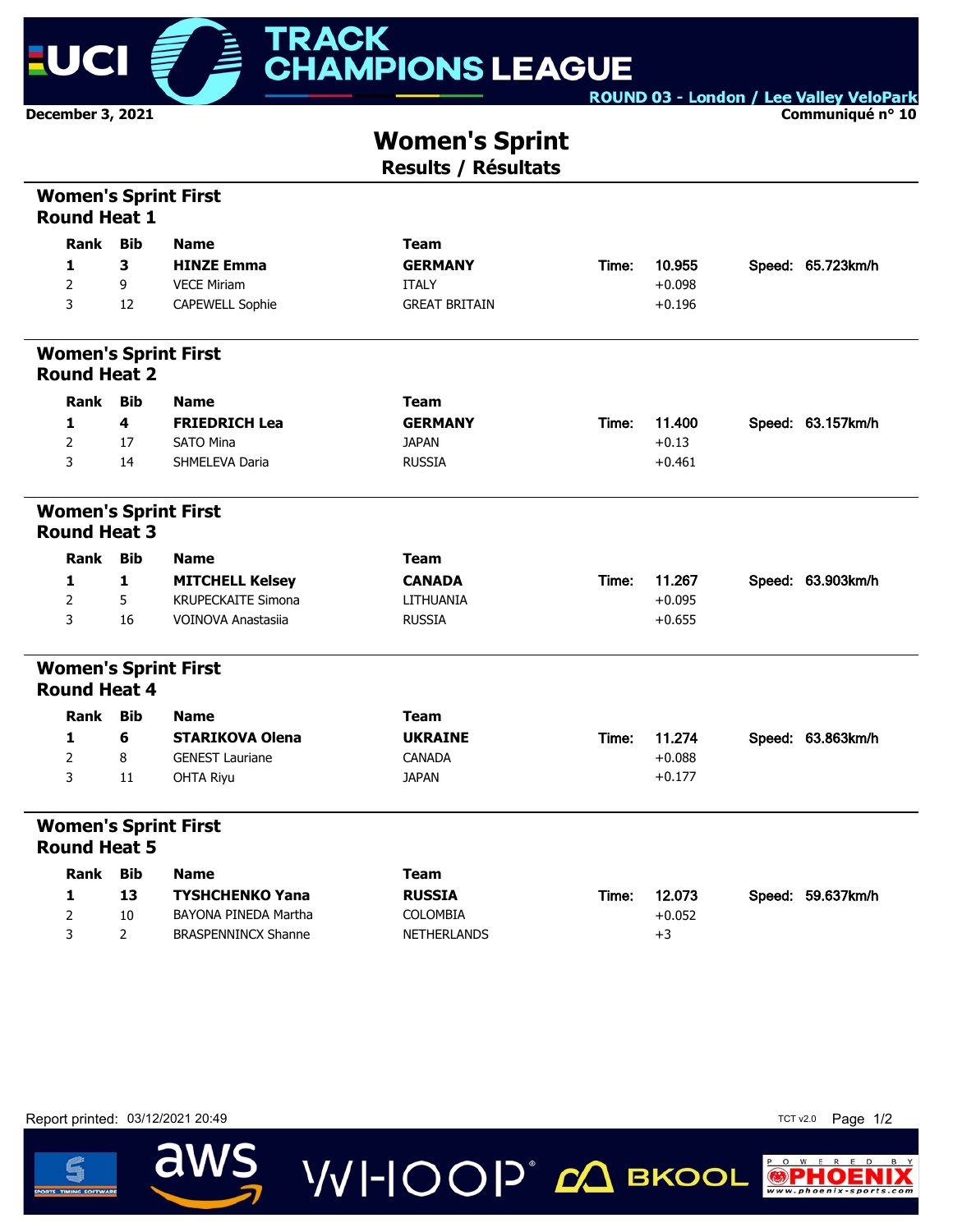

**Communiqué n° 10**

# **Women's Sprint**

**Results / Résultats**

| <b>Women's Sprint First</b><br><b>Round Heat 1</b> |                |                            |                      |       |          |                   |
|----------------------------------------------------|----------------|----------------------------|----------------------|-------|----------|-------------------|
| Rank                                               | <b>Bib</b>     | <b>Name</b>                | <b>Team</b>          |       |          |                   |
| 1                                                  | 3              | <b>HINZE Emma</b>          | <b>GERMANY</b>       | Time: | 10.955   | Speed: 65.723km/h |
| 2                                                  | 9              | <b>VECE Miriam</b>         | <b>ITALY</b>         |       | $+0.098$ |                   |
| 3                                                  | 12             | CAPEWELL Sophie            | <b>GREAT BRITAIN</b> |       | $+0.196$ |                   |
| <b>Women's Sprint First</b><br><b>Round Heat 2</b> |                |                            |                      |       |          |                   |
| Rank                                               | <b>Bib</b>     | <b>Name</b>                | <b>Team</b>          |       |          |                   |
| 1                                                  | 4              | <b>FRIEDRICH Lea</b>       | <b>GERMANY</b>       | Time: | 11.400   | Speed: 63.157km/h |
| 2                                                  | 17             | <b>SATO Mina</b>           | <b>JAPAN</b>         |       | $+0.13$  |                   |
| 3                                                  | 14             | SHMELEVA Daria             | <b>RUSSIA</b>        |       | $+0.461$ |                   |
| <b>Women's Sprint First</b><br><b>Round Heat 3</b> |                |                            |                      |       |          |                   |
| Rank                                               | <b>Bib</b>     | <b>Name</b>                | <b>Team</b>          |       |          |                   |
| 1                                                  | 1              | <b>MITCHELL Kelsey</b>     | <b>CANADA</b>        | Time: | 11.267   | Speed: 63.903km/h |
| 2                                                  | 5              | <b>KRUPECKAITE Simona</b>  | LITHUANIA            |       | $+0.095$ |                   |
| 3                                                  | 16             | <b>VOINOVA Anastasiia</b>  | <b>RUSSIA</b>        |       | $+0.655$ |                   |
| <b>Women's Sprint First</b><br><b>Round Heat 4</b> |                |                            |                      |       |          |                   |
| Rank                                               | <b>Bib</b>     | <b>Name</b>                | <b>Team</b>          |       |          |                   |
| 1                                                  | 6              | <b>STARIKOVA Olena</b>     | <b>UKRAINE</b>       | Time: | 11.274   | Speed: 63.863km/h |
| $\overline{2}$                                     | 8              | <b>GENEST Lauriane</b>     | CANADA               |       | $+0.088$ |                   |
| 3                                                  | 11             | <b>OHTA Riyu</b>           | <b>JAPAN</b>         |       | $+0.177$ |                   |
| <b>Women's Sprint First</b><br><b>Round Heat 5</b> |                |                            |                      |       |          |                   |
| Rank                                               | <b>Bib</b>     | <b>Name</b>                | <b>Team</b>          |       |          |                   |
| 1                                                  | 13             | <b>TYSHCHENKO Yana</b>     | <b>RUSSIA</b>        | Time: | 12.073   | Speed: 59.637km/h |
| 2                                                  | 10             | BAYONA PINEDA Martha       | <b>COLOMBIA</b>      |       | $+0.052$ |                   |
| 3                                                  | $\overline{2}$ | <b>BRASPENNINCX Shanne</b> | <b>NETHERLANDS</b>   |       | $+3$     |                   |
|                                                    |                |                            |                      |       |          |                   |

**VVI-IOOP** ДВКООL

Report printed: 03/12/2021 20:49 TCT v2.0 Page 1/2

aws



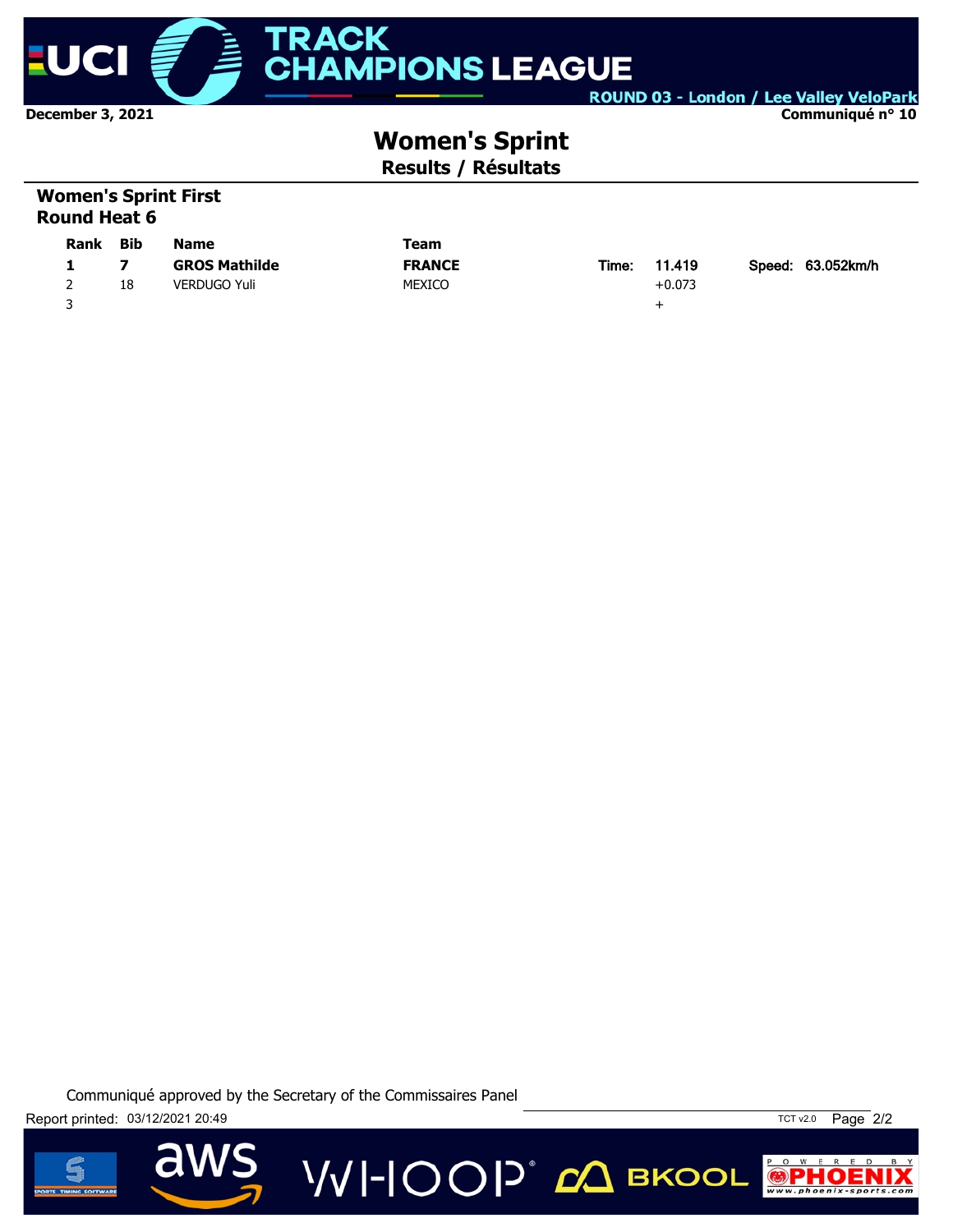

#### **Communiqué n° 10**

# **Women's Sprint Results / Résultats**

## **Women's Sprint First Round Heat 6**

| <b>Rank</b> | Bib | <b>Name</b>          | Team          |       |          |                   |
|-------------|-----|----------------------|---------------|-------|----------|-------------------|
|             |     | <b>GROS Mathilde</b> | <b>FRANCE</b> | Time: | 11.419   | Speed: 63.052km/h |
|             | 18  | <b>VERDUGO Yuli</b>  | <b>MEXICO</b> |       | $+0.073$ |                   |
|             |     |                      |               |       | -        |                   |

**VVI-IOOP** CA BKOOL





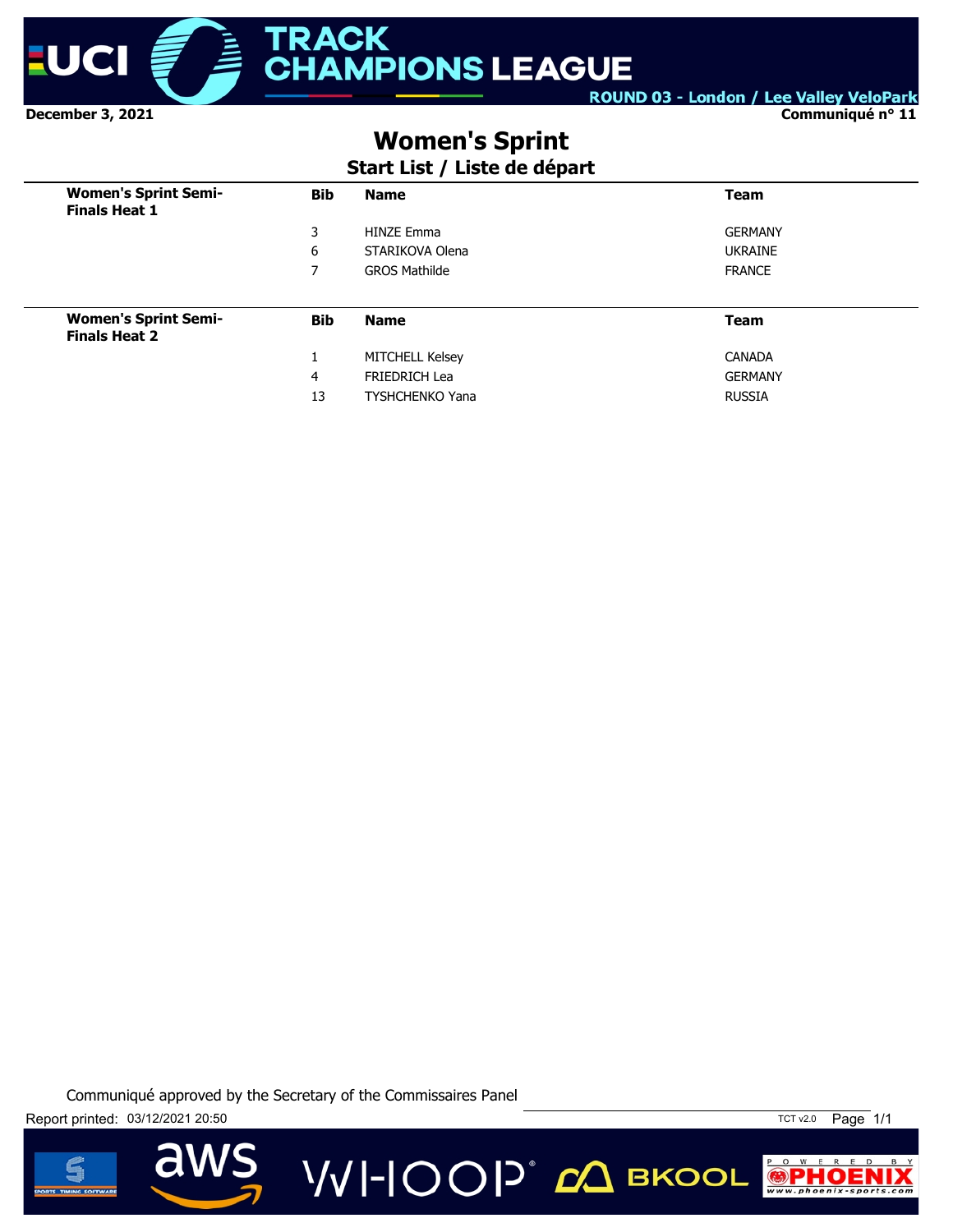

**Communiqué n° 11**

# **Women's Sprint**

# **Start List / Liste de départ**

| <b>Women's Sprint Semi-</b><br><b>Finals Heat 1</b> | <b>Bib</b> | <b>Name</b>            | <b>Team</b>    |
|-----------------------------------------------------|------------|------------------------|----------------|
|                                                     | 3          | <b>HINZE Emma</b>      | <b>GERMANY</b> |
|                                                     | 6          | STARIKOVA Olena        | <b>UKRAINE</b> |
|                                                     | 7          | <b>GROS Mathilde</b>   | <b>FRANCE</b>  |
|                                                     |            |                        |                |
| <b>Women's Sprint Semi-</b><br><b>Finals Heat 2</b> | <b>Bib</b> | <b>Name</b>            | <b>Team</b>    |
|                                                     | 1          | <b>MITCHELL Kelsey</b> | <b>CANADA</b>  |
|                                                     | 4          | <b>FRIEDRICH Lea</b>   | <b>GERMANY</b> |
|                                                     | 13         | <b>TYSHCHENKO Yana</b> | <b>RUSSIA</b>  |





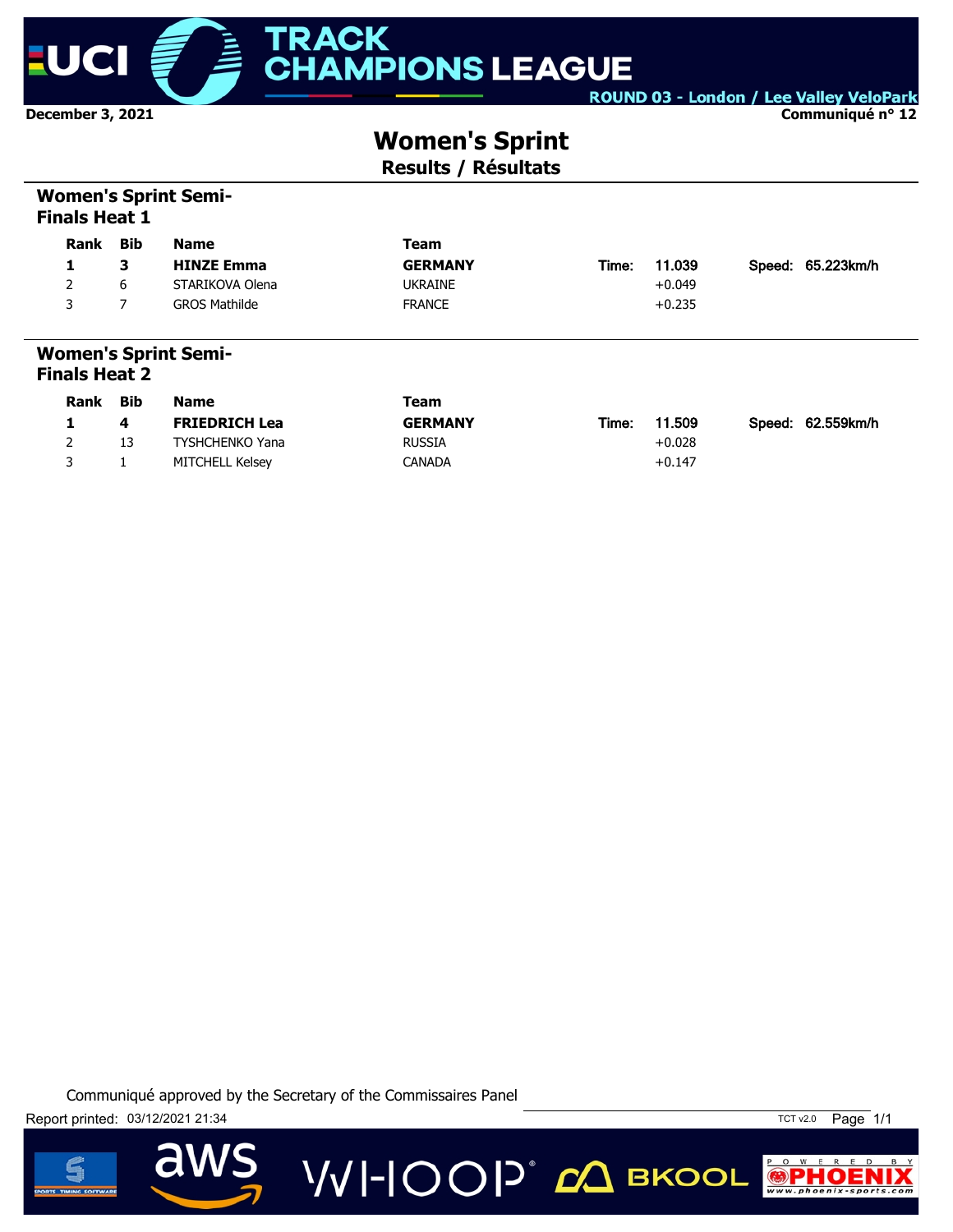

**Communiqué n° 12**

# **Women's Sprint**

**Results / Résultats**

## **Women's Sprint Semi-Finals Heat 1**

| <b>Rank</b>   | Bib      | <b>Name</b>                 | Team                          |       |          |                   |
|---------------|----------|-----------------------------|-------------------------------|-------|----------|-------------------|
| 1             | з        | <b>HINZE Emma</b>           | <b>GERMANY</b>                | Time: | 11.039   | Speed: 65.223km/h |
| 2             | 6        | STARIKOVA Olena             | <b>UKRAINE</b>                |       | $+0.049$ |                   |
| 3             |          | <b>GROS Mathilde</b>        | <b>FRANCE</b>                 |       | $+0.235$ |                   |
| Finals Heat 2 |          | <b>Women's Sprint Semi-</b> |                               |       |          |                   |
|               | Beat Bik | $\blacksquare$              | $\mathbf{F}$ and $\mathbf{F}$ |       |          |                   |

| <b>Rank</b> | <b>Bib</b> | <b>Name</b>          | Team           |                 |                   |
|-------------|------------|----------------------|----------------|-----------------|-------------------|
|             | 4          | <b>FRIEDRICH Lea</b> | <b>GERMANY</b> | 11.509<br>Time: | Speed: 62.559km/h |
|             | 13         | TYSHCHENKO Yana      | <b>RUSSIA</b>  | $+0.028$        |                   |
|             |            | MITCHELL Kelsev      | CANADA         | $+0.147$        |                   |

**VVI-IOOP** 20 BKOOL





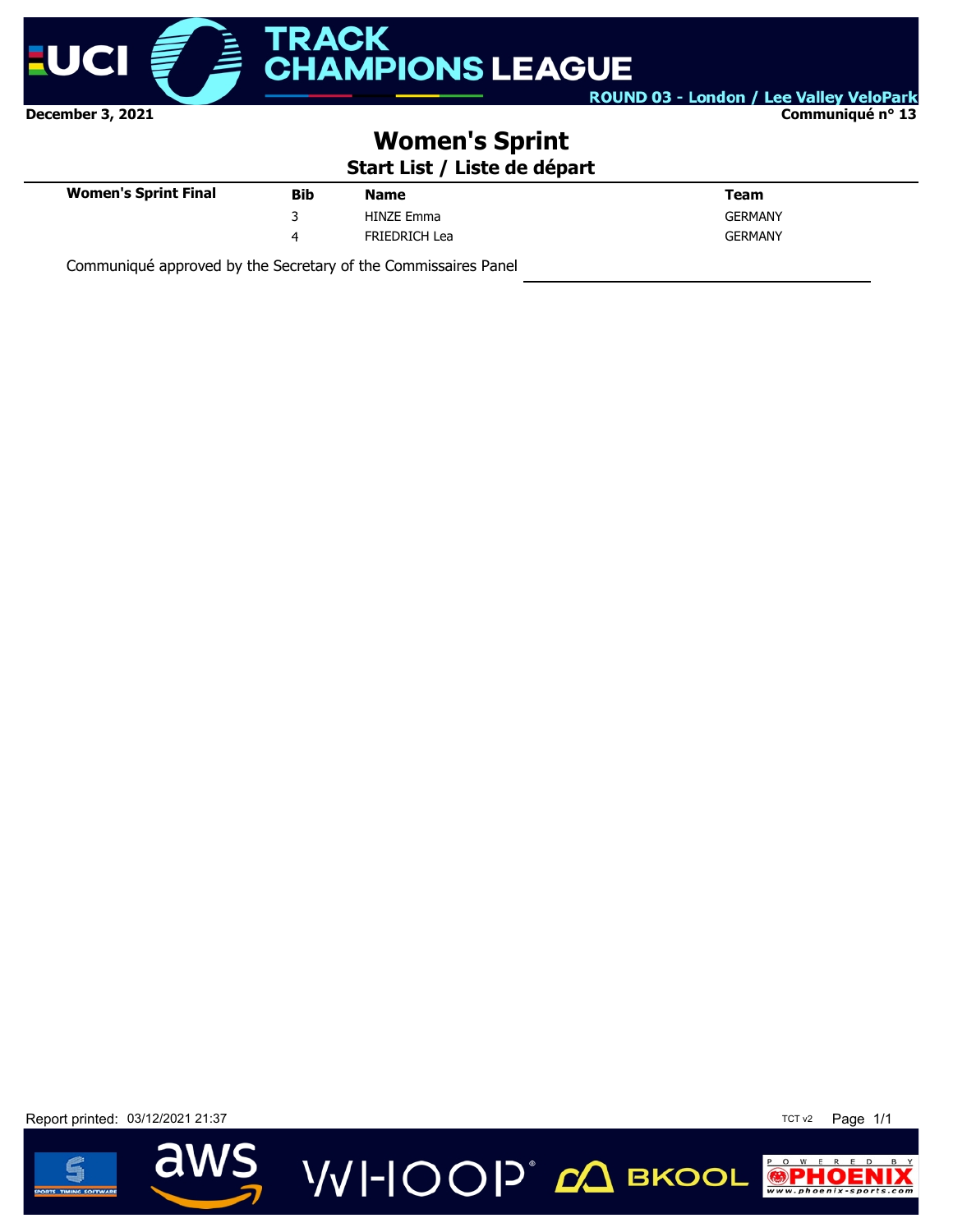

**Communiqué n° 13**

# **Women's Sprint**

**Start List / Liste de départ**

**VVI-IOOP** ДВКООL

| <b>Women's Sprint Final</b> | Bib | <b>Name</b>          | Team           |
|-----------------------------|-----|----------------------|----------------|
|                             |     | <b>HINZE Emma</b>    | <b>GERMANY</b> |
|                             | 4   | <b>FRIEDRICH Lea</b> | <b>GERMANY</b> |
|                             |     |                      |                |

Communiqué approved by the Secretary of the Commissaires Panel

Report printed: 03/12/2021 21:37 TCT v2 Page 1/1



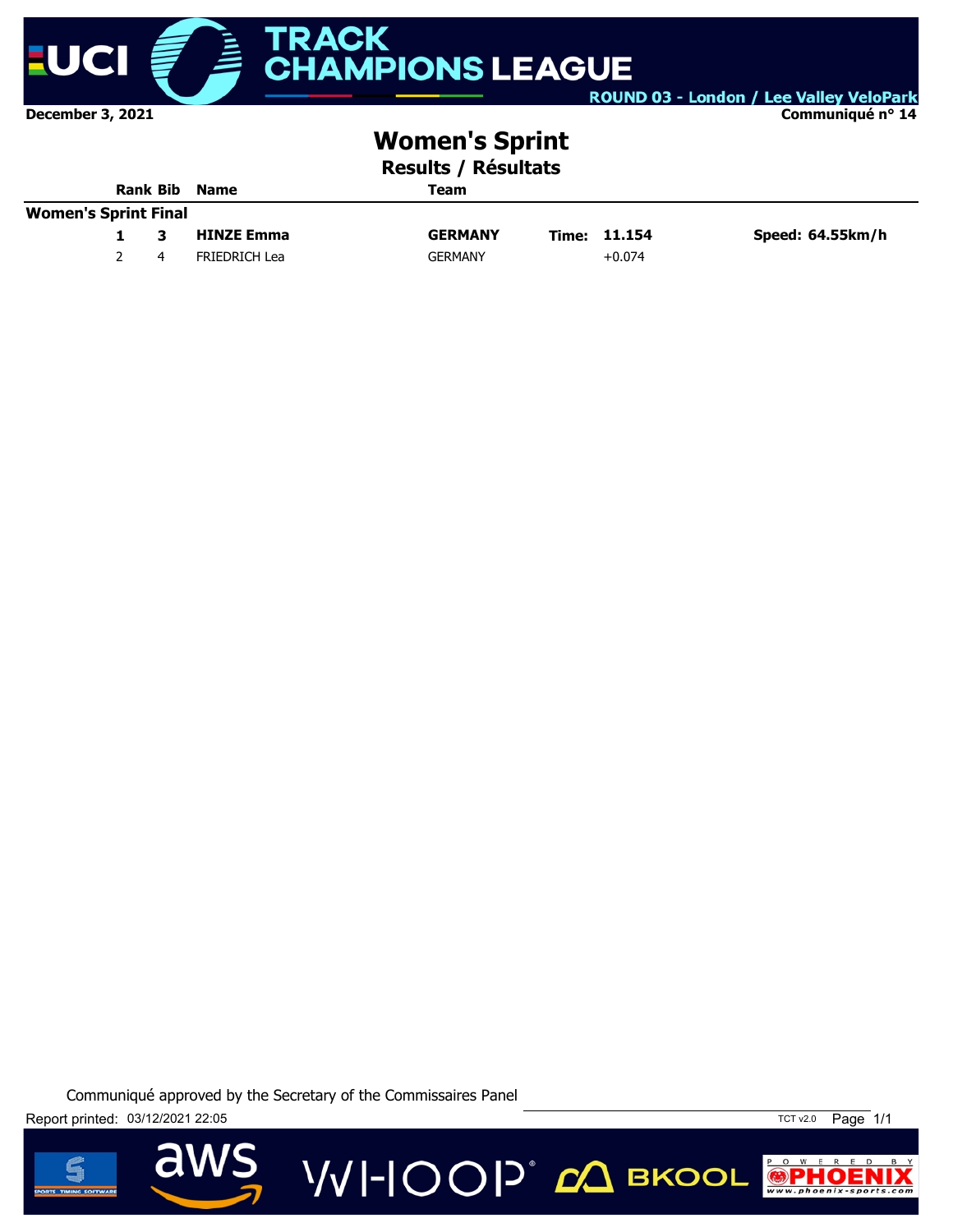

**Communiqué n° 14**

# **Women's Sprint**

**Results / Résultats**

|                             | <b>Rank Bib</b> |  | <b>Name</b>          | Team           |  |              |                  |
|-----------------------------|-----------------|--|----------------------|----------------|--|--------------|------------------|
| <b>Women's Sprint Final</b> |                 |  |                      |                |  |              |                  |
|                             |                 |  | <b>HINZE Emma</b>    | <b>GERMANY</b> |  | Time: 11.154 | Speed: 64.55km/h |
|                             |                 |  | <b>FRIEDRICH Lea</b> | <b>GERMANY</b> |  | $+0.074$     |                  |

Communiqué approved by the Secretary of the Commissaires Panel

**VVI-IOOP** ДВКООL

Report printed: 03/12/2021 22:05 TCT v2.0 Page 1/1



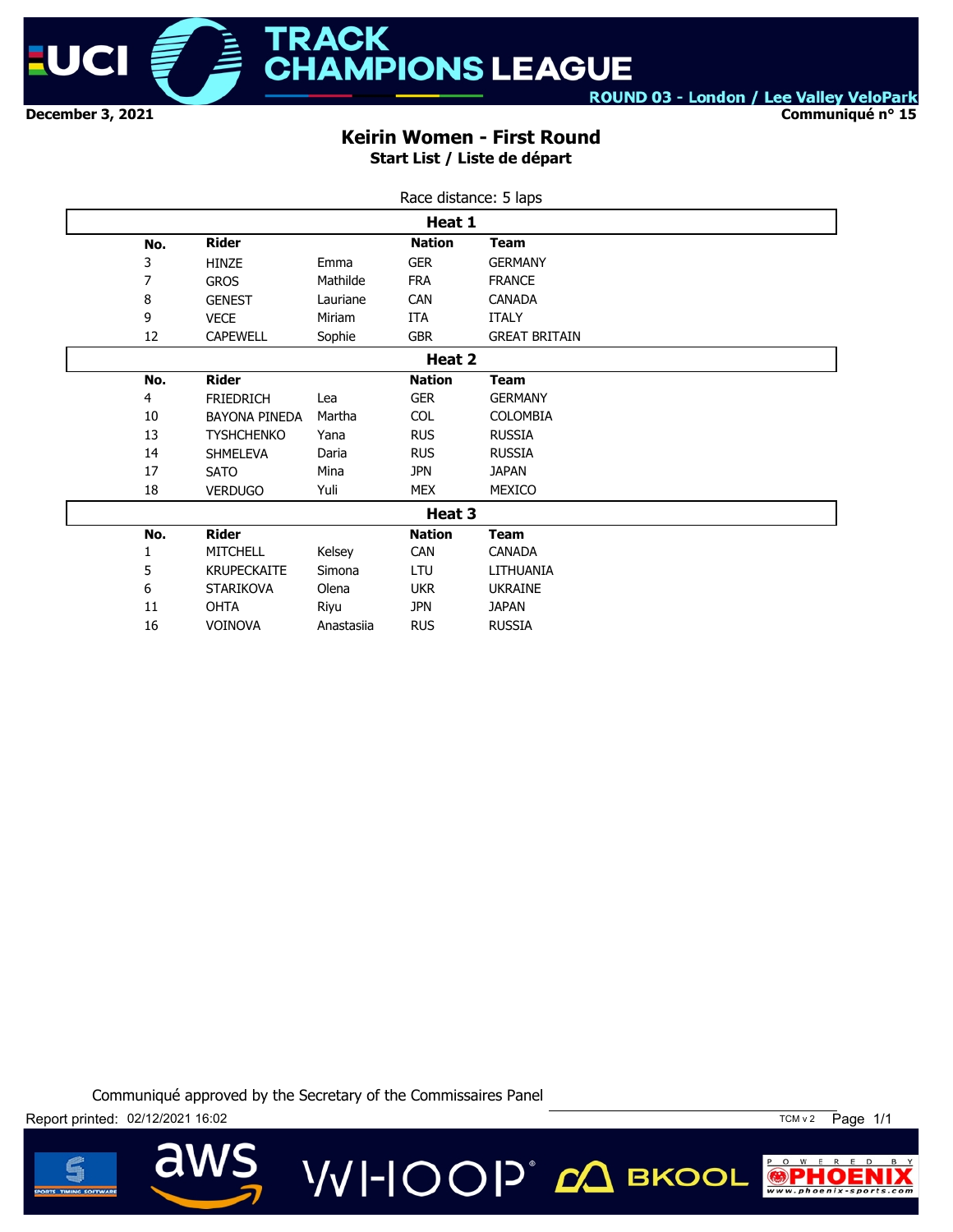

**Communiqué n° 15**

### **Keirin Women - First Round Start List / Liste de départ**

| Race distance: 5 laps |                      |            |               |                      |  |  |  |  |
|-----------------------|----------------------|------------|---------------|----------------------|--|--|--|--|
| Heat 1                |                      |            |               |                      |  |  |  |  |
| No.                   | <b>Rider</b>         |            | <b>Nation</b> | <b>Team</b>          |  |  |  |  |
| 3                     | <b>HINZE</b>         | Emma       | <b>GER</b>    | <b>GERMANY</b>       |  |  |  |  |
| 7                     | <b>GROS</b>          | Mathilde   | <b>FRA</b>    | <b>FRANCE</b>        |  |  |  |  |
| 8                     | <b>GENEST</b>        | Lauriane   | <b>CAN</b>    | <b>CANADA</b>        |  |  |  |  |
| 9                     | <b>VECE</b>          | Miriam     | ITA           | <b>ITALY</b>         |  |  |  |  |
| 12                    | <b>CAPEWELL</b>      | Sophie     | <b>GBR</b>    | <b>GREAT BRITAIN</b> |  |  |  |  |
|                       |                      |            | Heat 2        |                      |  |  |  |  |
| No.                   | <b>Rider</b>         |            | <b>Nation</b> | <b>Team</b>          |  |  |  |  |
| 4                     | <b>FRIEDRICH</b>     | Lea        | <b>GER</b>    | <b>GERMANY</b>       |  |  |  |  |
| 10                    | <b>BAYONA PINEDA</b> | Martha     | <b>COL</b>    | <b>COLOMBIA</b>      |  |  |  |  |
| 13                    | <b>TYSHCHENKO</b>    | Yana       | <b>RUS</b>    | <b>RUSSIA</b>        |  |  |  |  |
| 14                    | <b>SHMELEVA</b>      | Daria      | <b>RUS</b>    | <b>RUSSIA</b>        |  |  |  |  |
| 17                    | <b>SATO</b>          | Mina       | <b>JPN</b>    | <b>JAPAN</b>         |  |  |  |  |
| 18                    | <b>VERDUGO</b>       | Yuli       | <b>MEX</b>    | MEXICO               |  |  |  |  |
|                       |                      |            | Heat 3        |                      |  |  |  |  |
| No.                   | <b>Rider</b>         |            | <b>Nation</b> | <b>Team</b>          |  |  |  |  |
| 1                     | MITCHELL             | Kelsey     | <b>CAN</b>    | CANADA               |  |  |  |  |
| 5                     | <b>KRUPECKAITE</b>   | Simona     | LTU           | LITHUANIA            |  |  |  |  |
| 6                     | <b>STARIKOVA</b>     | Olena      | <b>UKR</b>    | <b>UKRAINE</b>       |  |  |  |  |
| 11                    | <b>OHTA</b>          | Riyu       | <b>JPN</b>    | <b>JAPAN</b>         |  |  |  |  |
| 16                    | <b>VOINOVA</b>       | Anastasiia | <b>RUS</b>    | <b>RUSSIA</b>        |  |  |  |  |

Communiqué approved by the Secretary of the Commissaires Panel

**VVI-IOOP** CA BKOOL





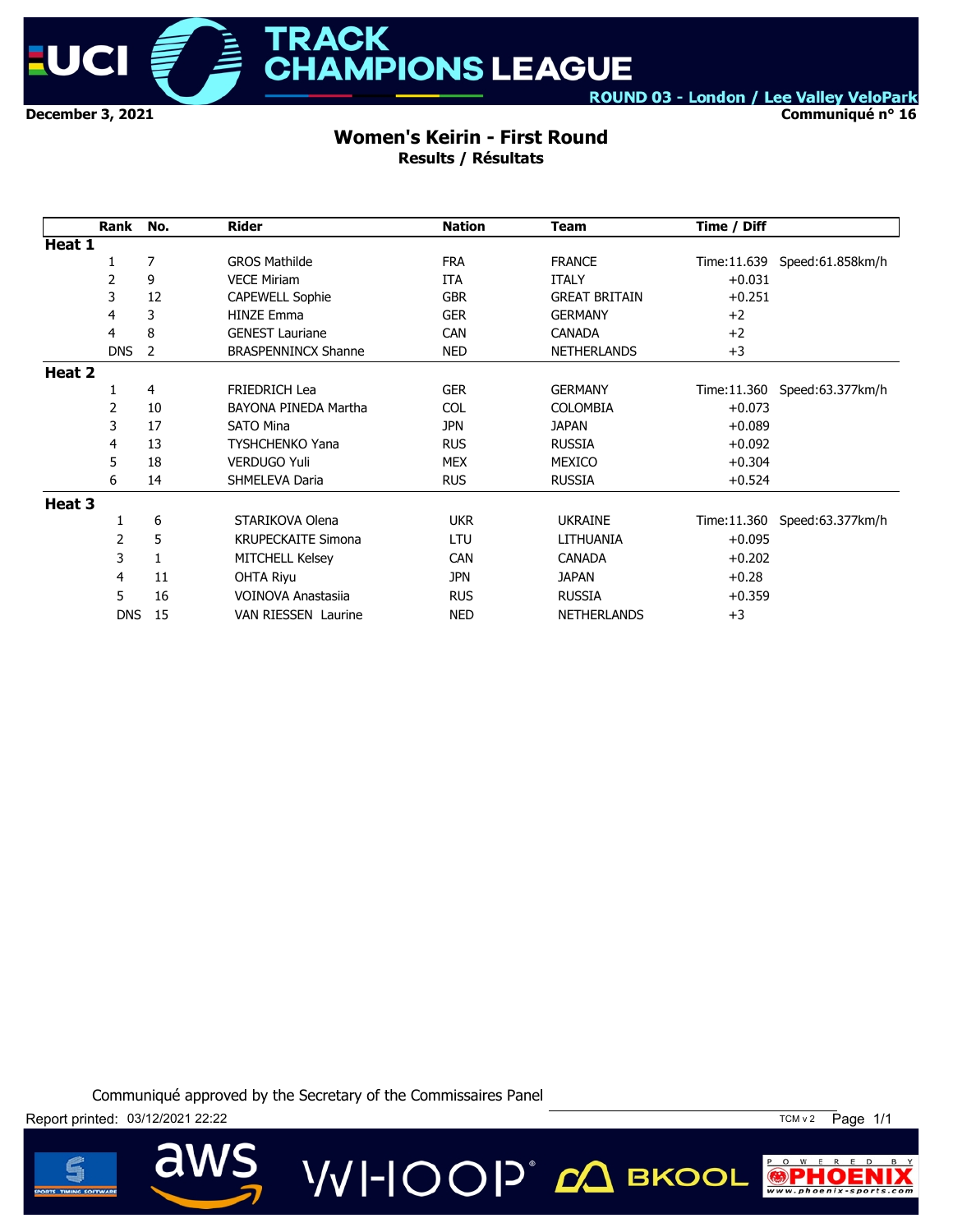

**TRACK** HAMPIONS LEAGUE

ROUND 03 - London / Lee Valley VeloPark

**Communiqué n° 16**

#### **Women's Keirin - First Round Results / Résultats**

|        | Rank       | No. | <b>Rider</b>               | <b>Nation</b> | <b>Team</b>          | Time / Diff |                   |
|--------|------------|-----|----------------------------|---------------|----------------------|-------------|-------------------|
| Heat 1 |            |     |                            |               |                      |             |                   |
|        | 1          | 7   | <b>GROS Mathilde</b>       | <b>FRA</b>    | <b>FRANCE</b>        | Time:11.639 | Speed:61.858km/h  |
|        | 2          | 9   | <b>VECE Miriam</b>         | <b>ITA</b>    | <b>ITALY</b>         | $+0.031$    |                   |
|        | 3          | 12  | <b>CAPEWELL Sophie</b>     | <b>GBR</b>    | <b>GREAT BRITAIN</b> | $+0.251$    |                   |
|        | 4          | 3   | <b>HINZE Emma</b>          | <b>GER</b>    | <b>GERMANY</b>       | $+2$        |                   |
|        | 4          | 8   | <b>GENEST Lauriane</b>     | <b>CAN</b>    | <b>CANADA</b>        | $+2$        |                   |
|        | <b>DNS</b> | 2   | <b>BRASPENNINCX Shanne</b> | <b>NED</b>    | <b>NETHERLANDS</b>   | $+3$        |                   |
| Heat 2 |            |     |                            |               |                      |             |                   |
|        | 1          | 4   | <b>FRIEDRICH Lea</b>       | <b>GER</b>    | <b>GERMANY</b>       | Time:11.360 | Speed: 63.377km/h |
|        | 2          | 10  | BAYONA PINEDA Martha       | <b>COL</b>    | <b>COLOMBIA</b>      | $+0.073$    |                   |
|        | 3          | 17  | <b>SATO Mina</b>           | <b>JPN</b>    | <b>JAPAN</b>         | $+0.089$    |                   |
|        | 4          | 13  | <b>TYSHCHENKO Yana</b>     | <b>RUS</b>    | <b>RUSSIA</b>        | $+0.092$    |                   |
|        | 5          | 18  | <b>VERDUGO Yuli</b>        | <b>MEX</b>    | MEXICO               | $+0.304$    |                   |
|        | 6          | 14  | SHMELEVA Daria             | <b>RUS</b>    | <b>RUSSIA</b>        | $+0.524$    |                   |
| Heat 3 |            |     |                            |               |                      |             |                   |
|        |            | 6   | STARIKOVA Olena            | <b>UKR</b>    | <b>UKRAINE</b>       | Time:11.360 | Speed:63.377km/h  |
|        | 2          | 5   | <b>KRUPECKAITE Simona</b>  | LTU           | LITHUANIA            | $+0.095$    |                   |
|        | 3          | 1   | <b>MITCHELL Kelsey</b>     | <b>CAN</b>    | <b>CANADA</b>        | $+0.202$    |                   |
|        | 4          | 11  | <b>OHTA Riyu</b>           | <b>JPN</b>    | <b>JAPAN</b>         | $+0.28$     |                   |
|        | 5          | 16  | VOINOVA Anastasija         | <b>RUS</b>    | <b>RUSSIA</b>        | $+0.359$    |                   |
|        | <b>DNS</b> | 15  | <b>VAN RIESSEN Laurine</b> | <b>NED</b>    | <b>NETHERLANDS</b>   | $+3$        |                   |

VVI-IOOP® сД вкооц

Communiqué approved by the Secretary of the Commissaires Panel

Report printed: 03/12/2021 22:22 TCM v 2 Page 1/1





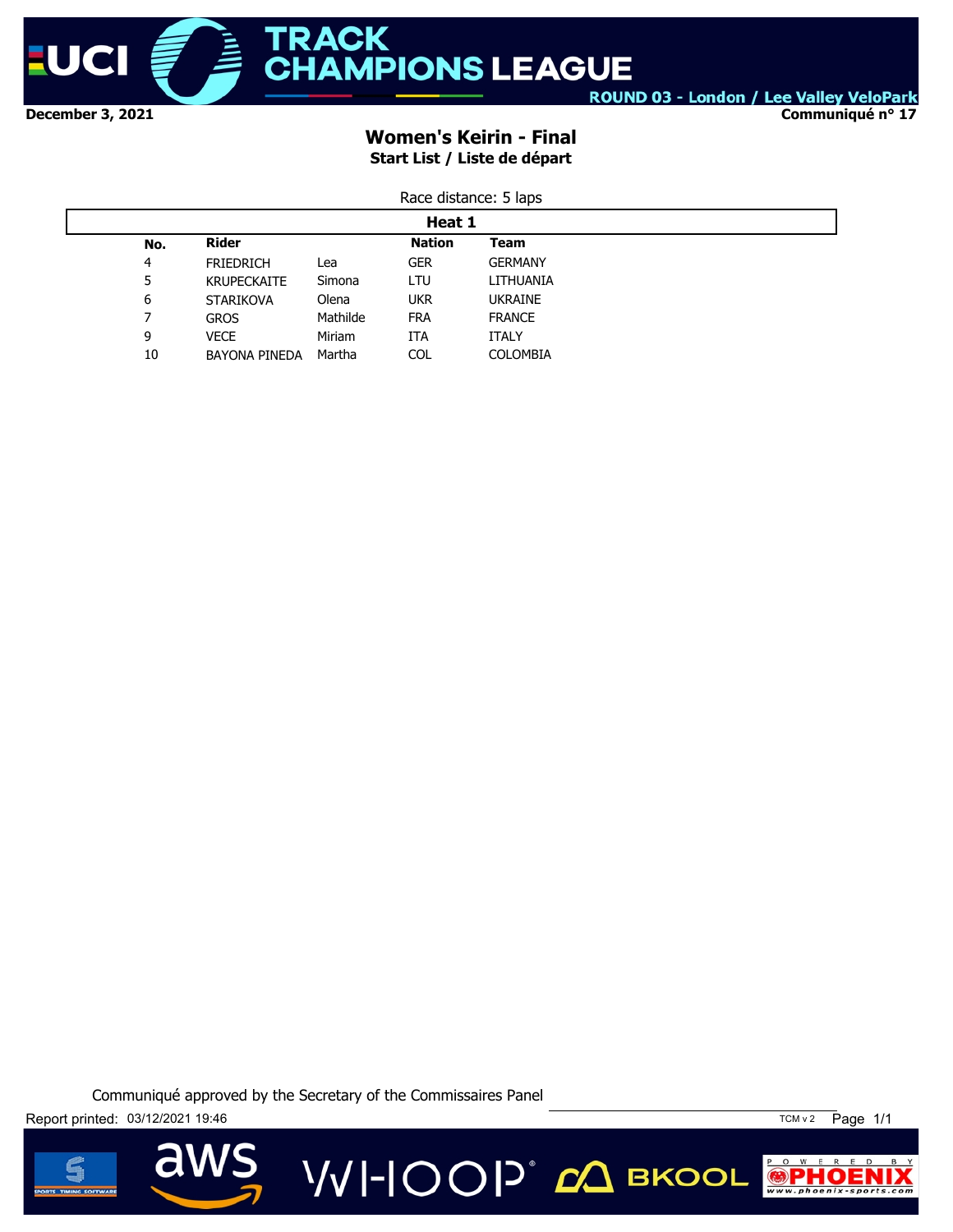

**Communiqué n° 17**

## **Women's Keirin - Final Start List / Liste de départ**

| Race distance: 5 laps |  |
|-----------------------|--|
|                       |  |

| Heat 1 |                      |          |            |                 |  |  |  |
|--------|----------------------|----------|------------|-----------------|--|--|--|
| No.    | <b>Rider</b>         |          | Nation     | Team            |  |  |  |
| 4      | <b>FRIEDRICH</b>     | Lea      | <b>GER</b> | <b>GERMANY</b>  |  |  |  |
| 5      | <b>KRUPECKAITE</b>   | Simona   | LTU        | LITHUANIA       |  |  |  |
| 6      | <b>STARIKOVA</b>     | Olena    | <b>UKR</b> | <b>UKRAINE</b>  |  |  |  |
|        | <b>GROS</b>          | Mathilde | <b>FRA</b> | <b>FRANCE</b>   |  |  |  |
| 9      | <b>VECE</b>          | Miriam   | ITA        | <b>ITALY</b>    |  |  |  |
| 10     | <b>BAYONA PINEDA</b> | Martha   | <b>COL</b> | <b>COLOMBIA</b> |  |  |  |

Communiqué approved by the Secretary of the Commissaires Panel

**VVI-IOOP** ДВКООL

Report printed: 03/12/2021 19:46 TCM v 2 Page 1/1



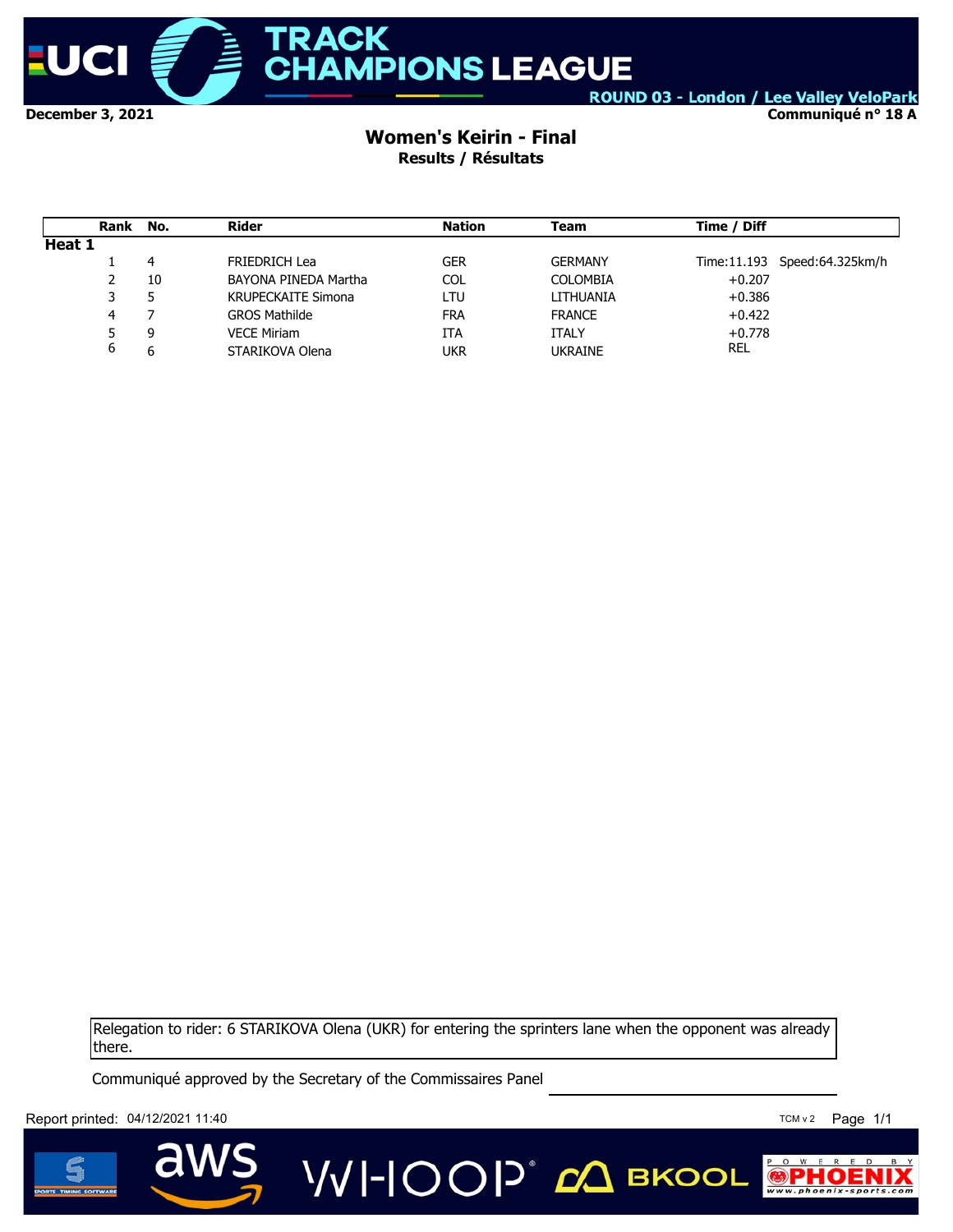

**Communiqué n° 18 A**

## **Women's Keirin - Final Results / Résultats**

|        | Rank | No. | Rider                     | <b>Nation</b> | Team            | Time / Diff                  |
|--------|------|-----|---------------------------|---------------|-----------------|------------------------------|
| Heat 1 |      |     |                           |               |                 |                              |
|        |      | 4   | <b>FRIEDRICH Lea</b>      | GER           | <b>GERMANY</b>  | Time:11.193 Speed:64.325km/h |
|        | 2    | 10  | BAYONA PINEDA Martha      | <b>COL</b>    | <b>COLOMBIA</b> | $+0.207$                     |
|        | 3    |     | <b>KRUPECKAITE Simona</b> | LTU           | LITHUANIA       | $+0.386$                     |
|        | 4    |     | <b>GROS Mathilde</b>      | <b>FRA</b>    | <b>FRANCE</b>   | $+0.422$                     |
|        | 5    | 9   | <b>VECE Miriam</b>        | ITA           | ITALY           | $+0.778$                     |
|        | 6    | 6   | STARIKOVA Olena           | ukr           | <b>UKRAINE</b>  | <b>REL</b>                   |

Relegation to rider: 6 STARIKOVA Olena (UKR) for entering the sprinters lane when the opponent was already there.

**VVI-IOOP** ДВКООL

Communiqué approved by the Secretary of the Commissaires Panel

Report printed:  $04/12/2021$  11:40



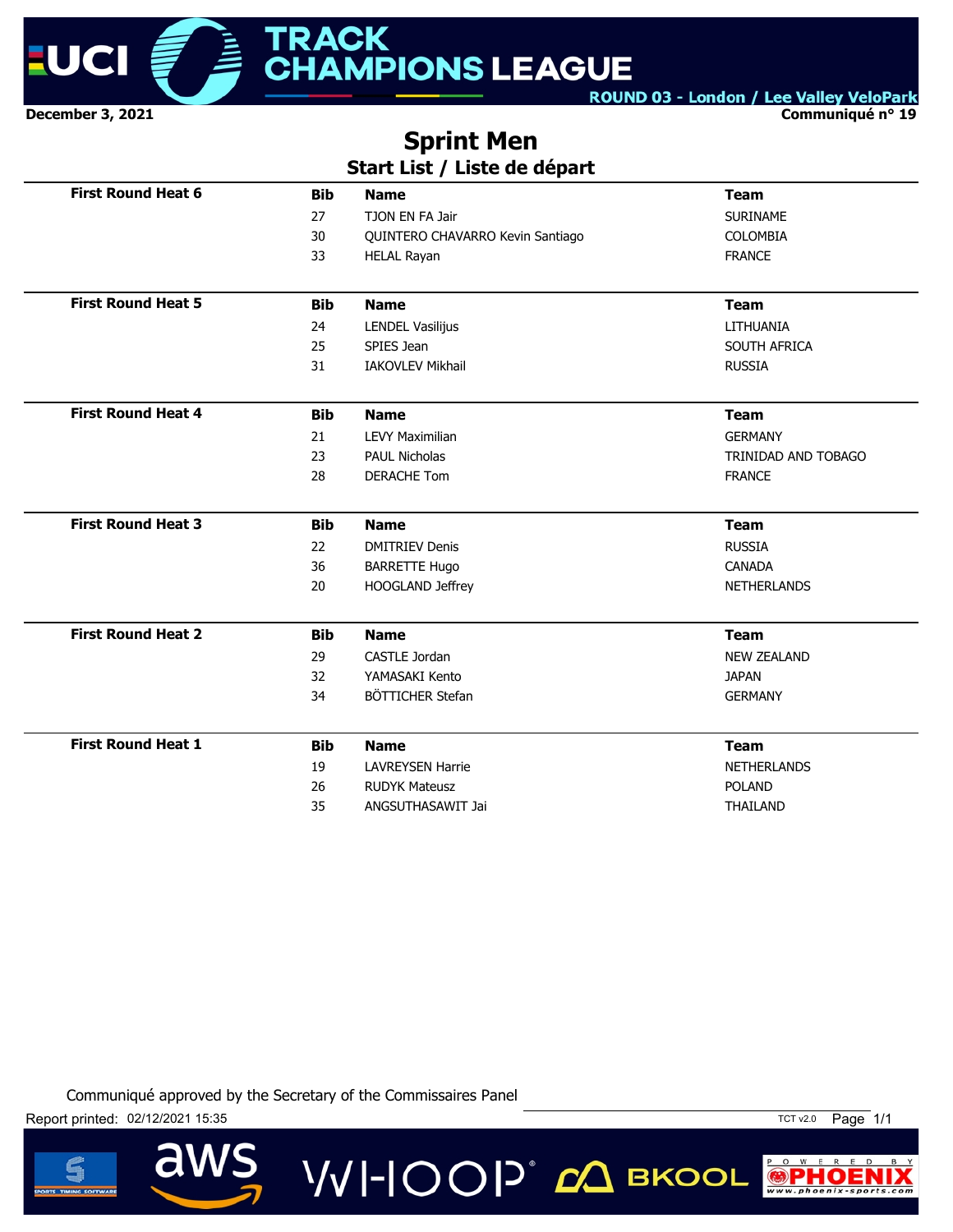

**Communiqué n° 19**

# **Sprint Men Start List / Liste de départ**

|                           |            | .                                |                     |
|---------------------------|------------|----------------------------------|---------------------|
| <b>First Round Heat 6</b> | <b>Bib</b> | <b>Name</b>                      | <b>Team</b>         |
|                           | 27         | TJON EN FA Jair                  | <b>SURINAME</b>     |
|                           | 30         | QUINTERO CHAVARRO Kevin Santiago | <b>COLOMBIA</b>     |
|                           | 33         | <b>HELAL Rayan</b>               | <b>FRANCE</b>       |
| <b>First Round Heat 5</b> | <b>Bib</b> | <b>Name</b>                      | <b>Team</b>         |
|                           | 24         | <b>LENDEL Vasilijus</b>          | LITHUANIA           |
|                           | 25         | SPIES Jean                       | SOUTH AFRICA        |
|                           | 31         | <b>IAKOVLEV Mikhail</b>          | <b>RUSSIA</b>       |
| <b>First Round Heat 4</b> | <b>Bib</b> | <b>Name</b>                      | <b>Team</b>         |
|                           | 21         | <b>LEVY Maximilian</b>           | <b>GERMANY</b>      |
|                           | 23         | <b>PAUL Nicholas</b>             | TRINIDAD AND TOBAGO |
|                           | 28         | <b>DERACHE Tom</b>               | <b>FRANCE</b>       |
| <b>First Round Heat 3</b> | <b>Bib</b> | <b>Name</b>                      | <b>Team</b>         |
|                           | 22         | <b>DMITRIEV Denis</b>            | <b>RUSSIA</b>       |
|                           | 36         | <b>BARRETTE Hugo</b>             | <b>CANADA</b>       |
|                           | 20         | HOOGLAND Jeffrey                 | <b>NETHERLANDS</b>  |
| <b>First Round Heat 2</b> | <b>Bib</b> | <b>Name</b>                      | <b>Team</b>         |
|                           | 29         | <b>CASTLE Jordan</b>             | <b>NEW ZEALAND</b>  |
|                           | 32         | YAMASAKI Kento                   | <b>JAPAN</b>        |
|                           | 34         | BÖTTICHER Stefan                 | <b>GERMANY</b>      |
| <b>First Round Heat 1</b> | <b>Bib</b> | <b>Name</b>                      | <b>Team</b>         |
|                           | 19         | <b>LAVREYSEN Harrie</b>          | <b>NETHERLANDS</b>  |
|                           | 26         | <b>RUDYK Mateusz</b>             | <b>POLAND</b>       |
|                           | 35         | ANGSUTHASAWIT Jai                | THAILAND            |
|                           |            |                                  |                     |

VVI-IOOP® *с*Д вкооц





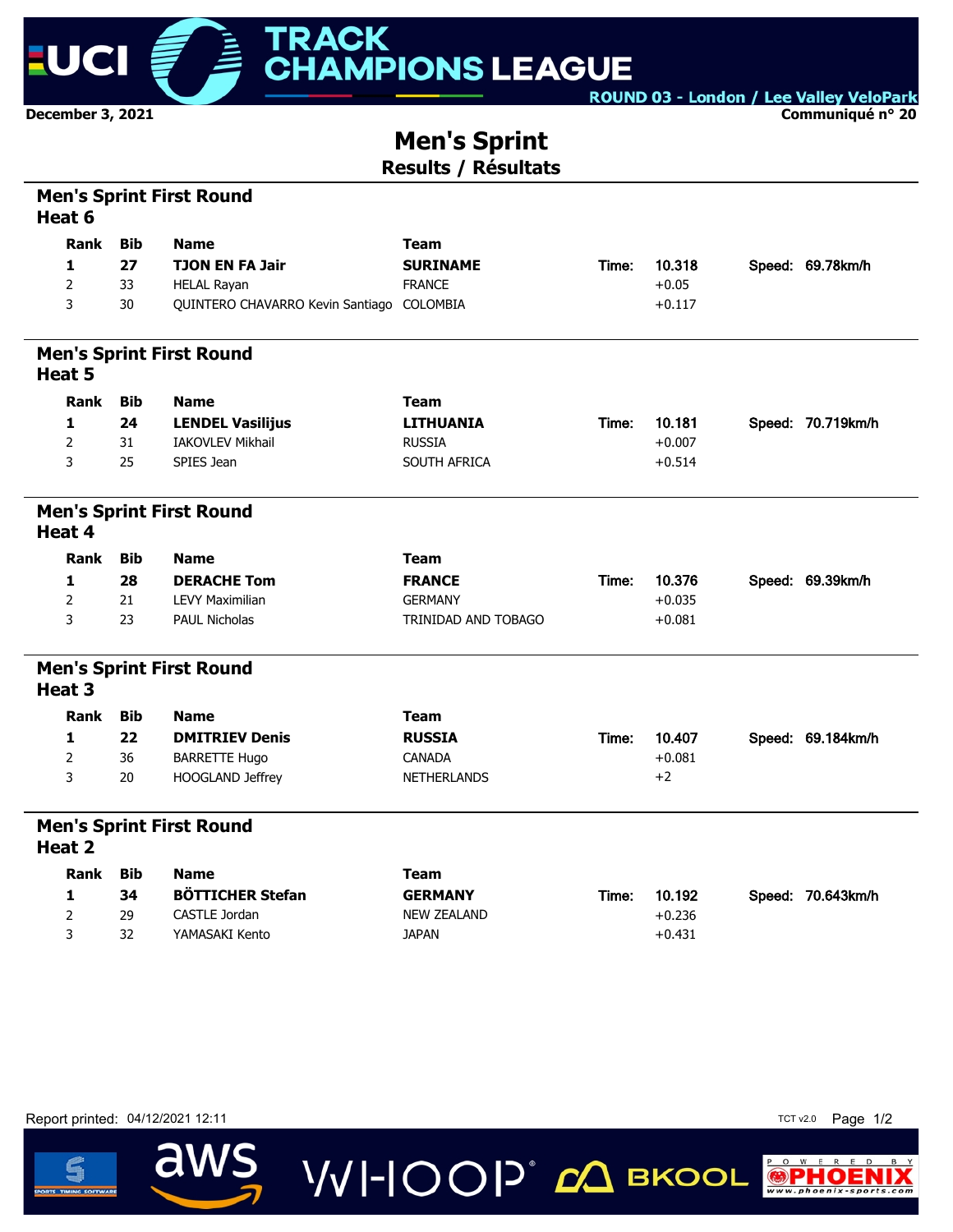

**Communiqué n° 20**

# **Men's Sprint Results / Résultats**

| Rank           | <b>Bib</b>                                     | <b>Name</b>             | <b>Team</b>                                                                                                                                                                                                                  |                                  |          |                   |
|----------------|------------------------------------------------|-------------------------|------------------------------------------------------------------------------------------------------------------------------------------------------------------------------------------------------------------------------|----------------------------------|----------|-------------------|
| 1              | 27                                             | <b>TJON EN FA Jair</b>  | <b>SURINAME</b>                                                                                                                                                                                                              |                                  | 10.318   | Speed: 69.78km/h  |
| $\overline{2}$ | 33                                             |                         | <b>FRANCE</b>                                                                                                                                                                                                                |                                  | $+0.05$  |                   |
| 3              | 30                                             |                         | COLOMBIA                                                                                                                                                                                                                     |                                  | $+0.117$ |                   |
|                |                                                |                         |                                                                                                                                                                                                                              |                                  |          |                   |
| Rank           | <b>Bib</b>                                     | <b>Name</b>             | <b>Team</b>                                                                                                                                                                                                                  |                                  |          |                   |
| 1              | 24                                             |                         | <b>LITHUANIA</b>                                                                                                                                                                                                             | Time:                            | 10.181   | Speed: 70.719km/h |
| $\overline{2}$ | 31                                             | <b>IAKOVLEV Mikhail</b> | <b>RUSSIA</b>                                                                                                                                                                                                                |                                  | $+0.007$ |                   |
| 3              | 25                                             | SPIES Jean              | SOUTH AFRICA                                                                                                                                                                                                                 |                                  | $+0.514$ |                   |
|                |                                                |                         |                                                                                                                                                                                                                              |                                  |          |                   |
| Rank           | <b>Bib</b>                                     | <b>Name</b>             | <b>Team</b>                                                                                                                                                                                                                  |                                  |          |                   |
| 1              | 28                                             | <b>DERACHE Tom</b>      | <b>FRANCE</b>                                                                                                                                                                                                                | Time:                            | 10.376   | Speed: 69.39km/h  |
| $\overline{2}$ | 21                                             | <b>LEVY Maximilian</b>  | <b>GERMANY</b>                                                                                                                                                                                                               |                                  | $+0.035$ |                   |
| 3              | 23                                             | <b>PAUL Nicholas</b>    | TRINIDAD AND TOBAGO                                                                                                                                                                                                          |                                  | $+0.081$ |                   |
|                |                                                |                         |                                                                                                                                                                                                                              |                                  |          |                   |
| Rank           | <b>Bib</b>                                     | <b>Name</b>             | <b>Team</b>                                                                                                                                                                                                                  |                                  |          |                   |
| 1              | 22                                             | <b>DMITRIEV Denis</b>   | <b>RUSSIA</b>                                                                                                                                                                                                                | Time:                            | 10.407   | Speed: 69.184km/h |
| 2              | 36                                             | <b>BARRETTE Hugo</b>    | <b>CANADA</b>                                                                                                                                                                                                                |                                  | $+0.081$ |                   |
| 3              | 20                                             | HOOGLAND Jeffrey        | NETHERLANDS                                                                                                                                                                                                                  |                                  | $+2$     |                   |
|                |                                                |                         |                                                                                                                                                                                                                              |                                  |          |                   |
| Rank           | <b>Bib</b>                                     | <b>Name</b>             | Team                                                                                                                                                                                                                         |                                  |          |                   |
| 1              | 34                                             | <b>BÖTTICHER Stefan</b> | <b>GERMANY</b>                                                                                                                                                                                                               | Time:                            | 10.192   | Speed: 70.643km/h |
| $\overline{2}$ | 29                                             | CASTLE Jordan           | <b>NEW ZEALAND</b>                                                                                                                                                                                                           |                                  | $+0.236$ |                   |
| 3              | 32                                             | YAMASAKI Kento          | <b>JAPAN</b>                                                                                                                                                                                                                 |                                  | $+0.431$ |                   |
|                | Heat 6<br>Heat 5<br>Heat 4<br>Heat 3<br>Heat 2 |                         | <b>Men's Sprint First Round</b><br><b>HELAL Rayan</b><br><b>Men's Sprint First Round</b><br><b>LENDEL Vasilijus</b><br><b>Men's Sprint First Round</b><br><b>Men's Sprint First Round</b><br><b>Men's Sprint First Round</b> | QUINTERO CHAVARRO Kevin Santiago | Time:    |                   |









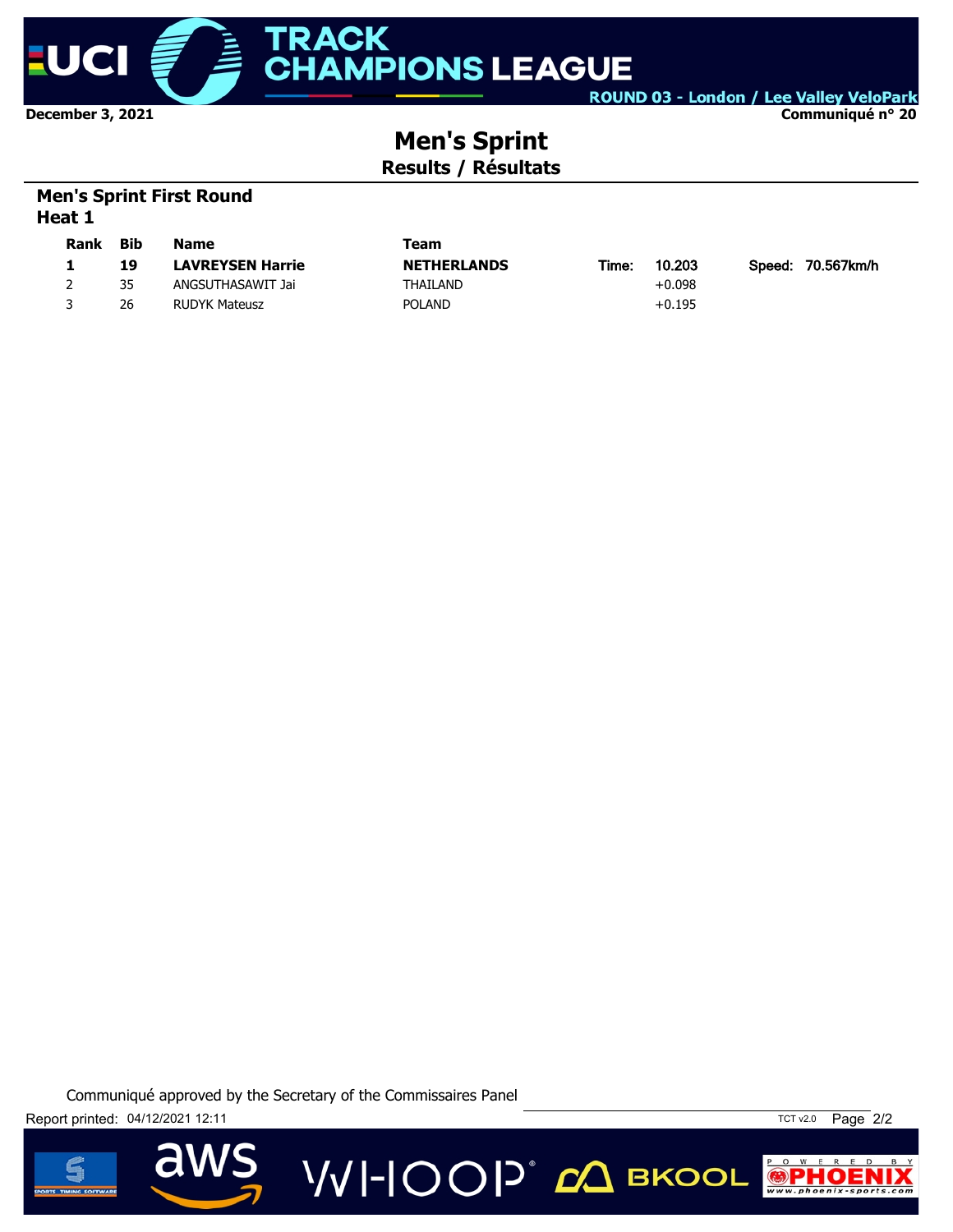

ROUND 03 - London / Lee Valley VeloPark **Communiqué n° 20**

# **Men's Sprint Results / Résultats**

# **Men's Sprint First Round Heat 1**

| <b>Rank</b> | Bib | <b>Name</b>             | Team               |       |          |                   |
|-------------|-----|-------------------------|--------------------|-------|----------|-------------------|
|             | 19  | <b>LAVREYSEN Harrie</b> | <b>NETHERLANDS</b> | Time: | 10.203   | Speed: 70.567km/h |
|             | 35  | ANGSUTHASAWIT Jai       | THAILAND           |       | $+0.098$ |                   |
|             | 26  | RUDYK Mateusz           | <b>POLAND</b>      |       | $+0.195$ |                   |

**VVI-IOOP** ДВКООL





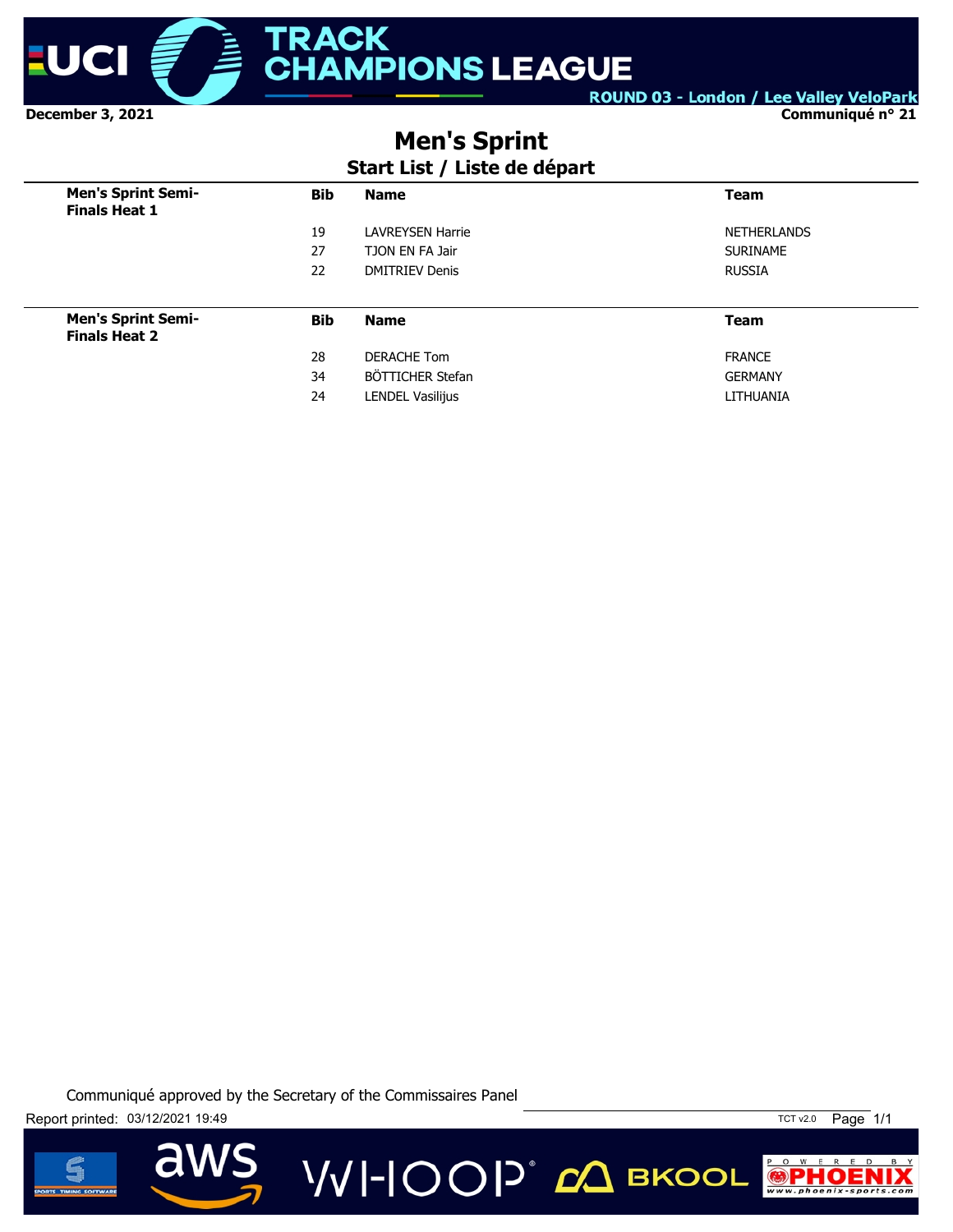

**Communiqué n° 21**

# **Men's Sprint**

# **Start List / Liste de départ**

| <b>Men's Sprint Semi-</b><br><b>Finals Heat 1</b> | <b>Bib</b> | <b>Name</b>             | <b>Team</b>        |
|---------------------------------------------------|------------|-------------------------|--------------------|
|                                                   | 19         | <b>LAVREYSEN Harrie</b> | <b>NETHERLANDS</b> |
|                                                   | 27         | TJON EN FA Jair         | <b>SURINAME</b>    |
|                                                   | 22         | <b>DMITRIEV Denis</b>   | <b>RUSSIA</b>      |
|                                                   |            |                         |                    |
| <b>Men's Sprint Semi-</b><br><b>Finals Heat 2</b> | <b>Bib</b> | <b>Name</b>             | <b>Team</b>        |
|                                                   | 28         | DERACHE Tom             | <b>FRANCE</b>      |
|                                                   | 34         | BÖTTICHER Stefan        | <b>GERMANY</b>     |
|                                                   | 24         | <b>LENDEL Vasilijus</b> | LITHUANIA          |

**VVI-IOOP** ДВКООL





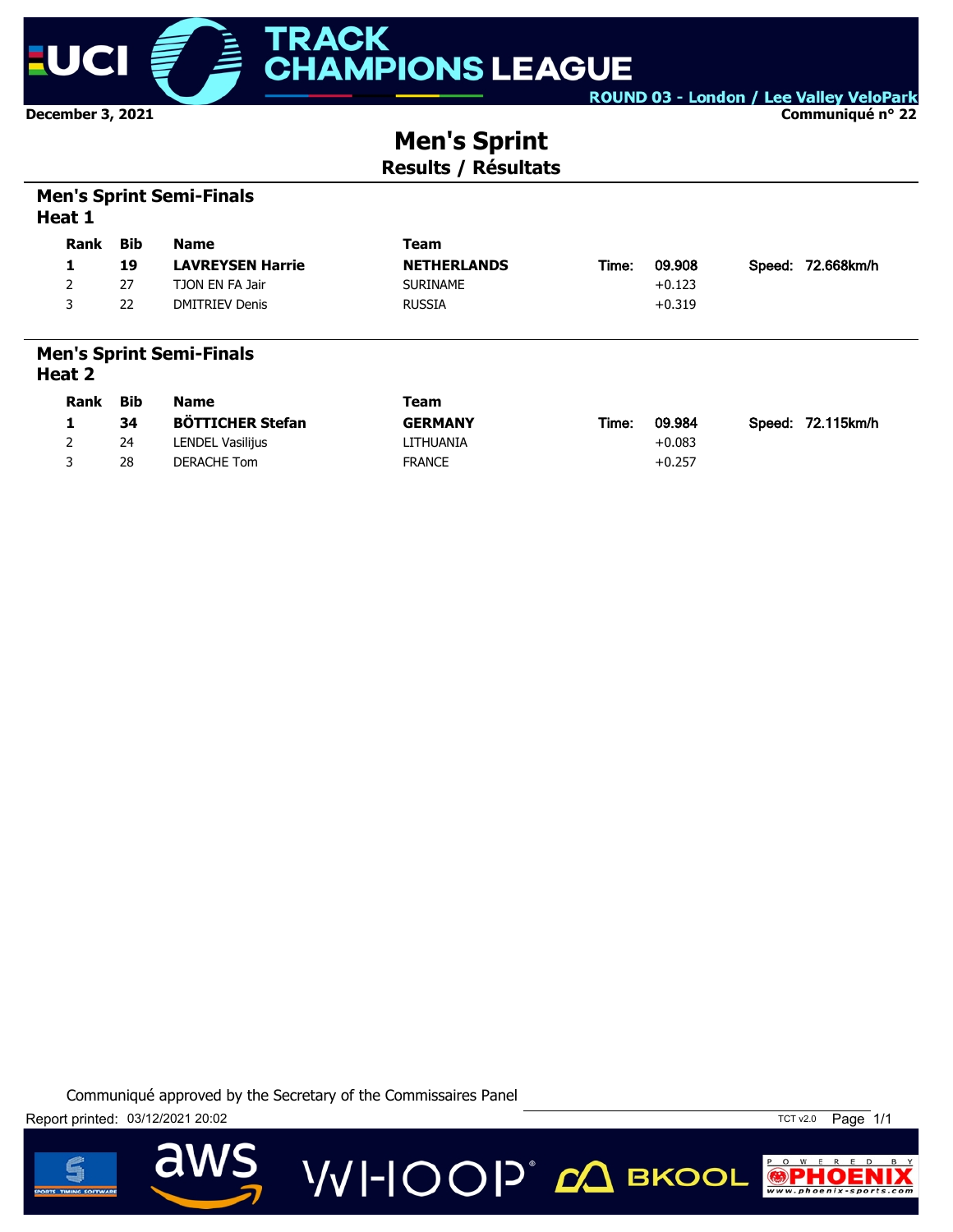

**December 3, 2021**

ROUND 03 - London / Lee Valley VeloPark

**Communiqué n° 22**

# **Men's Sprint Results / Résultats**

## **Men's Sprint Semi-Finals Heat 1**

| <b>Rank</b> | Bib | <b>Name</b>             | Team               |       |          |                   |
|-------------|-----|-------------------------|--------------------|-------|----------|-------------------|
|             | 19  | <b>LAVREYSEN Harrie</b> | <b>NETHERLANDS</b> | Time: | 09.908   | Speed: 72.668km/h |
|             | 27  | TJON EN FA Jair         | <b>SURINAME</b>    |       | $+0.123$ |                   |
| ર           | 22  | <b>DMITRIEV Denis</b>   | <b>RUSSIA</b>      |       | $+0.319$ |                   |
|             |     |                         |                    |       |          |                   |

#### **Men's Sprint Semi-Finals Heat 2**

| Rank | Bib | <b>Name</b>             | Team           |                                      |  |
|------|-----|-------------------------|----------------|--------------------------------------|--|
|      | 34  | <b>BÖTTICHER Stefan</b> | <b>GERMANY</b> | 09.984<br>Speed: 72.115km/h<br>Time: |  |
| 2    | 24  | LENDEL Vasilijus        | LITHUANIA      | $+0.083$                             |  |
|      | 28  | DERACHE Tom             | <b>FRANCE</b>  | $+0.257$                             |  |

**VVI-IOOP** CA BKOOL

Communiqué approved by the Secretary of the Commissaires Panel



dW



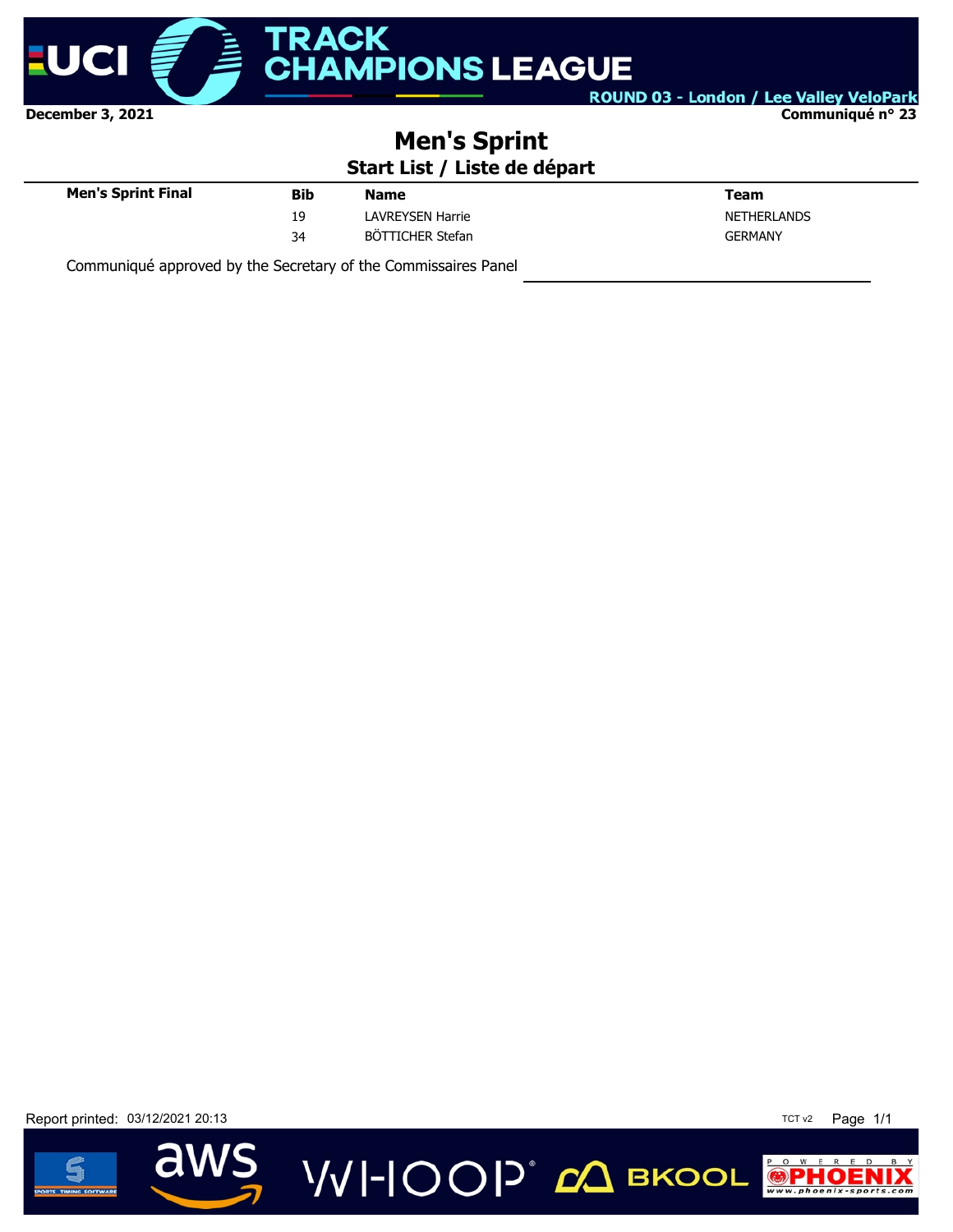

#### **Communiqué n° 23**

# **Men's Sprint**

# **Start List / Liste de départ**

| <b>Men's Sprint Final</b> | <b>Bib</b> | <b>Name</b>             | Team               |
|---------------------------|------------|-------------------------|--------------------|
|                           | 19         | <b>LAVREYSEN Harrie</b> | <b>NETHERLANDS</b> |
|                           | 34         | BÖTTICHER Stefan        | <b>GERMANY</b>     |
|                           |            |                         |                    |

Communiqué approved by the Secretary of the Commissaires Panel

Report printed: 03/12/2021 20:13 20:13 20:13 20:14 20:15 20:16 20:20 20:18 20:18 20:19 20:18 20:18 20:19 20:19



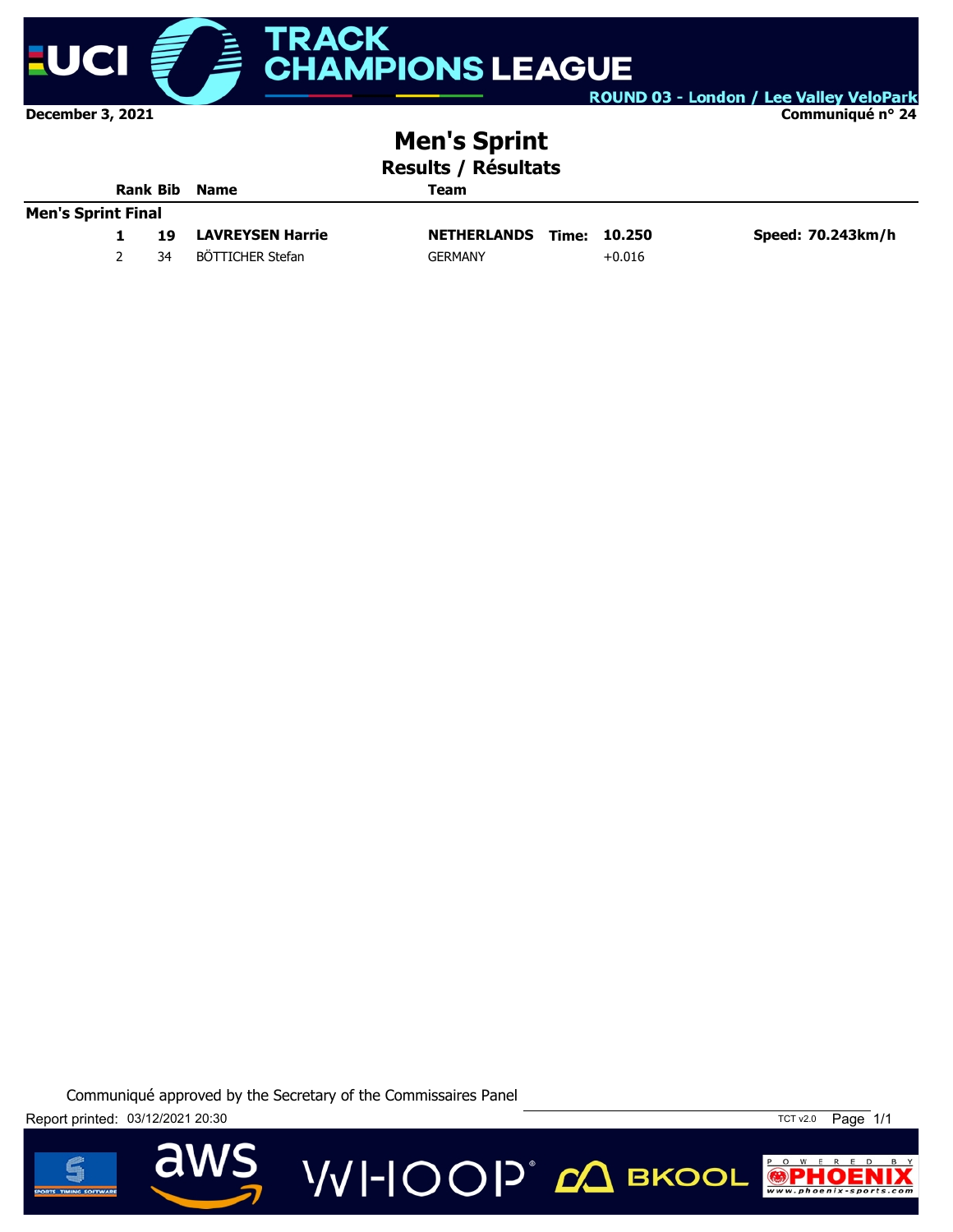

**December 3, 2021**

ROUND 03 - London / Lee Valley VeloPark

**Communiqué n° 24**

# **Men's Sprint**

**Results / Résultats**

| <b>Rank Bib</b><br><b>Name</b> |  | Team |                         |                    |              |                   |
|--------------------------------|--|------|-------------------------|--------------------|--------------|-------------------|
| <b>Men's Sprint Final</b>      |  |      |                         |                    |              |                   |
|                                |  | 19   | <b>LAVREYSEN Harrie</b> | <b>NETHERLANDS</b> | Time: 10.250 | Speed: 70.243km/h |
|                                |  | 34   | BÖTTICHER Stefan        | <b>GERMANY</b>     | $+0.016$     |                   |

**VVI-IOOP**® ДВКООЦ

Communiqué approved by the Secretary of the Commissaires Panel

Report printed: 03/12/2021 20:30



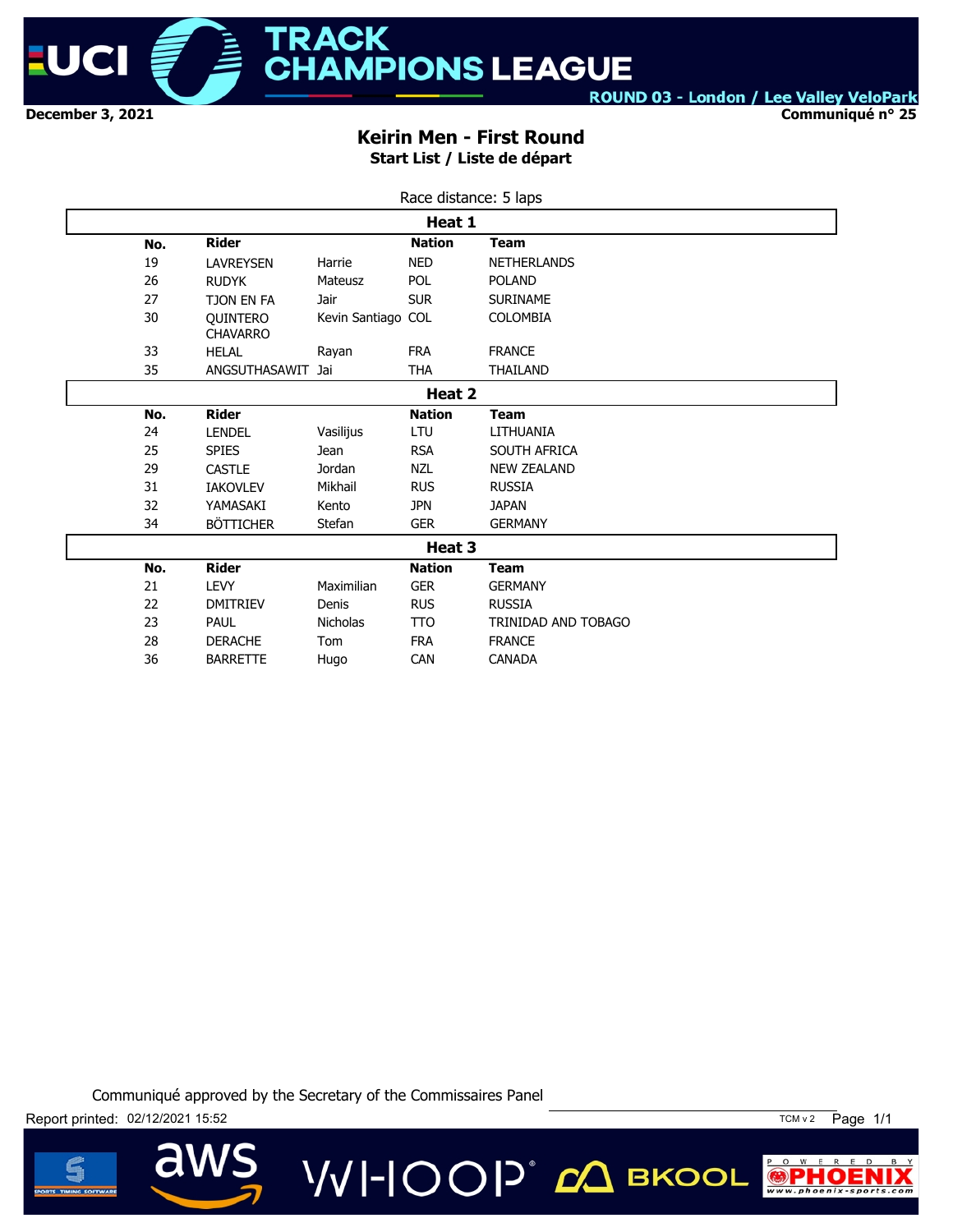

**Communiqué n° 25**

### **Keirin Men - First Round Start List / Liste de départ**

|        | Race distance: 5 laps |                                    |                    |               |                     |  |
|--------|-----------------------|------------------------------------|--------------------|---------------|---------------------|--|
|        |                       |                                    |                    | Heat 1        |                     |  |
|        | No.                   | <b>Rider</b>                       |                    | <b>Nation</b> | <b>Team</b>         |  |
|        | 19                    | <b>LAVREYSEN</b>                   | Harrie             | <b>NED</b>    | <b>NETHERLANDS</b>  |  |
|        | 26                    | <b>RUDYK</b>                       | Mateusz            | <b>POL</b>    | <b>POLAND</b>       |  |
|        | 27                    | TJON EN FA                         | Jair               | <b>SUR</b>    | <b>SURINAME</b>     |  |
|        | 30                    | <b>OUINTERO</b><br><b>CHAVARRO</b> | Kevin Santiago COL |               | <b>COLOMBIA</b>     |  |
|        | 33                    | <b>HELAL</b>                       | Rayan              | <b>FRA</b>    | <b>FRANCE</b>       |  |
|        | 35                    | ANGSUTHASAWIT                      | Jai                | <b>THA</b>    | THAILAND            |  |
|        |                       |                                    |                    | Heat 2        |                     |  |
|        | No.                   | <b>Rider</b>                       |                    | <b>Nation</b> | <b>Team</b>         |  |
|        | 24                    | <b>LENDEL</b>                      | Vasilijus          | LTU           | LITHUANIA           |  |
|        | 25                    | <b>SPIES</b>                       | <b>Jean</b>        | <b>RSA</b>    | SOUTH AFRICA        |  |
|        | 29                    | <b>CASTLE</b>                      | Jordan             | <b>NZL</b>    | <b>NEW ZEALAND</b>  |  |
|        | 31                    | <b>IAKOVLEV</b>                    | Mikhail            | <b>RUS</b>    | <b>RUSSIA</b>       |  |
|        | 32                    | YAMASAKI                           | Kento              | <b>JPN</b>    | <b>JAPAN</b>        |  |
|        | 34                    | <b>BÖTTICHER</b>                   | Stefan             | <b>GER</b>    | <b>GERMANY</b>      |  |
| Heat 3 |                       |                                    |                    |               |                     |  |
|        | No.                   | <b>Rider</b>                       |                    | <b>Nation</b> | <b>Team</b>         |  |
|        | 21                    | <b>LEVY</b>                        | Maximilian         | <b>GER</b>    | <b>GERMANY</b>      |  |
|        | 22                    | <b>DMITRIEV</b>                    | Denis              | <b>RUS</b>    | <b>RUSSIA</b>       |  |
|        | 23                    | <b>PAUL</b>                        | <b>Nicholas</b>    | <b>TTO</b>    | TRINIDAD AND TOBAGO |  |
|        | 28                    | <b>DERACHE</b>                     | Tom                | <b>FRA</b>    | <b>FRANCE</b>       |  |
|        | 36                    | <b>BARRETTE</b>                    | Hugo               | <b>CAN</b>    | <b>CANADA</b>       |  |

Communiqué approved by the Secretary of the Commissaires Panel

**VVI-IOOP** CA BKOOL



 $\overline{\mathbf{d}}$ 



P O W E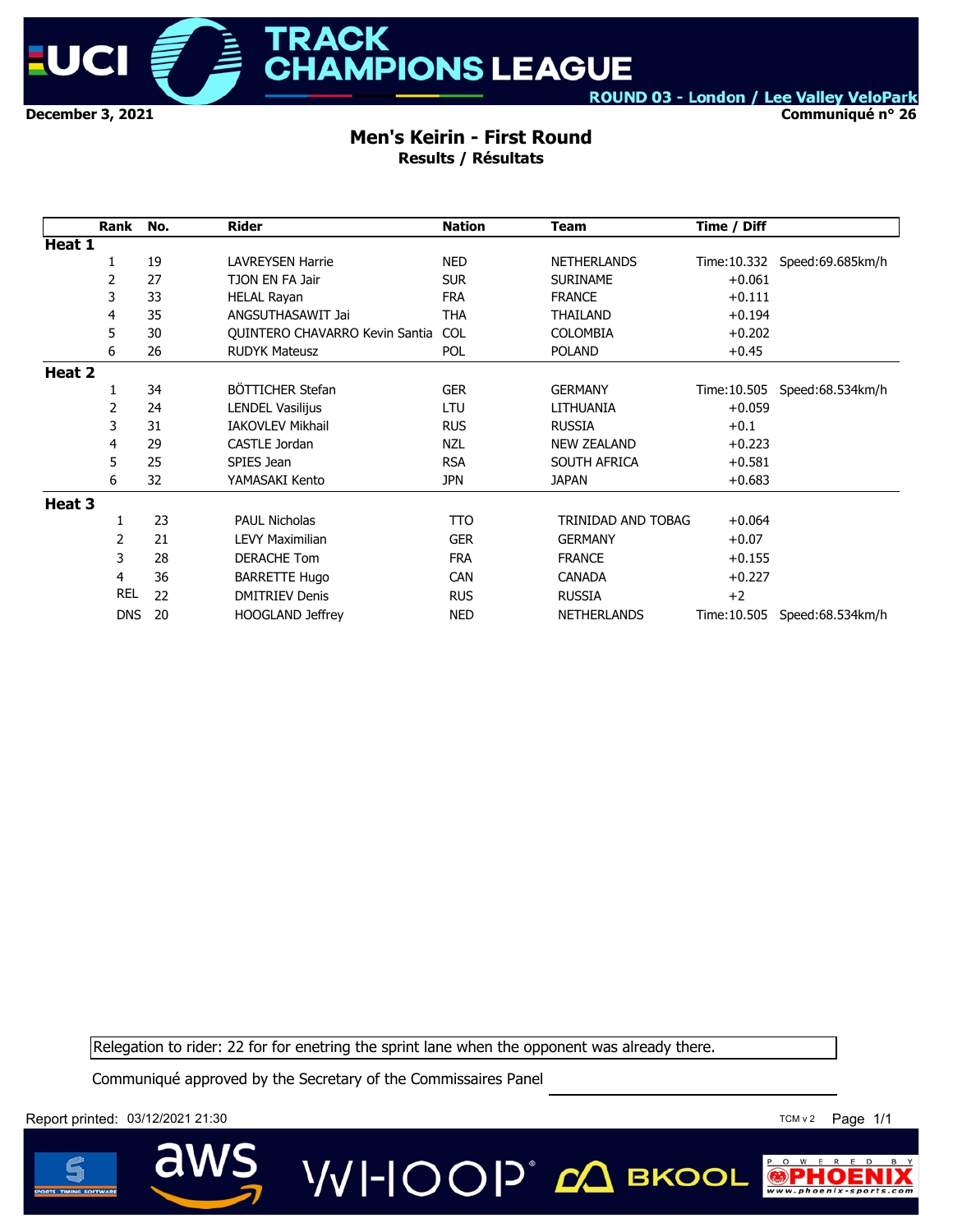

# **ACK MPIONS LEAGUE**

ROUND 03 - London / Lee Valley VeloPark

**Communiqué n° 26**

#### **Men's Keirin - First Round Results / Résultats**

|        | Rank       | No. | <b>Rider</b>                   | <b>Nation</b> | Team               | Time / Diff  |                                |
|--------|------------|-----|--------------------------------|---------------|--------------------|--------------|--------------------------------|
| Heat 1 |            |     |                                |               |                    |              |                                |
|        | 1          | 19  | <b>LAVREYSEN Harrie</b>        | <b>NED</b>    | <b>NETHERLANDS</b> |              | Time: 10.332 Speed: 69.685km/h |
|        | 2          | 27  | TJON EN FA Jair                | <b>SUR</b>    | <b>SURINAME</b>    | $+0.061$     |                                |
|        | 3          | 33  | <b>HELAL Rayan</b>             | <b>FRA</b>    | <b>FRANCE</b>      | $+0.111$     |                                |
|        | 4          | 35  | ANGSUTHASAWIT Jai              | <b>THA</b>    | THAILAND           | $+0.194$     |                                |
|        | 5          | 30  | QUINTERO CHAVARRO Kevin Santia | <b>COL</b>    | <b>COLOMBIA</b>    | $+0.202$     |                                |
|        | 6          | 26  | <b>RUDYK Mateusz</b>           | <b>POL</b>    | <b>POLAND</b>      | $+0.45$      |                                |
| Heat 2 |            |     |                                |               |                    |              |                                |
|        | 1          | 34  | BÖTTICHER Stefan               | <b>GER</b>    | <b>GERMANY</b>     | Time: 10.505 | Speed:68.534km/h               |
|        | 2          | 24  | <b>LENDEL Vasilijus</b>        | <b>LTU</b>    | LITHUANIA          | $+0.059$     |                                |
|        | 3          | 31  | <b>IAKOVLEV Mikhail</b>        | <b>RUS</b>    | <b>RUSSIA</b>      | $+0.1$       |                                |
|        | 4          | 29  | CASTLE Jordan                  | <b>NZL</b>    | <b>NEW ZEALAND</b> | $+0.223$     |                                |
|        | 5          | 25  | SPIES Jean                     | <b>RSA</b>    | SOUTH AFRICA       | $+0.581$     |                                |
|        | 6          | 32  | YAMASAKI Kento                 | <b>JPN</b>    | JAPAN              | $+0.683$     |                                |
| Heat 3 |            |     |                                |               |                    |              |                                |
|        | 1          | 23  | <b>PAUL Nicholas</b>           | <b>TTO</b>    | TRINIDAD AND TOBAG | $+0.064$     |                                |
|        | 2          | 21  | <b>LEVY Maximilian</b>         | <b>GER</b>    | <b>GERMANY</b>     | $+0.07$      |                                |
|        | 3          | 28  | <b>DERACHE Tom</b>             | <b>FRA</b>    | <b>FRANCE</b>      | $+0.155$     |                                |
|        | 4          | 36  | <b>BARRETTE Hugo</b>           | <b>CAN</b>    | <b>CANADA</b>      | $+0.227$     |                                |
|        | <b>REL</b> | 22  | <b>DMITRIEV Denis</b>          | <b>RUS</b>    | <b>RUSSIA</b>      | $+2$         |                                |
|        | <b>DNS</b> | 20  | <b>HOOGLAND Jeffrey</b>        | <b>NED</b>    | <b>NETHERLANDS</b> |              | Time:10.505 Speed:68.534km/h   |

Relegation to rider: 22 for for enetring the sprint lane when the opponent was already there.

**VVI-IOOP** 2Д вкооц

Communiqué approved by the Secretary of the Commissaires Panel



 $\overline{\mathbf{d}}$ 

Report printed:  $03/12/2021$  21:30 TCM v 2 Page 1/1

 $P$  0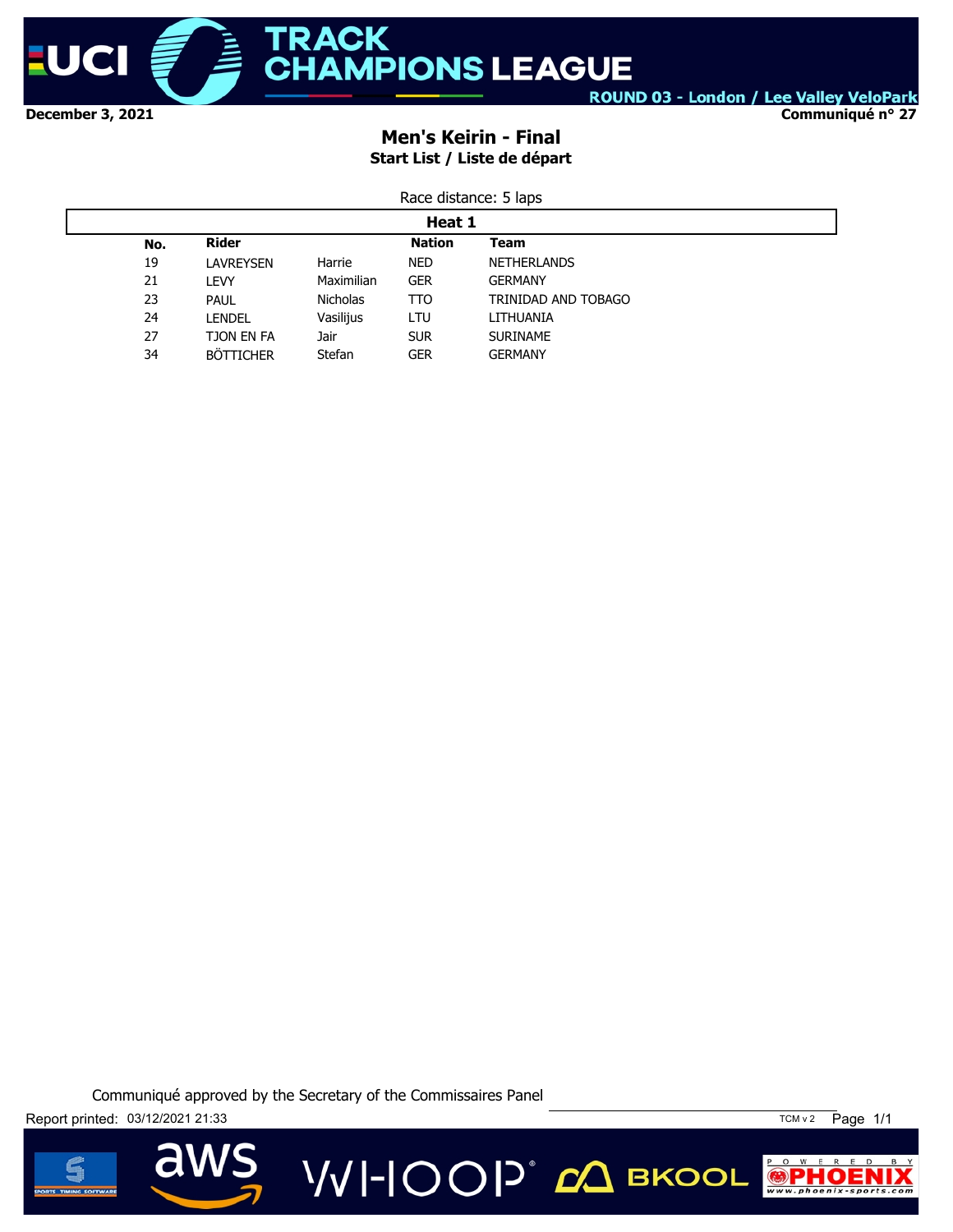

**Communiqué n° 27**

# **Men's Keirin - Final Start List / Liste de départ**

|--|

|     | Heat 1           |                 |               |                     |  |  |  |  |
|-----|------------------|-----------------|---------------|---------------------|--|--|--|--|
| No. | <b>Rider</b>     |                 | <b>Nation</b> | <b>Team</b>         |  |  |  |  |
| 19  | LAVREYSEN        | Harrie          | <b>NED</b>    | <b>NETHERLANDS</b>  |  |  |  |  |
| 21  | LEVY             | Maximilian      | <b>GER</b>    | <b>GERMANY</b>      |  |  |  |  |
| 23  | <b>PAUL</b>      | <b>Nicholas</b> | TTO           | TRINIDAD AND TOBAGO |  |  |  |  |
| 24  | <b>LENDEL</b>    | Vasilijus       | LTU           | LITHUANIA           |  |  |  |  |
| 27  | TJON EN FA       | Jair            | <b>SUR</b>    | <b>SURINAME</b>     |  |  |  |  |
| 34  | <b>BÖTTICHER</b> | Stefan          | <b>GER</b>    | <b>GERMANY</b>      |  |  |  |  |

Communiqué approved by the Secretary of the Commissaires Panel

**VVI-IOOP** ДВКООL

Report printed: 03/12/2021 21:33 TCM v 2 Page 1/1



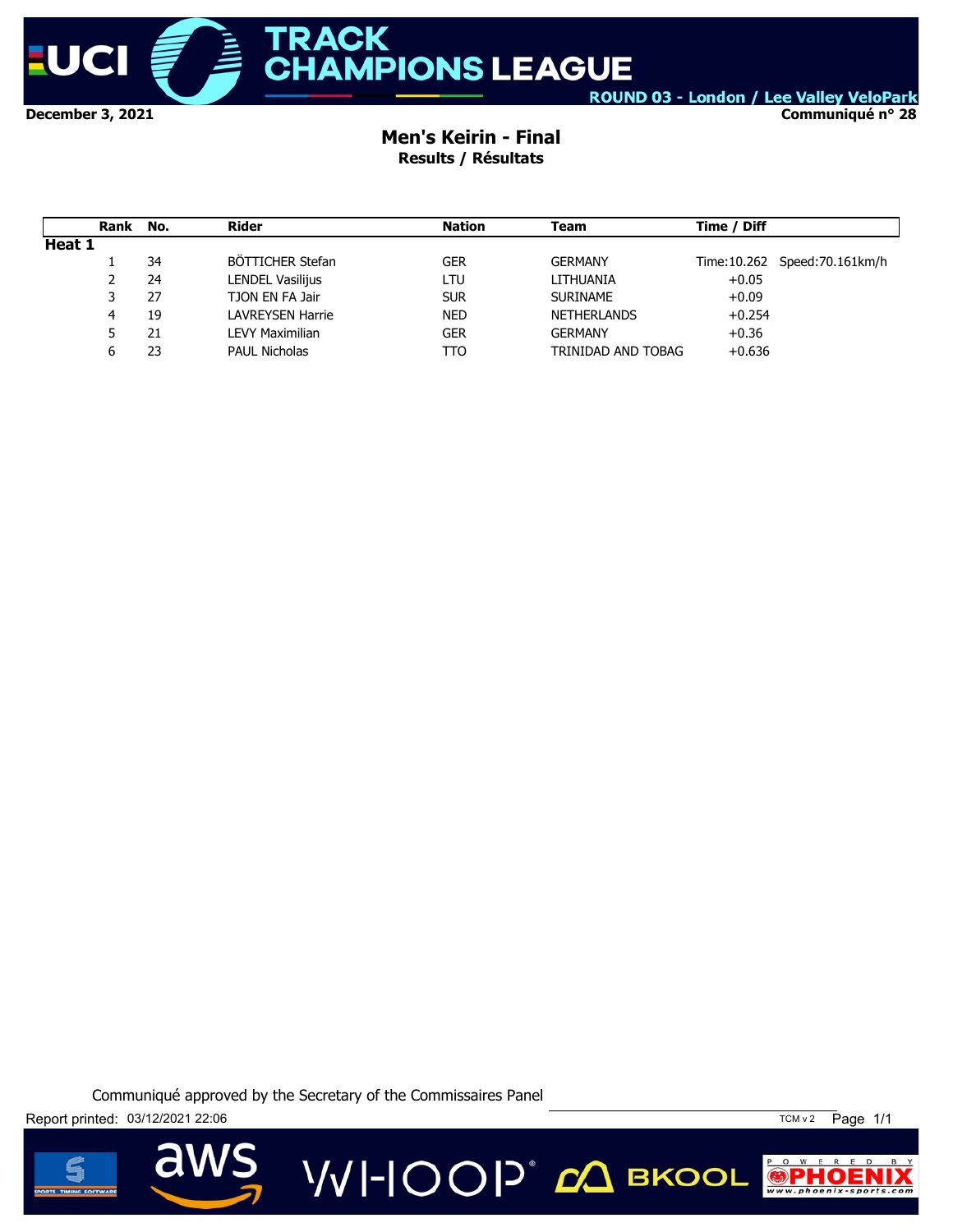

**December 3, 2021**

## ROUND 03 - London / Lee Valley VeloPark

**Communiqué n° 28**

### **Men's Keirin - Final Results / Résultats**

|        | Rank | No. | Rider                | <b>Nation</b> | Team               | Time / Diff                    |
|--------|------|-----|----------------------|---------------|--------------------|--------------------------------|
| Heat 1 |      |     |                      |               |                    |                                |
|        |      | 34  | BÖTTICHER Stefan     | <b>GER</b>    | <b>GERMANY</b>     | Time: 10.262 Speed: 70.161km/h |
|        | 2    | 24  | LENDEL Vasilijus     | LTU           | LITHUANIA          | $+0.05$                        |
|        |      | 27  | TJON EN FA Jair      | <b>SUR</b>    | <b>SURINAME</b>    | $+0.09$                        |
|        | 4    | 19  | LAVREYSEN Harrie     | <b>NED</b>    | <b>NETHERLANDS</b> | $+0.254$                       |
|        |      | 21  | LEVY Maximilian      | <b>GER</b>    | <b>GERMANY</b>     | $+0.36$                        |
|        | ь    | 23  | <b>PAUL Nicholas</b> | TTO           | TRINIDAD AND TOBAG | $+0.636$                       |

Communiqué approved by the Secretary of the Commissaires Panel





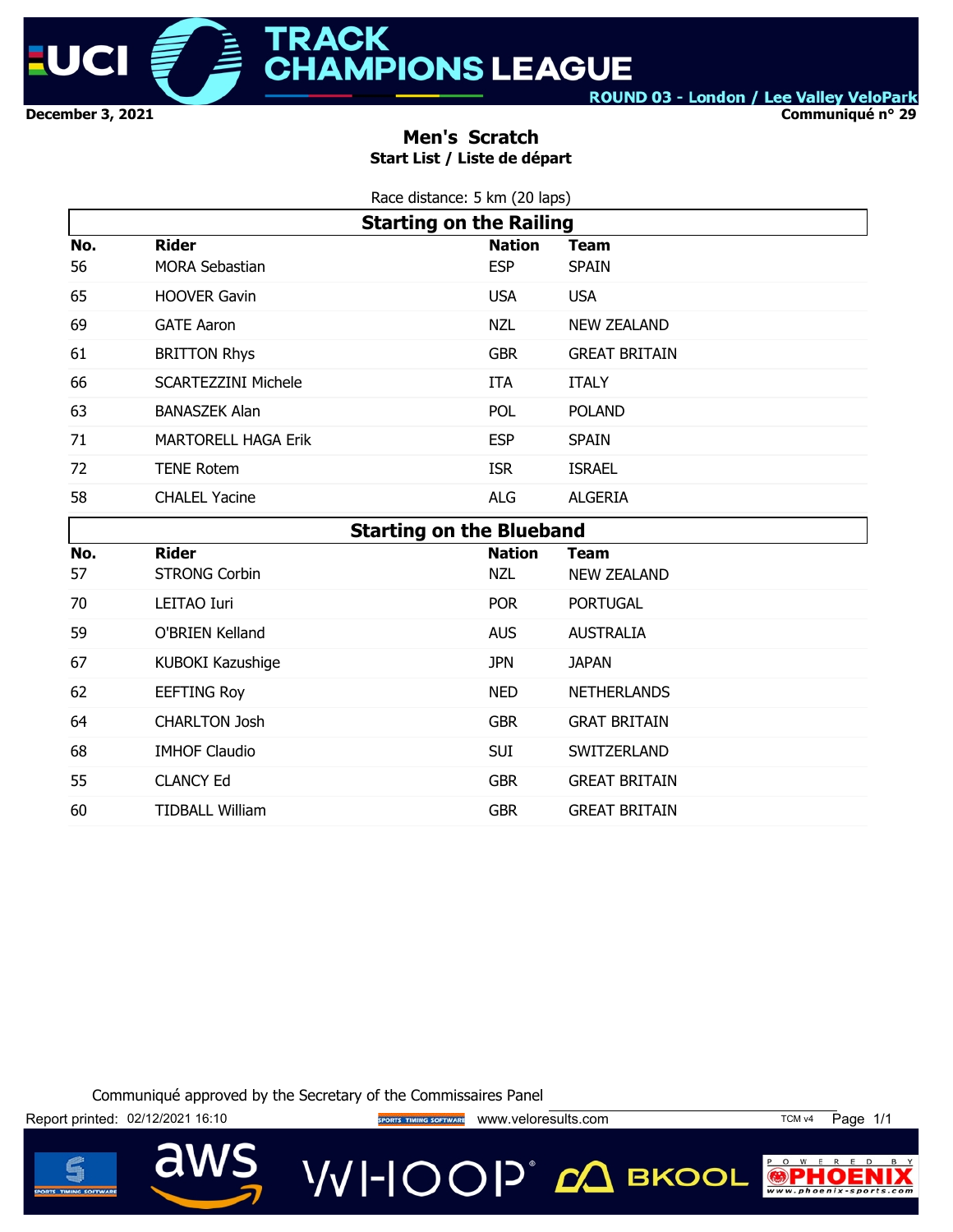

#### **Communiqué n° 29**

## **Men's Scratch Start List / Liste de départ**

| Race distance: 5 km (20 laps) |  |
|-------------------------------|--|
|                               |  |

|           | <b>Starting on the Railing</b>        |                             |                             |  |  |  |  |
|-----------|---------------------------------------|-----------------------------|-----------------------------|--|--|--|--|
| No.<br>56 | <b>Rider</b><br><b>MORA Sebastian</b> | <b>Nation</b><br><b>ESP</b> | <b>Team</b><br><b>SPAIN</b> |  |  |  |  |
| 65        | <b>HOOVER Gavin</b>                   | <b>USA</b>                  | <b>USA</b>                  |  |  |  |  |
| 69        | <b>GATE Aaron</b>                     | <b>NZL</b>                  | <b>NEW ZEALAND</b>          |  |  |  |  |
| 61        | <b>BRITTON Rhys</b>                   | <b>GBR</b>                  | <b>GREAT BRITAIN</b>        |  |  |  |  |
| 66        | <b>SCARTEZZINI Michele</b>            | <b>ITA</b>                  | <b>ITALY</b>                |  |  |  |  |
| 63        | <b>BANASZEK Alan</b>                  | <b>POL</b>                  | <b>POLAND</b>               |  |  |  |  |
| 71        | <b>MARTORELL HAGA Erik</b>            | <b>ESP</b>                  | <b>SPAIN</b>                |  |  |  |  |
| 72        | <b>TENE Rotem</b>                     | <b>ISR</b>                  | <b>ISRAEL</b>               |  |  |  |  |
| 58        | <b>CHALEL Yacine</b>                  | <b>ALG</b>                  | <b>ALGERIA</b>              |  |  |  |  |
|           | <b>Starting on the Blueband</b>       |                             |                             |  |  |  |  |
| No.       | <b>Rider</b>                          | <b>Nation</b>               | <b>Team</b>                 |  |  |  |  |
| 57        | STRONG Corbin                         | <b>N71</b>                  | NEW ZEALAND                 |  |  |  |  |

| 57 | <b>STRONG Corbin</b>   | NZL        | <b>NEW ZEALAND</b>   |
|----|------------------------|------------|----------------------|
| 70 | LEITAO Iuri            | <b>POR</b> | <b>PORTUGAL</b>      |
| 59 | O'BRIEN Kelland        | <b>AUS</b> | <b>AUSTRALIA</b>     |
| 67 | KUBOKI Kazushige       | JPN.       | <b>JAPAN</b>         |
| 62 | <b>EEFTING Roy</b>     | <b>NED</b> | <b>NETHERLANDS</b>   |
| 64 | <b>CHARLTON Josh</b>   | <b>GBR</b> | <b>GRAT BRITAIN</b>  |
| 68 | <b>IMHOF Claudio</b>   | <b>SUI</b> | SWITZERLAND          |
| 55 | <b>CLANCY Ed</b>       | <b>GBR</b> | <b>GREAT BRITAIN</b> |
| 60 | <b>TIDBALL William</b> | <b>GBR</b> | <b>GREAT BRITAIN</b> |

Communiqué approved by the Secretary of the Commissaires Panel

Report printed: 02/12/2021 16:10 **www.upda.com Access Time Control** www.veloresults.com TCM v4 Page 1/1

d

**VVI-IOOP** CA BKOOL



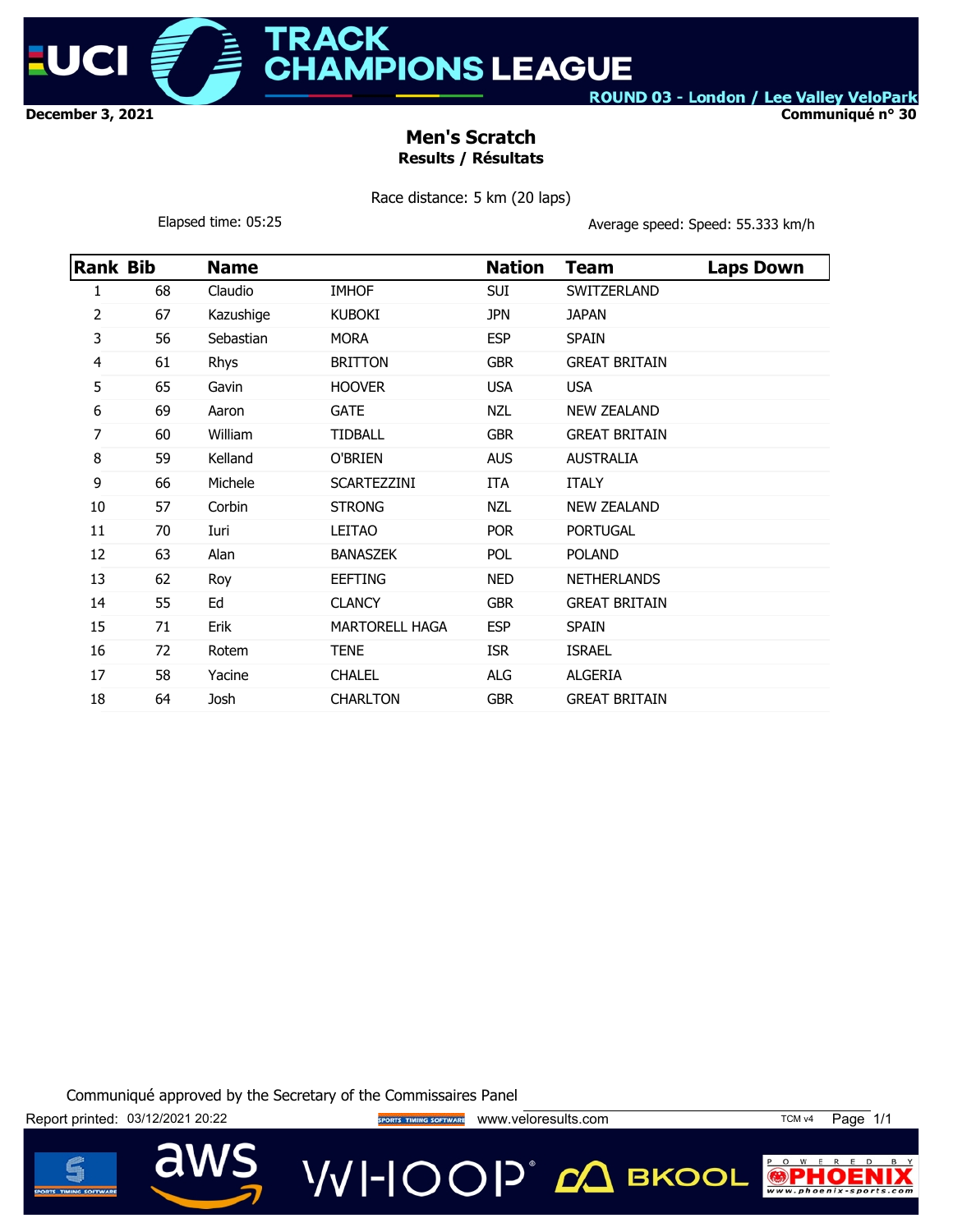

**ACK MPIONS LEAGUE** 

ROUND 03 - London / Lee Valley VeloPark

**Communiqué n° 30**

## **Men's Scratch Results / Résultats**

Race distance: 5 km (20 laps)

Elapsed time: 05:25 **Average speed: Speed: 55.333 km/h** 

| <b>Rank Bib</b> |    | <b>Name</b> |                       | <b>Nation</b> | <b>Team</b>          | <b>Laps Down</b> |
|-----------------|----|-------------|-----------------------|---------------|----------------------|------------------|
| 1               | 68 | Claudio     | <b>IMHOF</b>          | SUI           | SWITZERLAND          |                  |
| 2               | 67 | Kazushige   | <b>KUBOKI</b>         | <b>JPN</b>    | <b>JAPAN</b>         |                  |
| 3               | 56 | Sebastian   | <b>MORA</b>           | <b>ESP</b>    | <b>SPAIN</b>         |                  |
| 4               | 61 | Rhys        | <b>BRITTON</b>        | <b>GBR</b>    | <b>GREAT BRITAIN</b> |                  |
| 5               | 65 | Gavin       | <b>HOOVER</b>         | <b>USA</b>    | <b>USA</b>           |                  |
| 6               | 69 | Aaron       | <b>GATE</b>           | <b>NZL</b>    | <b>NEW ZEALAND</b>   |                  |
| 7               | 60 | William     | <b>TIDBALL</b>        | <b>GBR</b>    | <b>GREAT BRITAIN</b> |                  |
| 8               | 59 | Kelland     | O'BRIEN               | <b>AUS</b>    | <b>AUSTRALIA</b>     |                  |
| 9               | 66 | Michele     | SCARTEZZINI           | ITA           | <b>ITALY</b>         |                  |
| 10              | 57 | Corbin      | <b>STRONG</b>         | <b>NZL</b>    | <b>NEW ZEALAND</b>   |                  |
| 11              | 70 | Iuri        | <b>LEITAO</b>         | <b>POR</b>    | <b>PORTUGAL</b>      |                  |
| 12              | 63 | Alan        | <b>BANASZEK</b>       | <b>POL</b>    | <b>POLAND</b>        |                  |
| 13              | 62 | Roy         | <b>EEFTING</b>        | <b>NED</b>    | <b>NETHERLANDS</b>   |                  |
| 14              | 55 | Ed          | <b>CLANCY</b>         | <b>GBR</b>    | <b>GREAT BRITAIN</b> |                  |
| 15              | 71 | Erik        | <b>MARTORELL HAGA</b> | <b>ESP</b>    | <b>SPAIN</b>         |                  |
| 16              | 72 | Rotem       | <b>TENE</b>           | <b>ISR</b>    | <b>ISRAEL</b>        |                  |
| 17              | 58 | Yacine      | <b>CHALEL</b>         | <b>ALG</b>    | <b>ALGERIA</b>       |                  |
| 18              | 64 | Josh        | <b>CHARLTON</b>       | <b>GBR</b>    | <b>GREAT BRITAIN</b> |                  |

Communiqué approved by the Secretary of the Commissaires Panel

Report printed: 03/12/2021 20:22 **Way to the Secret DEAL SHORES DEAL** WWW.veloresults.com TCM v4 Page 1/1

**VVI-IOOP** 20 BKOOL

 $\circ$  $W$  E

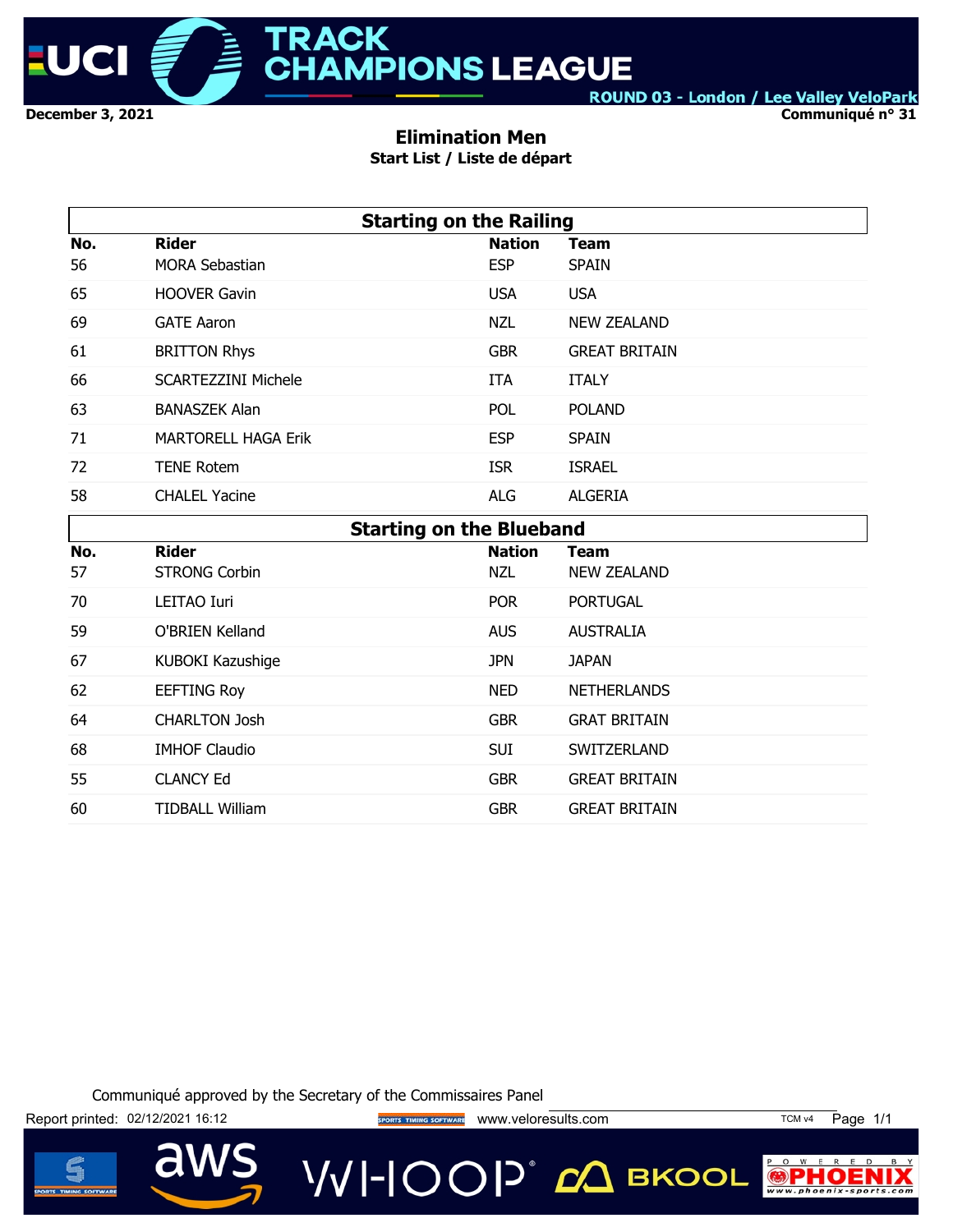

**Communiqué n° 31**

### **Elimination Men**

**Start List / Liste de départ**

|     | <b>Starting on the Railing</b>  |               |                      |  |  |  |  |  |
|-----|---------------------------------|---------------|----------------------|--|--|--|--|--|
| No. | <b>Rider</b>                    | <b>Nation</b> | <b>Team</b>          |  |  |  |  |  |
| 56  | <b>MORA Sebastian</b>           | <b>ESP</b>    | <b>SPAIN</b>         |  |  |  |  |  |
| 65  | <b>HOOVER Gavin</b>             | <b>USA</b>    | <b>USA</b>           |  |  |  |  |  |
| 69  | <b>GATE Aaron</b>               | <b>NZL</b>    | <b>NEW ZEALAND</b>   |  |  |  |  |  |
| 61  | <b>BRITTON Rhys</b>             | <b>GBR</b>    | <b>GREAT BRITAIN</b> |  |  |  |  |  |
| 66  | <b>SCARTEZZINI Michele</b>      | ITA           | <b>ITALY</b>         |  |  |  |  |  |
| 63  | <b>BANASZEK Alan</b>            | <b>POL</b>    | <b>POLAND</b>        |  |  |  |  |  |
| 71  | <b>MARTORELL HAGA Erik</b>      | <b>ESP</b>    | <b>SPAIN</b>         |  |  |  |  |  |
| 72  | <b>TENE Rotem</b>               | <b>ISR</b>    | <b>ISRAEL</b>        |  |  |  |  |  |
| 58  | <b>CHALEL Yacine</b>            | <b>ALG</b>    | <b>ALGERIA</b>       |  |  |  |  |  |
|     | <b>Starting on the Blueband</b> |               |                      |  |  |  |  |  |
| No. | <b>Rider</b>                    | <b>Nation</b> | Team                 |  |  |  |  |  |
| 57  | <b>STRONG Corbin</b>            | <b>NZL</b>    | <b>NEW ZEALAND</b>   |  |  |  |  |  |
| 70  | LEITAO Iuri                     | POR           | <b>PORTUGAL</b>      |  |  |  |  |  |
| 59  | O'BRIEN Kelland                 | <b>AUS</b>    | <b>AUSTRALIA</b>     |  |  |  |  |  |
| 67  | KUBOKI Kazushige                | <b>JPN</b>    | <b>JAPAN</b>         |  |  |  |  |  |

Communiqué approved by the Secretary of the Commissaires Panel

62 EEFTING Roy **NED** NETHERLANDS 64 CHARLTON Josh GBR GRAT BRITAIN 68 IMHOF Claudio SUI SWITZERLAND 55 CLANCY Ed GBR GREAT BRITAIN 60 TIDBALL William GBR GREAT BRITAIN

Report printed: 02/12/2021 16:12 **Website The Sports TIMING SOFTWARE** WWW.Veloresults.com TCM v4 Page 1/1



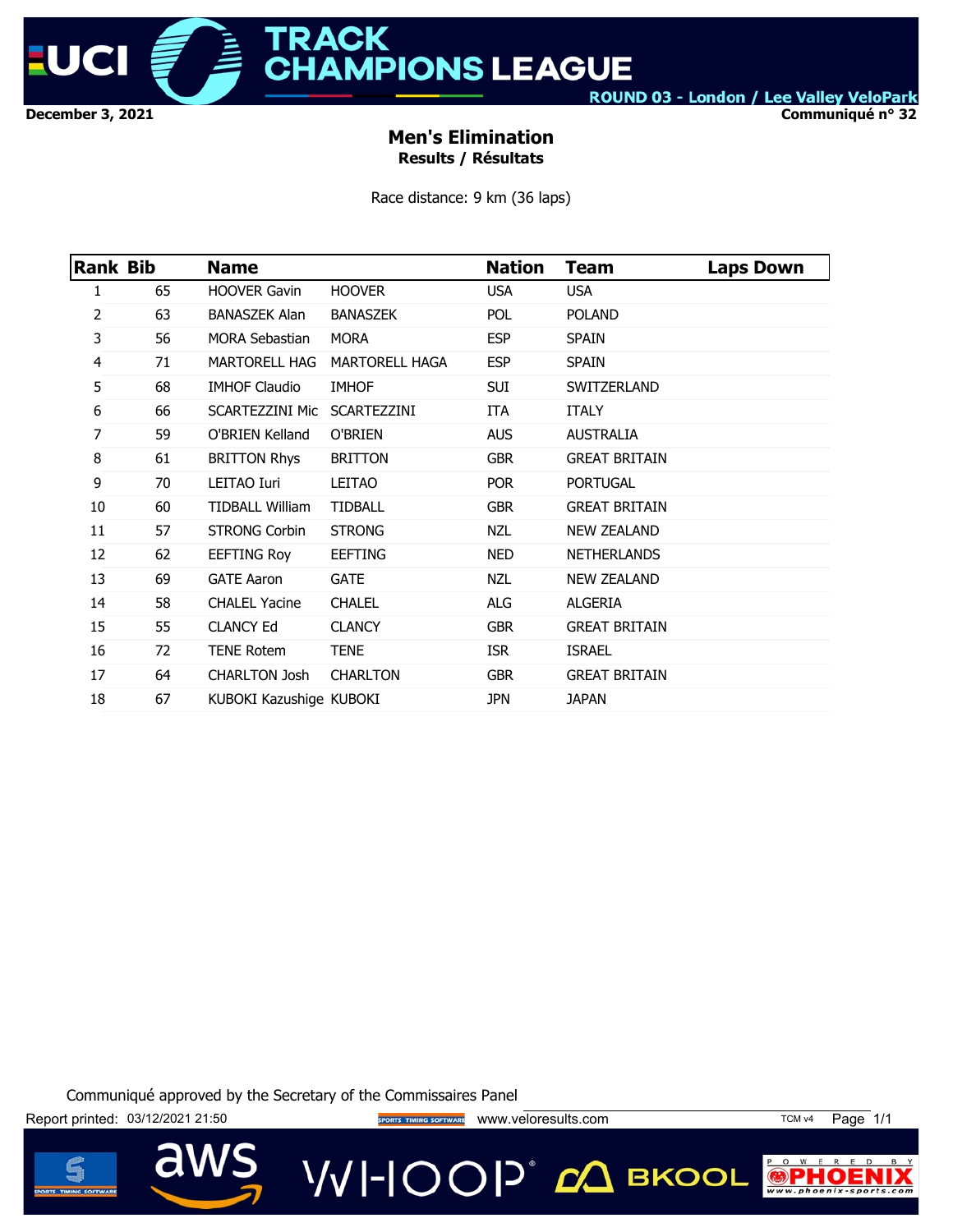

**RACK HAMPIONS LEAGUE** 

ROUND 03 - London / Lee Valley VeloPark

**Communiqué n° 32**

## **Men's Elimination Results / Résultats**

Race distance: 9 km (36 laps)

| Rank Bib |    | <b>Name</b>                 |                       | <b>Nation</b> | <b>Team</b>          | <b>Laps Down</b> |
|----------|----|-----------------------------|-----------------------|---------------|----------------------|------------------|
| 1        | 65 | <b>HOOVER Gavin</b>         | <b>HOOVER</b>         | <b>USA</b>    | <b>USA</b>           |                  |
| 2        | 63 | <b>BANASZEK Alan</b>        | <b>BANASZEK</b>       | POL           | <b>POLAND</b>        |                  |
| 3        | 56 | <b>MORA Sebastian</b>       | <b>MORA</b>           | <b>ESP</b>    | <b>SPAIN</b>         |                  |
| 4        | 71 | <b>MARTORELL HAG</b>        | <b>MARTORELL HAGA</b> | <b>ESP</b>    | <b>SPAIN</b>         |                  |
| 5        | 68 | <b>IMHOF Claudio</b>        | <b>IMHOF</b>          | SUI           | SWITZERLAND          |                  |
| 6        | 66 | SCARTEZZINI Mic SCARTEZZINI |                       | ITA           | <b>ITALY</b>         |                  |
| 7        | 59 | O'BRIEN Kelland             | O'BRIEN               | <b>AUS</b>    | <b>AUSTRALIA</b>     |                  |
| 8        | 61 | <b>BRITTON Rhys</b>         | <b>BRITTON</b>        | <b>GBR</b>    | <b>GREAT BRITAIN</b> |                  |
| 9        | 70 | LEITAO Iuri                 | LEITAO                | <b>POR</b>    | <b>PORTUGAL</b>      |                  |
| 10       | 60 | <b>TIDBALL William</b>      | <b>TIDBALL</b>        | <b>GBR</b>    | <b>GREAT BRITAIN</b> |                  |
| 11       | 57 | <b>STRONG Corbin</b>        | <b>STRONG</b>         | <b>NZL</b>    | <b>NEW ZEALAND</b>   |                  |
| 12       | 62 | <b>EEFTING Roy</b>          | <b>EEFTING</b>        | <b>NED</b>    | <b>NETHERLANDS</b>   |                  |
| 13       | 69 | <b>GATE Aaron</b>           | <b>GATE</b>           | NZL           | <b>NEW ZEALAND</b>   |                  |
| 14       | 58 | <b>CHALEL Yacine</b>        | <b>CHALEL</b>         | ALG           | ALGERIA              |                  |
| 15       | 55 | <b>CLANCY Ed</b>            | <b>CLANCY</b>         | <b>GBR</b>    | <b>GREAT BRITAIN</b> |                  |
| 16       | 72 | <b>TENE Rotem</b>           | TENE                  | <b>ISR</b>    | <b>ISRAEL</b>        |                  |
| 17       | 64 | <b>CHARLTON Josh</b>        | <b>CHARLTON</b>       | <b>GBR</b>    | <b>GREAT BRITAIN</b> |                  |
| 18       | 67 | KUBOKI Kazushige KUBOKI     |                       | <b>JPN</b>    | <b>JAPAN</b>         |                  |

Communiqué approved by the Secretary of the Commissaires Panel

Report printed: 03/12/2021 21:50 sports TIMING SOFTWARE WWW.Veloresults.com TCM v4 Page 1/1 VVI-IOOP® *с*Д вкооц



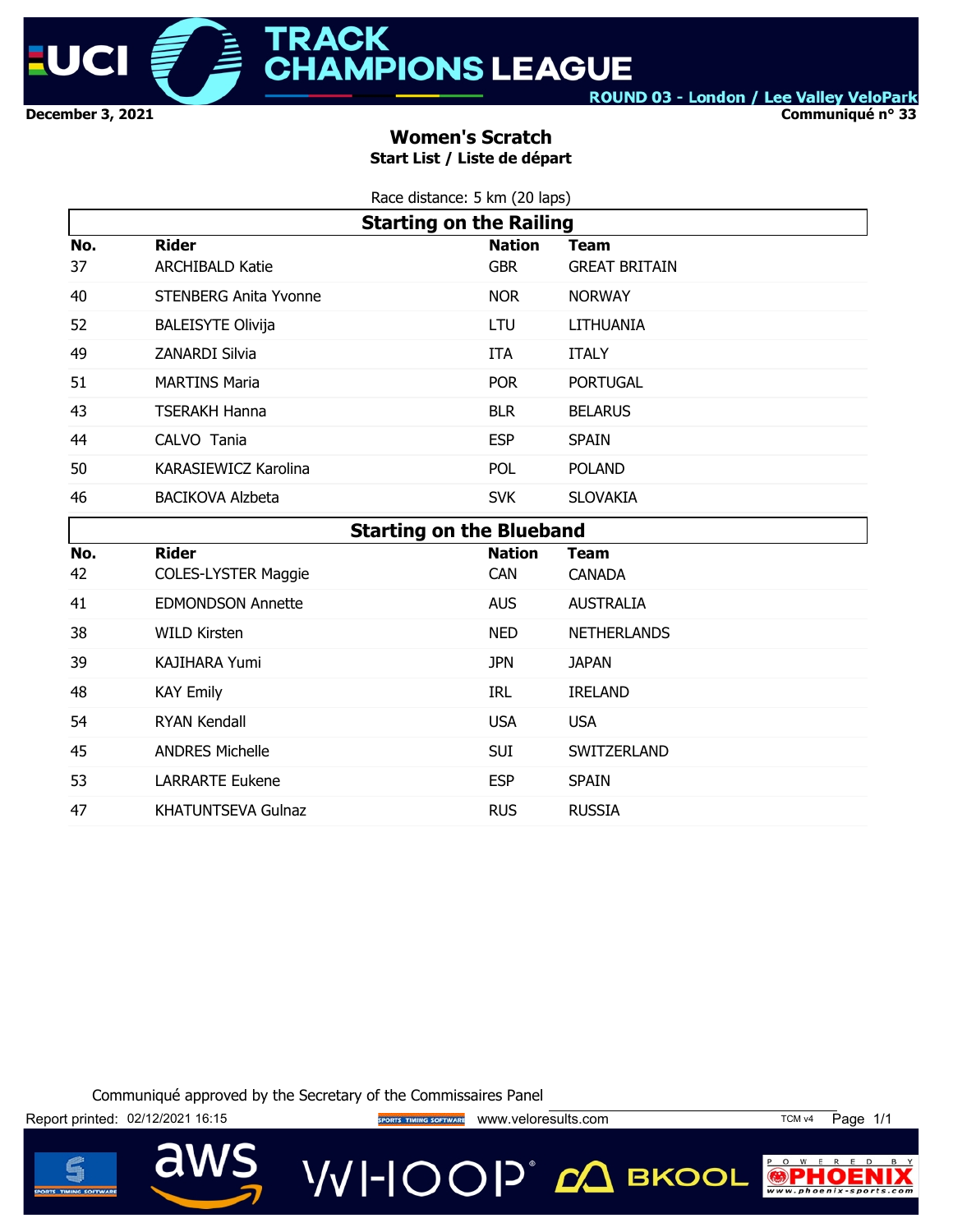

**Communiqué n° 33**

## **Women's Scratch Start List / Liste de départ**

| Race distance: 5 km (20 laps) |  |  |
|-------------------------------|--|--|
|                               |  |  |

|     | <b>Starting on the Railing</b> |                                 |                      |  |  |  |  |
|-----|--------------------------------|---------------------------------|----------------------|--|--|--|--|
| No. | <b>Rider</b>                   | <b>Nation</b>                   | Team                 |  |  |  |  |
| 37  | <b>ARCHIBALD Katie</b>         | <b>GBR</b>                      | <b>GREAT BRITAIN</b> |  |  |  |  |
| 40  | <b>STENBERG Anita Yvonne</b>   | <b>NOR</b>                      | <b>NORWAY</b>        |  |  |  |  |
| 52  | <b>BALEISYTE Olivija</b>       | LTU                             | LITHUANIA            |  |  |  |  |
| 49  | <b>ZANARDI Silvia</b>          | ITA                             | <b>ITALY</b>         |  |  |  |  |
| 51  | <b>MARTINS Maria</b>           | <b>POR</b>                      | <b>PORTUGAL</b>      |  |  |  |  |
| 43  | <b>TSERAKH Hanna</b>           | <b>BLR</b>                      | <b>BELARUS</b>       |  |  |  |  |
| 44  | CALVO Tania                    | <b>ESP</b>                      | <b>SPAIN</b>         |  |  |  |  |
| 50  | <b>KARASIEWICZ Karolina</b>    | <b>POL</b>                      | <b>POLAND</b>        |  |  |  |  |
| 46  | <b>BACIKOVA Alzbeta</b>        | <b>SVK</b>                      | <b>SLOVAKIA</b>      |  |  |  |  |
|     |                                | <b>Starting on the Blueband</b> |                      |  |  |  |  |
| No. | <b>Rider</b>                   | <b>Nation</b>                   | Team                 |  |  |  |  |
| 42  | <b>COLES-LYSTER Maggie</b>     | <b>CAN</b>                      | <b>CANADA</b>        |  |  |  |  |
| 41  | <b>EDMONDSON Annette</b>       | <b>AUS</b>                      | <b>AUSTRALIA</b>     |  |  |  |  |
| 38  | WILD Kirsten                   | <b>NED</b>                      | <b>NETHERLANDS</b>   |  |  |  |  |

Communiqué approved by the Secretary of the Commissaires Panel

39 KAJIHARA Yumi JPN JAPAN

54 RYAN Kendall **Example 2018** USA USA

53 LARRARTE Eukene **ESP** SPAIN 47 KHATUNTSEVA Gulnaz RUS RUSSIA

48 KAY Emily **IRL IRELAND** 

45 ANDRES Michelle **SUI SWITZERLAND** 



VVI-IOOP® ДВКООL



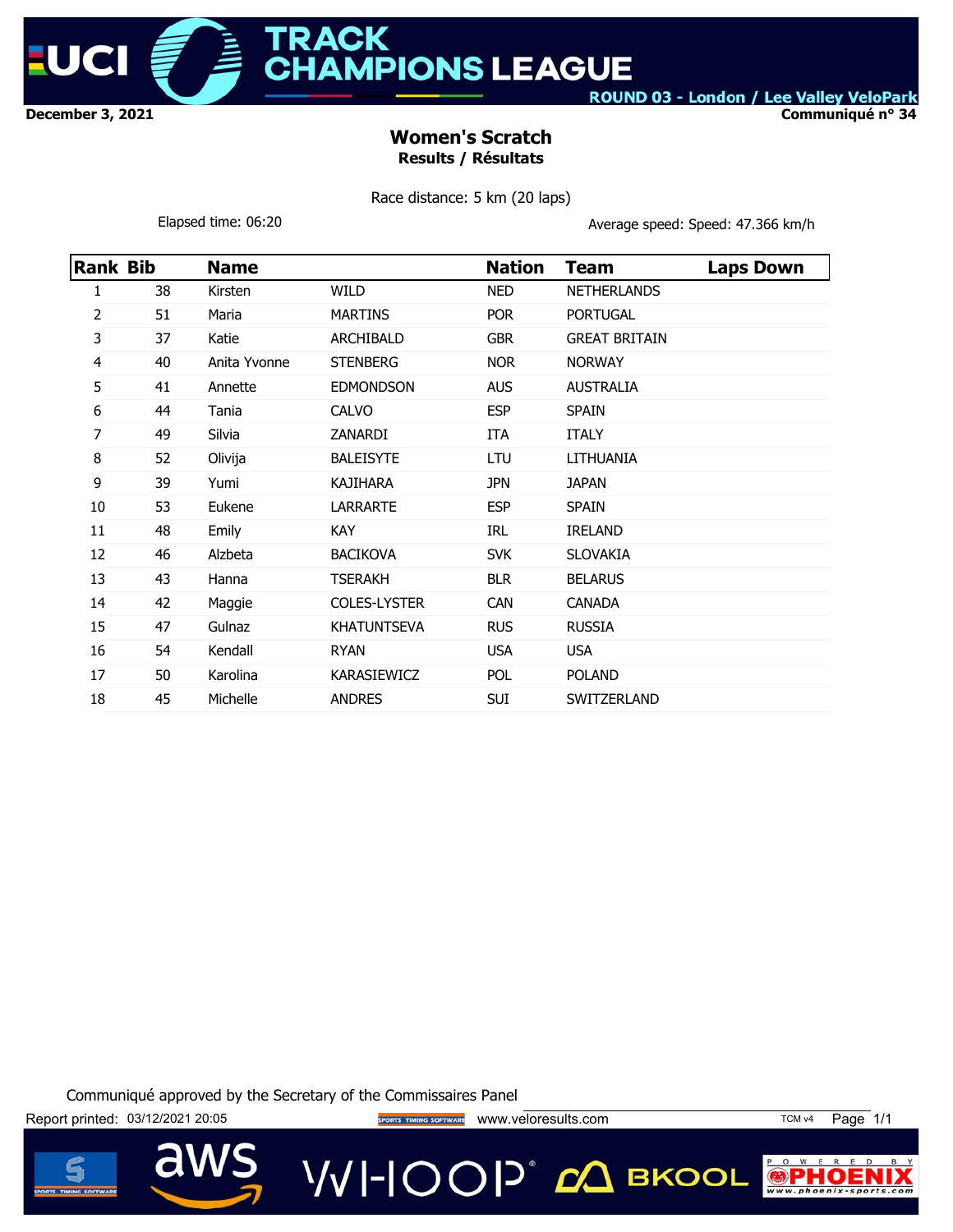

**ACK AMPIONS LEAGUE** 

ROUND 03 - London / Lee Valley VeloPark

**Communiqué n° 34**

# **Women's Scratch Results / Résultats**

Race distance: 5 km (20 laps)

Elapsed time: 06:20 **Average speed: Speed: 47.366 km/h** 

| Rank Bib |    | <b>Name</b>  |                     | <b>Nation</b> | Team                 | <b>Laps Down</b> |
|----------|----|--------------|---------------------|---------------|----------------------|------------------|
| 1        | 38 | Kirsten      | WILD                | <b>NED</b>    | <b>NETHERLANDS</b>   |                  |
| 2        | 51 | Maria        | <b>MARTINS</b>      | <b>POR</b>    | <b>PORTUGAL</b>      |                  |
| 3        | 37 | Katie        | <b>ARCHIBALD</b>    | <b>GBR</b>    | <b>GREAT BRITAIN</b> |                  |
| 4        | 40 | Anita Yvonne | <b>STENBERG</b>     | <b>NOR</b>    | <b>NORWAY</b>        |                  |
| 5        | 41 | Annette      | <b>EDMONDSON</b>    | <b>AUS</b>    | <b>AUSTRALIA</b>     |                  |
| 6        | 44 | Tania        | <b>CALVO</b>        | <b>ESP</b>    | <b>SPAIN</b>         |                  |
| 7        | 49 | Silvia       | ZANARDI             | ITA           | <b>ITALY</b>         |                  |
| 8        | 52 | Olivija      | <b>BALEISYTE</b>    | LTU           | LITHUANIA            |                  |
| 9        | 39 | Yumi         | <b>KAJIHARA</b>     | <b>JPN</b>    | <b>JAPAN</b>         |                  |
| 10       | 53 | Eukene       | <b>LARRARTE</b>     | <b>ESP</b>    | <b>SPAIN</b>         |                  |
| 11       | 48 | Emily        | <b>KAY</b>          | IRL           | <b>IRELAND</b>       |                  |
| 12       | 46 | Alzbeta      | <b>BACIKOVA</b>     | <b>SVK</b>    | <b>SLOVAKIA</b>      |                  |
| 13       | 43 | Hanna        | <b>TSERAKH</b>      | <b>BLR</b>    | <b>BELARUS</b>       |                  |
| 14       | 42 | Maggie       | <b>COLES-LYSTER</b> | <b>CAN</b>    | <b>CANADA</b>        |                  |
| 15       | 47 | Gulnaz       | <b>KHATUNTSEVA</b>  | <b>RUS</b>    | <b>RUSSIA</b>        |                  |
| 16       | 54 | Kendall      | <b>RYAN</b>         | <b>USA</b>    | <b>USA</b>           |                  |
| 17       | 50 | Karolina     | <b>KARASIEWICZ</b>  | POL.          | <b>POLAND</b>        |                  |
| 18       | 45 | Michelle     | <b>ANDRES</b>       | <b>SUI</b>    | <b>SWITZERLAND</b>   |                  |

Communiqué approved by the Secretary of the Commissaires Panel

Report printed: 03/12/2021 20:05 **Way of States Time of Sports Time Correspondent** www.veloresults.com TCM v4 Page 1/1

**VVI-IOOP** 20 BKOOL



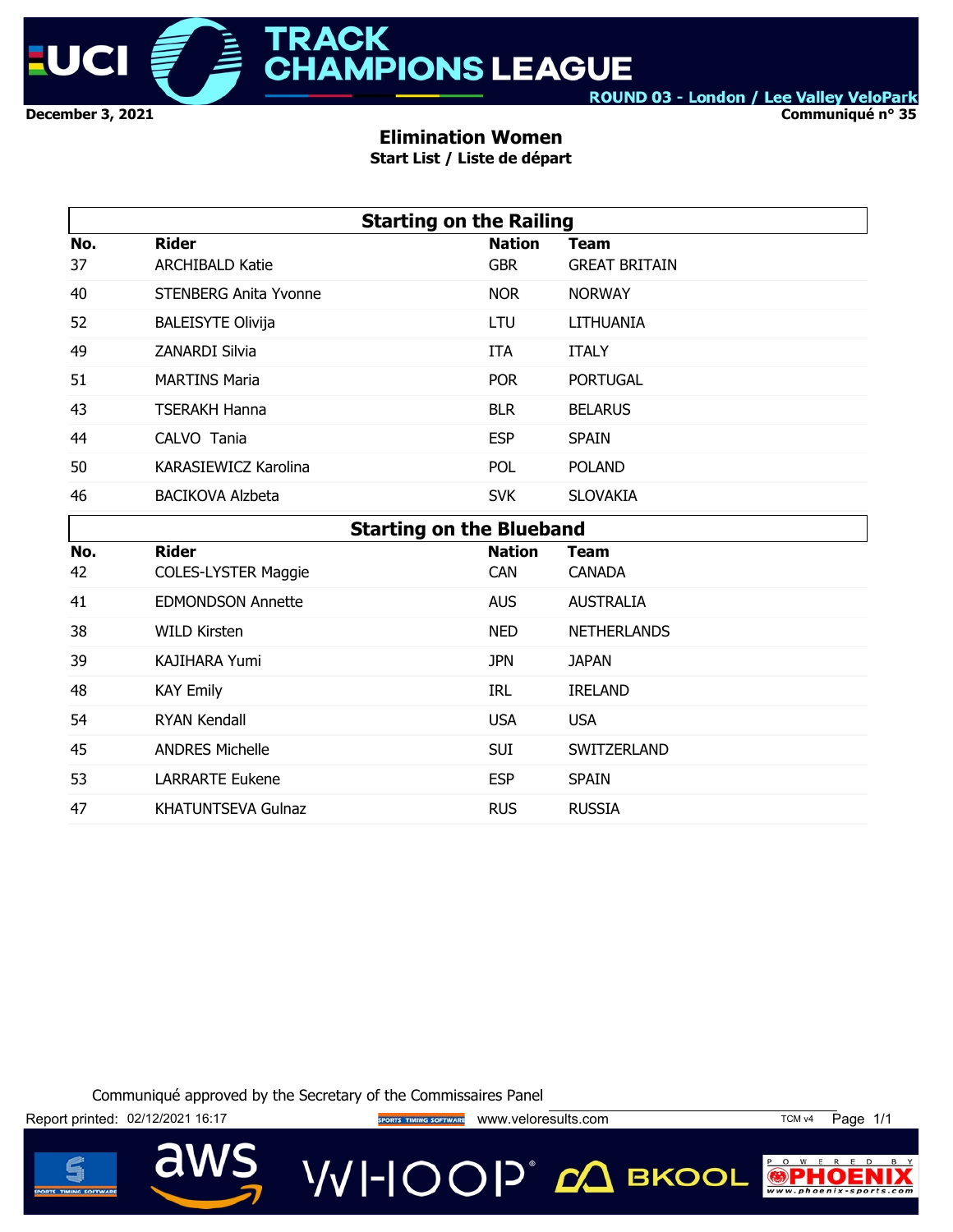

**Communiqué n° 35**

## **Elimination Women**

**Start List / Liste de départ**

|     | <b>Starting on the Railing</b>  |               |                      |  |  |  |  |  |
|-----|---------------------------------|---------------|----------------------|--|--|--|--|--|
| No. | <b>Rider</b>                    | <b>Nation</b> | <b>Team</b>          |  |  |  |  |  |
| 37  | <b>ARCHIBALD Katie</b>          | <b>GBR</b>    | <b>GREAT BRITAIN</b> |  |  |  |  |  |
| 40  | <b>STENBERG Anita Yvonne</b>    | <b>NOR</b>    | <b>NORWAY</b>        |  |  |  |  |  |
| 52  | <b>BALEISYTE Olivija</b>        | LTU           | <b>LITHUANIA</b>     |  |  |  |  |  |
| 49  | <b>ZANARDI Silvia</b>           | ITA           | <b>ITALY</b>         |  |  |  |  |  |
| 51  | <b>MARTINS Maria</b>            | <b>POR</b>    | <b>PORTUGAL</b>      |  |  |  |  |  |
| 43  | <b>TSERAKH Hanna</b>            | <b>BLR</b>    | <b>BELARUS</b>       |  |  |  |  |  |
| 44  | CALVO Tania                     | <b>ESP</b>    | <b>SPAIN</b>         |  |  |  |  |  |
| 50  | <b>KARASIEWICZ Karolina</b>     | POL           | <b>POLAND</b>        |  |  |  |  |  |
| 46  | <b>BACIKOVA Alzbeta</b>         | <b>SVK</b>    | <b>SLOVAKIA</b>      |  |  |  |  |  |
|     | <b>Starting on the Blueband</b> |               |                      |  |  |  |  |  |
| No. | <b>Rider</b>                    | <b>Nation</b> | <b>Team</b>          |  |  |  |  |  |
| 42  | <b>COLES-LYSTER Maggie</b>      | <b>CAN</b>    | <b>CANADA</b>        |  |  |  |  |  |
| 41  | <b>EDMONDSON Annette</b>        | <b>AUS</b>    | <b>AUSTRALIA</b>     |  |  |  |  |  |
| 38  | <b>WILD Kirsten</b>             | <b>NED</b>    | <b>NETHERLANDS</b>   |  |  |  |  |  |
| 39  | <b>KAJIHARA Yumi</b>            | <b>JPN</b>    | <b>JAPAN</b>         |  |  |  |  |  |
| 48  | <b>KAY Emily</b>                | <b>IRL</b>    | <b>IRELAND</b>       |  |  |  |  |  |
| 54  | <b>RYAN Kendall</b>             | <b>USA</b>    | <b>USA</b>           |  |  |  |  |  |
| 45  | <b>ANDRES Michelle</b>          | <b>SUI</b>    | SWITZERLAND          |  |  |  |  |  |
| 53  | <b>LARRARTE Eukene</b>          | <b>ESP</b>    | <b>SPAIN</b>         |  |  |  |  |  |

Communiqué approved by the Secretary of the Commissaires Panel

47 KHATUNTSEVA Gulnaz RUS RUSSIA

Report printed: 02/12/2021 16:17 **We can also the SPORTS TIMING SOFTWARE** WWW.veloresults.com TCM v4 Page 1/1

**VVI-IOOP** 20 BKOOL